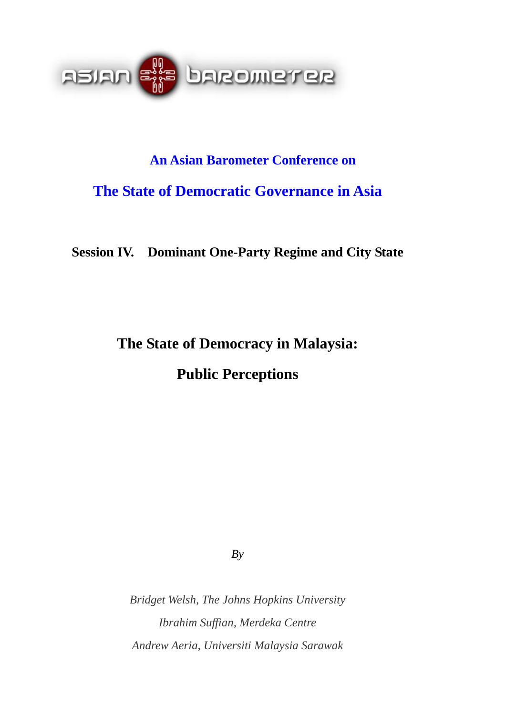

# **An Asian Barometer Conference on The State of Democratic Governance in Asia**

**Session IV. Dominant One-Party Regime and City State** 

**The State of Democracy in Malaysia:** 

**Public Perceptions** 

*By* 

*Bridget Welsh, The Johns Hopkins University Ibrahim Suffian, Merdeka Centre Andrew Aeria, Universiti Malaysia Sarawak*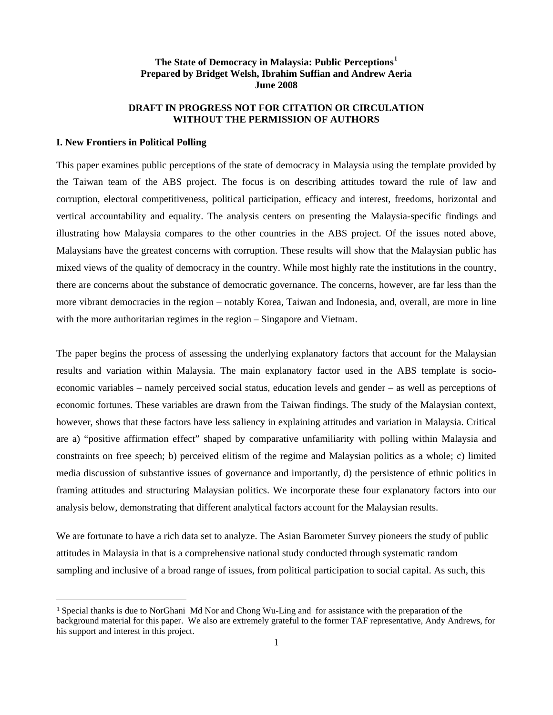# **The State of Democracy in Malaysia: Public Perceptions[1](#page-1-0) Prepared by Bridget Welsh, Ibrahim Suffian and Andrew Aeria June 2008**

## **DRAFT IN PROGRESS NOT FOR CITATION OR CIRCULATION WITHOUT THE PERMISSION OF AUTHORS**

#### **I. New Frontiers in Political Polling**

This paper examines public perceptions of the state of democracy in Malaysia using the template provided by the Taiwan team of the ABS project. The focus is on describing attitudes toward the rule of law and corruption, electoral competitiveness, political participation, efficacy and interest, freedoms, horizontal and vertical accountability and equality. The analysis centers on presenting the Malaysia-specific findings and illustrating how Malaysia compares to the other countries in the ABS project. Of the issues noted above, Malaysians have the greatest concerns with corruption. These results will show that the Malaysian public has mixed views of the quality of democracy in the country. While most highly rate the institutions in the country, there are concerns about the substance of democratic governance. The concerns, however, are far less than the more vibrant democracies in the region – notably Korea, Taiwan and Indonesia, and, overall, are more in line with the more authoritarian regimes in the region – Singapore and Vietnam.

The paper begins the process of assessing the underlying explanatory factors that account for the Malaysian results and variation within Malaysia. The main explanatory factor used in the ABS template is socioeconomic variables – namely perceived social status, education levels and gender – as well as perceptions of economic fortunes. These variables are drawn from the Taiwan findings. The study of the Malaysian context, however, shows that these factors have less saliency in explaining attitudes and variation in Malaysia. Critical are a) "positive affirmation effect" shaped by comparative unfamiliarity with polling within Malaysia and constraints on free speech; b) perceived elitism of the regime and Malaysian politics as a whole; c) limited media discussion of substantive issues of governance and importantly, d) the persistence of ethnic politics in framing attitudes and structuring Malaysian politics. We incorporate these four explanatory factors into our analysis below, demonstrating that different analytical factors account for the Malaysian results.

We are fortunate to have a rich data set to analyze. The Asian Barometer Survey pioneers the study of public attitudes in Malaysia in that is a comprehensive national study conducted through systematic random sampling and inclusive of a broad range of issues, from political participation to social capital. As such, this

<span id="page-1-0"></span><sup>1</sup> Special thanks is due to NorGhani Md Nor and Chong Wu-Ling and for assistance with the preparation of the background material for this paper. We also are extremely grateful to the former TAF representative, Andy Andrews, for his support and interest in this project.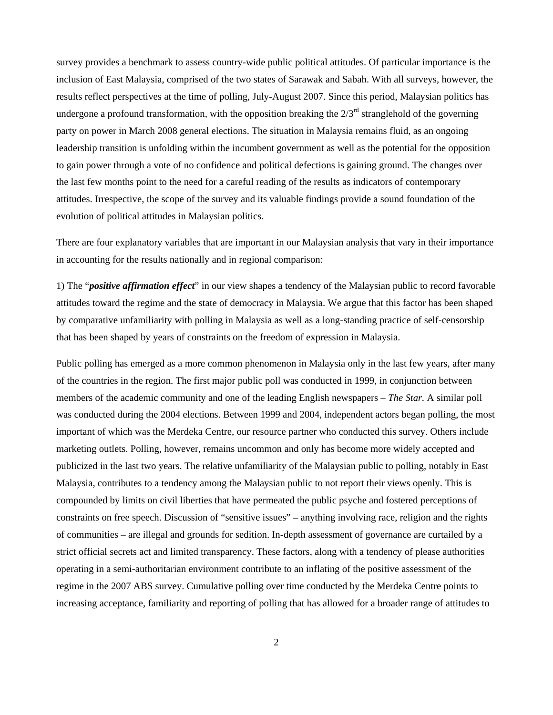survey provides a benchmark to assess country-wide public political attitudes. Of particular importance is the inclusion of East Malaysia, comprised of the two states of Sarawak and Sabah. With all surveys, however, the results reflect perspectives at the time of polling, July-August 2007. Since this period, Malaysian politics has undergone a profound transformation, with the opposition breaking the  $2/3<sup>rd</sup>$  stranglehold of the governing party on power in March 2008 general elections. The situation in Malaysia remains fluid, as an ongoing leadership transition is unfolding within the incumbent government as well as the potential for the opposition to gain power through a vote of no confidence and political defections is gaining ground. The changes over the last few months point to the need for a careful reading of the results as indicators of contemporary attitudes. Irrespective, the scope of the survey and its valuable findings provide a sound foundation of the evolution of political attitudes in Malaysian politics.

There are four explanatory variables that are important in our Malaysian analysis that vary in their importance in accounting for the results nationally and in regional comparison:

1) The "*positive affirmation effect*" in our view shapes a tendency of the Malaysian public to record favorable attitudes toward the regime and the state of democracy in Malaysia. We argue that this factor has been shaped by comparative unfamiliarity with polling in Malaysia as well as a long-standing practice of self-censorship that has been shaped by years of constraints on the freedom of expression in Malaysia.

Public polling has emerged as a more common phenomenon in Malaysia only in the last few years, after many of the countries in the region. The first major public poll was conducted in 1999, in conjunction between members of the academic community and one of the leading English newspapers – *The Star.* A similar poll was conducted during the 2004 elections. Between 1999 and 2004, independent actors began polling, the most important of which was the Merdeka Centre, our resource partner who conducted this survey. Others include marketing outlets. Polling, however, remains uncommon and only has become more widely accepted and publicized in the last two years. The relative unfamiliarity of the Malaysian public to polling, notably in East Malaysia, contributes to a tendency among the Malaysian public to not report their views openly. This is compounded by limits on civil liberties that have permeated the public psyche and fostered perceptions of constraints on free speech. Discussion of "sensitive issues" – anything involving race, religion and the rights of communities – are illegal and grounds for sedition. In-depth assessment of governance are curtailed by a strict official secrets act and limited transparency. These factors, along with a tendency of please authorities operating in a semi-authoritarian environment contribute to an inflating of the positive assessment of the regime in the 2007 ABS survey. Cumulative polling over time conducted by the Merdeka Centre points to increasing acceptance, familiarity and reporting of polling that has allowed for a broader range of attitudes to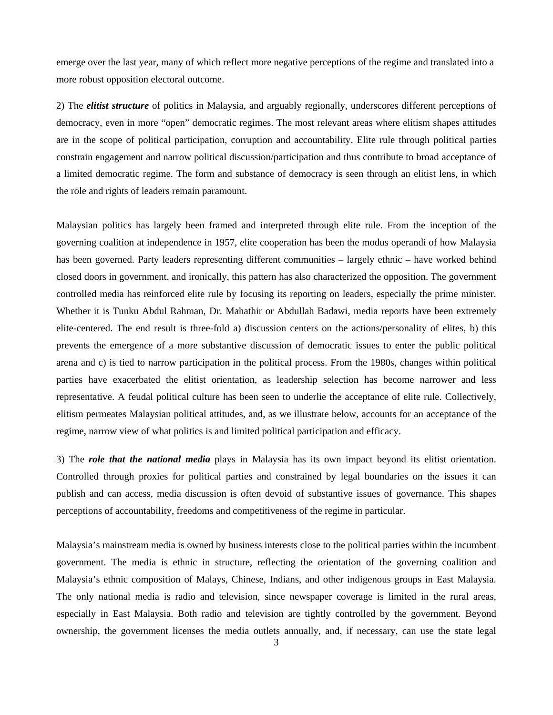emerge over the last year, many of which reflect more negative perceptions of the regime and translated into a more robust opposition electoral outcome.

2) The *elitist structure* of politics in Malaysia, and arguably regionally, underscores different perceptions of democracy, even in more "open" democratic regimes. The most relevant areas where elitism shapes attitudes are in the scope of political participation, corruption and accountability. Elite rule through political parties constrain engagement and narrow political discussion/participation and thus contribute to broad acceptance of a limited democratic regime. The form and substance of democracy is seen through an elitist lens, in which the role and rights of leaders remain paramount.

Malaysian politics has largely been framed and interpreted through elite rule. From the inception of the governing coalition at independence in 1957, elite cooperation has been the modus operandi of how Malaysia has been governed. Party leaders representing different communities – largely ethnic – have worked behind closed doors in government, and ironically, this pattern has also characterized the opposition. The government controlled media has reinforced elite rule by focusing its reporting on leaders, especially the prime minister. Whether it is Tunku Abdul Rahman, Dr. Mahathir or Abdullah Badawi, media reports have been extremely elite-centered. The end result is three-fold a) discussion centers on the actions/personality of elites, b) this prevents the emergence of a more substantive discussion of democratic issues to enter the public political arena and c) is tied to narrow participation in the political process. From the 1980s, changes within political parties have exacerbated the elitist orientation, as leadership selection has become narrower and less representative. A feudal political culture has been seen to underlie the acceptance of elite rule. Collectively, elitism permeates Malaysian political attitudes, and, as we illustrate below, accounts for an acceptance of the regime, narrow view of what politics is and limited political participation and efficacy.

3) The *role that the national media* plays in Malaysia has its own impact beyond its elitist orientation. Controlled through proxies for political parties and constrained by legal boundaries on the issues it can publish and can access, media discussion is often devoid of substantive issues of governance. This shapes perceptions of accountability, freedoms and competitiveness of the regime in particular.

Malaysia's mainstream media is owned by business interests close to the political parties within the incumbent government. The media is ethnic in structure, reflecting the orientation of the governing coalition and Malaysia's ethnic composition of Malays, Chinese, Indians, and other indigenous groups in East Malaysia. The only national media is radio and television, since newspaper coverage is limited in the rural areas, especially in East Malaysia. Both radio and television are tightly controlled by the government. Beyond ownership, the government licenses the media outlets annually, and, if necessary, can use the state legal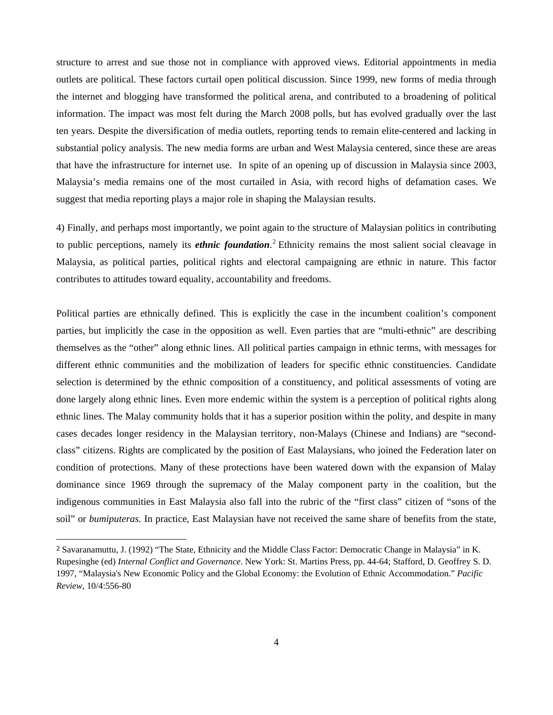structure to arrest and sue those not in compliance with approved views. Editorial appointments in media outlets are political. These factors curtail open political discussion. Since 1999, new forms of media through the internet and blogging have transformed the political arena, and contributed to a broadening of political information. The impact was most felt during the March 2008 polls, but has evolved gradually over the last ten years. Despite the diversification of media outlets, reporting tends to remain elite-centered and lacking in substantial policy analysis. The new media forms are urban and West Malaysia centered, since these are areas that have the infrastructure for internet use. In spite of an opening up of discussion in Malaysia since 2003, Malaysia's media remains one of the most curtailed in Asia, with record highs of defamation cases. We suggest that media reporting plays a major role in shaping the Malaysian results.

4) Finally, and perhaps most importantly, we point again to the structure of Malaysian politics in contributing to public perceptions, namely its *ethnic foundation*. [2](#page-4-0) Ethnicity remains the most salient social cleavage in Malaysia, as political parties, political rights and electoral campaigning are ethnic in nature. This factor contributes to attitudes toward equality, accountability and freedoms.

Political parties are ethnically defined. This is explicitly the case in the incumbent coalition's component parties, but implicitly the case in the opposition as well. Even parties that are "multi-ethnic" are describing themselves as the "other" along ethnic lines. All political parties campaign in ethnic terms, with messages for different ethnic communities and the mobilization of leaders for specific ethnic constituencies. Candidate selection is determined by the ethnic composition of a constituency, and political assessments of voting are done largely along ethnic lines. Even more endemic within the system is a perception of political rights along ethnic lines. The Malay community holds that it has a superior position within the polity, and despite in many cases decades longer residency in the Malaysian territory, non-Malays (Chinese and Indians) are "secondclass" citizens. Rights are complicated by the position of East Malaysians, who joined the Federation later on condition of protections. Many of these protections have been watered down with the expansion of Malay dominance since 1969 through the supremacy of the Malay component party in the coalition, but the indigenous communities in East Malaysia also fall into the rubric of the "first class" citizen of "sons of the soil" or *bumiputeras.* In practice, East Malaysian have not received the same share of benefits from the state,

<span id="page-4-0"></span><sup>2</sup> Savaranamuttu, J. (1992) "The State, Ethnicity and the Middle Class Factor: Democratic Change in Malaysia" in K. Rupesinghe (ed) *Internal Conflict and Governance*. New York: St. Martins Press, pp. 44-64; Stafford, D. Geoffrey S. D. 1997, "Malaysia's New Economic Policy and the Global Economy: the Evolution of Ethnic Accommodation." *Pacific Review*, 10/4:556-80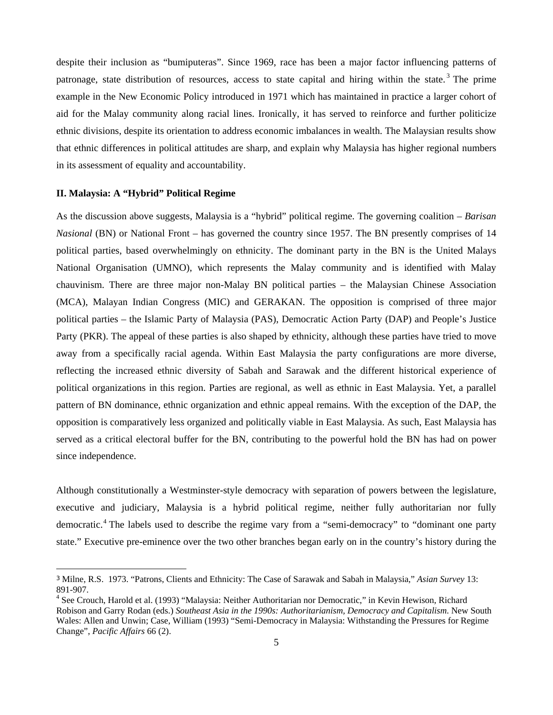despite their inclusion as "bumiputeras". Since 1969, race has been a major factor influencing patterns of patronage, state distribution of resources, access to state capital and hiring within the state.<sup>[3](#page-5-0)</sup> The prime example in the New Economic Policy introduced in 1971 which has maintained in practice a larger cohort of aid for the Malay community along racial lines. Ironically, it has served to reinforce and further politicize ethnic divisions, despite its orientation to address economic imbalances in wealth. The Malaysian results show that ethnic differences in political attitudes are sharp, and explain why Malaysia has higher regional numbers in its assessment of equality and accountability.

## **II. Malaysia: A "Hybrid" Political Regime**

As the discussion above suggests, Malaysia is a "hybrid" political regime. The governing coalition – *Barisan Nasional* (BN) or National Front – has governed the country since 1957. The BN presently comprises of 14 political parties, based overwhelmingly on ethnicity. The dominant party in the BN is the United Malays National Organisation (UMNO), which represents the Malay community and is identified with Malay chauvinism. There are three major non-Malay BN political parties – the Malaysian Chinese Association (MCA), Malayan Indian Congress (MIC) and GERAKAN. The opposition is comprised of three major political parties – the Islamic Party of Malaysia (PAS), Democratic Action Party (DAP) and People's Justice Party (PKR). The appeal of these parties is also shaped by ethnicity, although these parties have tried to move away from a specifically racial agenda. Within East Malaysia the party configurations are more diverse, reflecting the increased ethnic diversity of Sabah and Sarawak and the different historical experience of political organizations in this region. Parties are regional, as well as ethnic in East Malaysia. Yet, a parallel pattern of BN dominance, ethnic organization and ethnic appeal remains. With the exception of the DAP, the opposition is comparatively less organized and politically viable in East Malaysia. As such, East Malaysia has served as a critical electoral buffer for the BN, contributing to the powerful hold the BN has had on power since independence.

Although constitutionally a Westminster-style democracy with separation of powers between the legislature, executive and judiciary, Malaysia is a hybrid political regime, neither fully authoritarian nor fully democratic.<sup>[4](#page-5-1)</sup> The labels used to describe the regime vary from a "semi-democracy" to "dominant one party state." Executive pre-eminence over the two other branches began early on in the country's history during the

<span id="page-5-0"></span><sup>3</sup> Milne, R.S. 1973. "Patrons, Clients and Ethnicity: The Case of Sarawak and Sabah in Malaysia," *Asian Survey* 13: 891-907.

<span id="page-5-1"></span><sup>&</sup>lt;sup>4</sup> See Crouch, Harold et al. (1993) "Malaysia: Neither Authoritarian nor Democratic," in Kevin Hewison, Richard Robison and Garry Rodan (eds.) *Southeast Asia in the 1990s: Authoritarianism, Democracy and Capitalism*. New South Wales: Allen and Unwin; Case, William (1993) "Semi-Democracy in Malaysia: Withstanding the Pressures for Regime Change", *Pacific Affairs* 66 (2).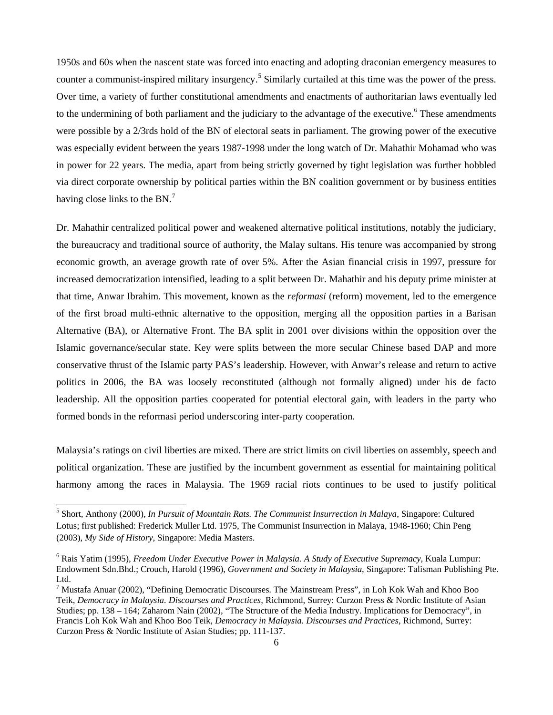1950s and 60s when the nascent state was forced into enacting and adopting draconian emergency measures to counter a communist-inspired military insurgency.<sup>[5](#page-6-0)</sup> Similarly curtailed at this time was the power of the press. Over time, a variety of further constitutional amendments and enactments of authoritarian laws eventually led to the undermining of both parliament and the judiciary to the advantage of the executive.<sup>[6](#page-6-1)</sup> These amendments were possible by a 2/3rds hold of the BN of electoral seats in parliament. The growing power of the executive was especially evident between the years 1987-1998 under the long watch of Dr. Mahathir Mohamad who was in power for 22 years. The media, apart from being strictly governed by tight legislation was further hobbled via direct corporate ownership by political parties within the BN coalition government or by business entities having close links to the BN.<sup>[7](#page-6-2)</sup>

Dr. Mahathir centralized political power and weakened alternative political institutions, notably the judiciary, the bureaucracy and traditional source of authority, the Malay sultans. His tenure was accompanied by strong economic growth, an average growth rate of over 5%. After the Asian financial crisis in 1997, pressure for increased democratization intensified, leading to a split between Dr. Mahathir and his deputy prime minister at that time, Anwar Ibrahim. This movement, known as the *reformasi* (reform) movement, led to the emergence of the first broad multi-ethnic alternative to the opposition, merging all the opposition parties in a Barisan Alternative (BA), or Alternative Front. The BA split in 2001 over divisions within the opposition over the Islamic governance/secular state. Key were splits between the more secular Chinese based DAP and more conservative thrust of the Islamic party PAS's leadership. However, with Anwar's release and return to active politics in 2006, the BA was loosely reconstituted (although not formally aligned) under his de facto leadership. All the opposition parties cooperated for potential electoral gain, with leaders in the party who formed bonds in the reformasi period underscoring inter-party cooperation.

Malaysia's ratings on civil liberties are mixed. There are strict limits on civil liberties on assembly, speech and political organization. These are justified by the incumbent government as essential for maintaining political harmony among the races in Malaysia. The 1969 racial riots continues to be used to justify political

<span id="page-6-0"></span><sup>5</sup> Short, Anthony (2000), *In Pursuit of Mountain Rats. The Communist Insurrection in Malaya*, Singapore: Cultured Lotus; first published: Frederick Muller Ltd. 1975, The Communist Insurrection in Malaya, 1948-1960; Chin Peng (2003), *My Side of History*, Singapore: Media Masters.

<span id="page-6-1"></span><sup>6</sup> Rais Yatim (1995), *Freedom Under Executive Power in Malaysia. A Study of Executive Supremacy*, Kuala Lumpur: Endowment Sdn.Bhd.; Crouch, Harold (1996), *Government and Society in Malaysia*, Singapore: Talisman Publishing Pte. Ltd.

<span id="page-6-2"></span><sup>&</sup>lt;sup>7</sup> Mustafa Anuar (2002), "Defining Democratic Discourses. The Mainstream Press", in Loh Kok Wah and Khoo Boo Teik, *Democracy in Malaysia. Discourses and Practices*, Richmond, Surrey: Curzon Press & Nordic Institute of Asian Studies; pp. 138 – 164; Zaharom Nain (2002), "The Structure of the Media Industry. Implications for Democracy", in Francis Loh Kok Wah and Khoo Boo Teik, *Democracy in Malaysia. Discourses and Practices*, Richmond, Surrey: Curzon Press & Nordic Institute of Asian Studies; pp. 111-137.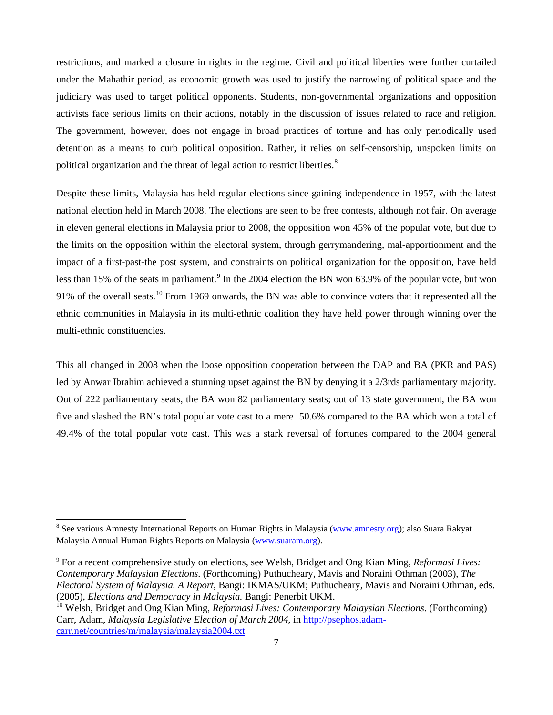restrictions, and marked a closure in rights in the regime. Civil and political liberties were further curtailed under the Mahathir period, as economic growth was used to justify the narrowing of political space and the judiciary was used to target political opponents. Students, non-governmental organizations and opposition activists face serious limits on their actions, notably in the discussion of issues related to race and religion. The government, however, does not engage in broad practices of torture and has only periodically used detention as a means to curb political opposition. Rather, it relies on self-censorship, unspoken limits on political organization and the threat of legal action to restrict liberties. $8$ 

Despite these limits, Malaysia has held regular elections since gaining independence in 1957, with the latest national election held in March 2008. The elections are seen to be free contests, although not fair. On average in eleven general elections in Malaysia prior to 2008, the opposition won 45% of the popular vote, but due to the limits on the opposition within the electoral system, through gerrymandering, mal-apportionment and the impact of a first-past-the post system, and constraints on political organization for the opposition, have held less than 15% of the seats in parliament.<sup>[9](#page-7-1)</sup> In the 2004 election the BN won 63.9% of the popular vote, but won 9[1](#page-7-2)% of the overall seats.<sup>10</sup> From 1969 onwards, the BN was able to convince voters that it represented all the ethnic communities in Malaysia in its multi-ethnic coalition they have held power through winning over the multi-ethnic constituencies.

This all changed in 2008 when the loose opposition cooperation between the DAP and BA (PKR and PAS) led by Anwar Ibrahim achieved a stunning upset against the BN by denying it a 2/3rds parliamentary majority. Out of 222 parliamentary seats, the BA won 82 parliamentary seats; out of 13 state government, the BA won five and slashed the BN's total popular vote cast to a mere 50.6% compared to the BA which won a total of 49.4% of the total popular vote cast. This was a stark reversal of fortunes compared to the 2004 general

<span id="page-7-0"></span><sup>&</sup>lt;sup>8</sup> See various Amnesty International Reports on Human Rights in Malaysia (www.amnesty.org); also Suara Rakyat Malaysia Annual Human Rights Reports on Malaysia (www.suaram.org).

<span id="page-7-1"></span><sup>9</sup> For a recent comprehensive study on elections, see Welsh, Bridget and Ong Kian Ming, *Reformasi Lives: Contemporary Malaysian Elections*. (Forthcoming) Puthucheary, Mavis and Noraini Othman (2003), *The Electoral System of Malaysia. A Report*, Bangi: IKMAS/UKM; Puthucheary, Mavis and Noraini Othman, eds. (2005), *Elections and Democracy in Malaysia.* Bangi: Penerbit UKM.

<span id="page-7-2"></span><sup>10</sup> Welsh, Bridget and Ong Kian Ming, *Reformasi Lives: Contemporary Malaysian Elections*. (Forthcoming) Carr, Adam, *Malaysia Legislative Election of March 2004*, in http://psephos.adamcarr.net/countries/m/malaysia/malaysia2004.txt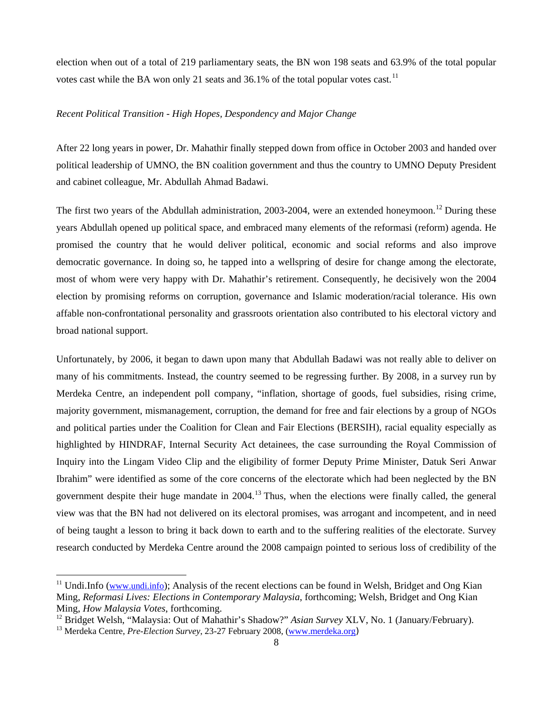election when out of a total of 219 parliamentary seats, the BN won 198 seats and 63.9% of the total popular votes cast while the BA won only 21 seats and 36.1% of the total popular votes cast.<sup>[11](#page-8-0)</sup>

## *Recent Political Transition - High Hopes, Despondency and Major Change*

After 22 long years in power, Dr. Mahathir finally stepped down from office in October 2003 and handed over political leadership of UMNO, the BN coalition government and thus the country to UMNO Deputy President and cabinet colleague, Mr. Abdullah Ahmad Badawi.

The first two years of the Abdullah administration, 2003-2004, were an extended honeymoon.<sup>[1](#page-8-1)2</sup> During these years Abdullah opened up political space, and embraced many elements of the reformasi (reform) agenda. He promised the country that he would deliver political, economic and social reforms and also improve democratic governance. In doing so, he tapped into a wellspring of desire for change among the electorate, most of whom were very happy with Dr. Mahathir's retirement. Consequently, he decisively won the 2004 election by promising reforms on corruption, governance and Islamic moderation/racial tolerance. His own affable non-confrontational personality and grassroots orientation also contributed to his electoral victory and broad national support.

Unfortunately, by 2006, it began to dawn upon many that Abdullah Badawi was not really able to deliver on many of his commitments. Instead, the country seemed to be regressing further. By 2008, in a survey run by Merdeka Centre, an independent poll company, "inflation, shortage of goods, fuel subsidies, rising crime, majority government, mismanagement, corruption, the demand for free and fair elections by a group of NGOs and political parties under the [Coalition for Clean and Fair Elections \(BERSIH\)](http://en.wikipedia.org/wiki/Bersih), racial equality especially as highlighted by [HINDRAF,](http://en.wikipedia.org/wiki/HINDRAF) [Internal Security Act](http://en.wikipedia.org/wiki/Internal_Security_Act_%28Malaysia%29) detainees, the case surrounding the [Royal Commission of](http://en.wikipedia.org/wiki/Royal_Commission_of_Inquiry_into_the_Lingam_Video_Clip)  [Inquiry into the Lingam Video Clip](http://en.wikipedia.org/wiki/Royal_Commission_of_Inquiry_into_the_Lingam_Video_Clip) and the eligibility of former Deputy Prime Minister, Datuk Seri [Anwar](http://en.wikipedia.org/wiki/Anwar_Ibrahim)  [Ibrahim](http://en.wikipedia.org/wiki/Anwar_Ibrahim)" were identified as some of the core concerns of the electorate which had been neglected by the BN government despite their huge mandate in 2004.<sup>[13](#page-8-2)</sup> Thus, when the elections were finally called, the general view was that the BN had not delivered on its electoral promises, was arrogant and incompetent, and in need of being taught a lesson to bring it back down to earth and to the suffering realities of the electorate. Survey research conducted by Merdeka Centre around the 2008 campaign pointed to serious loss of credibility of the

 $\overline{a}$ 

<span id="page-8-0"></span><sup>&</sup>lt;sup>11</sup> Undi.Info (www.undi.info); Analysis of the recent elections can be found in Welsh, Bridget and Ong Kian Ming, *Reformasi Lives: Elections in Contemporary Malaysia*, forthcoming; Welsh, Bridget and Ong Kian Ming, *How Malaysia Votes*, forthcoming.<br><sup>12</sup> Bridget Welsh, "Malaysia: Out of Mahathir's Shadow?" Asian Survey XLV, No. 1 (January/February).<br><sup>13</sup> Merdeka Centre, *Pre-Election Survey*, 23-27 February 2008, (www.merdeka.o

<span id="page-8-2"></span><span id="page-8-1"></span>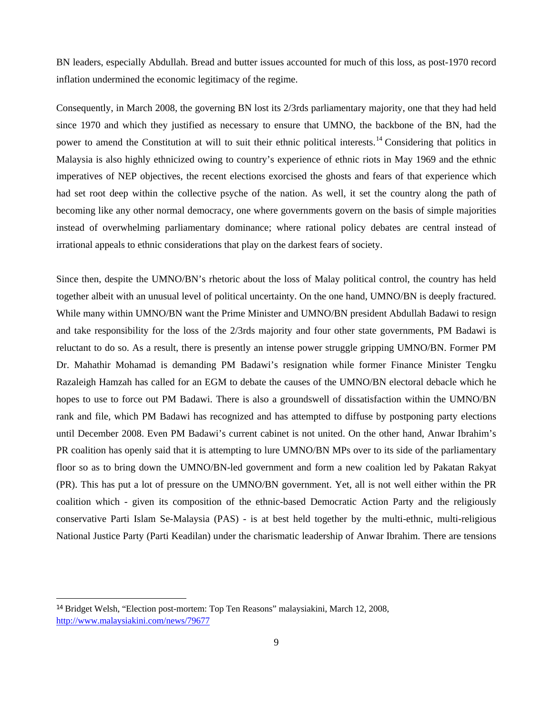BN leaders, especially Abdullah. Bread and butter issues accounted for much of this loss, as post-1970 record inflation undermined the economic legitimacy of the regime.

Consequently, in March 2008, the governing BN lost its 2/3rds parliamentary majority, one that they had held since 1970 and which they justified as necessary to ensure that UMNO, the backbone of the BN, had the power to amend the Constitution at will to suit their ethnic political interests.<sup>[1](#page-9-0)4</sup> Considering that politics in Malaysia is also highly ethnicized owing to country's experience of ethnic riots in May 1969 and the ethnic imperatives of NEP objectives, the recent elections exorcised the ghosts and fears of that experience which had set root deep within the collective psyche of the nation. As well, it set the country along the path of becoming like any other normal democracy, one where governments govern on the basis of simple majorities instead of overwhelming parliamentary dominance; where rational policy debates are central instead of irrational appeals to ethnic considerations that play on the darkest fears of society.

Since then, despite the UMNO/BN's rhetoric about the loss of Malay political control, the country has held together albeit with an unusual level of political uncertainty. On the one hand, UMNO/BN is deeply fractured. While many within UMNO/BN want the Prime Minister and UMNO/BN president Abdullah Badawi to resign and take responsibility for the loss of the 2/3rds majority and four other state governments, PM Badawi is reluctant to do so. As a result, there is presently an intense power struggle gripping UMNO/BN. Former PM Dr. Mahathir Mohamad is demanding PM Badawi's resignation while former Finance Minister Tengku Razaleigh Hamzah has called for an EGM to debate the causes of the UMNO/BN electoral debacle which he hopes to use to force out PM Badawi. There is also a groundswell of dissatisfaction within the UMNO/BN rank and file, which PM Badawi has recognized and has attempted to diffuse by postponing party elections until December 2008. Even PM Badawi's current cabinet is not united. On the other hand, Anwar Ibrahim's PR coalition has openly said that it is attempting to lure UMNO/BN MPs over to its side of the parliamentary floor so as to bring down the UMNO/BN-led government and form a new coalition led by Pakatan Rakyat (PR). This has put a lot of pressure on the UMNO/BN government. Yet, all is not well either within the PR coalition which - given its composition of the ethnic-based Democratic Action Party and the religiously conservative Parti Islam Se-Malaysia (PAS) - is at best held together by the multi-ethnic, multi-religious National Justice Party (Parti Keadilan) under the charismatic leadership of Anwar Ibrahim. There are tensions

<span id="page-9-0"></span><sup>14</sup> Bridget Welsh, "Election post-mortem: Top Ten Reasons" malaysiakini, March 12, 2008, http://www.malaysiakini.com/news/79677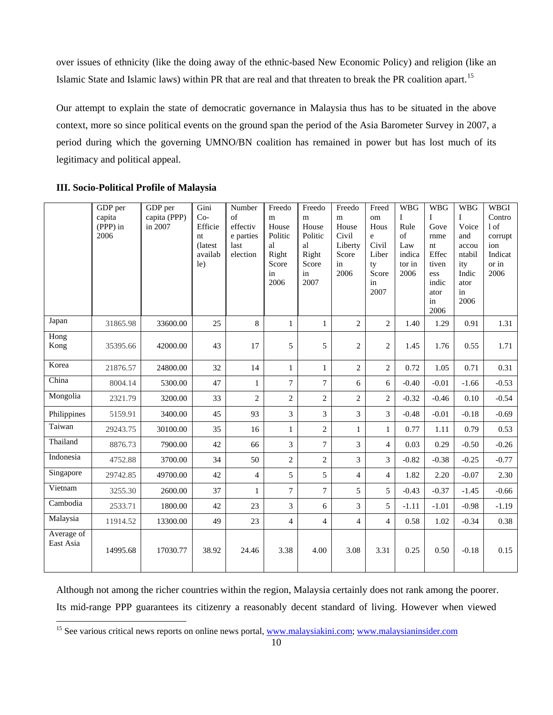over issues of ethnicity (like the doing away of the ethnic-based New Economic Policy) and religion (like an Islamic State and Islamic laws) within PR that are real and that threaten to break the PR coalition apart.[1](#page-10-0)5

Our attempt to explain the state of democratic governance in Malaysia thus has to be situated in the above context, more so since political events on the ground span the period of the Asia Barometer Survey in 2007, a period during which the governing UMNO/BN coalition has remained in power but has lost much of its legitimacy and political appeal.

|                         | GDP per<br>capita<br>$(\overline{PPP})$ in<br>2006 | GDP per<br>capita (PPP)<br>in 2007 | Gini<br>$Co-$<br>Efficie<br>nt<br>(latest)<br>availab<br>le) | Number<br>of<br>effectiv<br>e parties<br>last<br>election | Freedo<br>m<br>House<br>Politic<br>al<br>Right<br>Score<br>in<br>2006 | Freedo<br>${\bf m}$<br>House<br>Politic<br>al<br>Right<br>Score<br>in<br>2007 | Freedo<br>${\bf m}$<br>House<br>Civil<br>Liberty<br>Score<br>in<br>2006 | Freed<br>om<br>Hous<br>e<br>Civil<br>Liber<br>ty<br>Score<br>in<br>2007 | <b>WBG</b><br>$\mathbf{I}$<br>Rule<br>of<br>Law<br>indica<br>tor in<br>2006 | <b>WBG</b><br>$\mathbf{I}$<br>Gove<br>rnme<br>nt<br>Effec<br>tiven<br>ess<br>indic<br>ator<br>in<br>2006 | <b>WBG</b><br>Ι<br>Voice<br>and<br>accou<br>ntabil<br>ity<br>Indic<br>ator<br>in<br>2006 | <b>WBGI</b><br>Contro<br>1 of<br>corrupt<br>ion<br>Indicat<br>or in<br>2006 |
|-------------------------|----------------------------------------------------|------------------------------------|--------------------------------------------------------------|-----------------------------------------------------------|-----------------------------------------------------------------------|-------------------------------------------------------------------------------|-------------------------------------------------------------------------|-------------------------------------------------------------------------|-----------------------------------------------------------------------------|----------------------------------------------------------------------------------------------------------|------------------------------------------------------------------------------------------|-----------------------------------------------------------------------------|
| Japan                   | 31865.98                                           | 33600.00                           | 25                                                           | 8                                                         | 1                                                                     | $\mathbf{1}$                                                                  | $\overline{2}$                                                          | $\overline{2}$                                                          | 1.40                                                                        | 1.29                                                                                                     | 0.91                                                                                     | 1.31                                                                        |
| Hong<br>Kong            | 35395.66                                           | 42000.00                           | 43                                                           | 17                                                        | 5                                                                     | 5                                                                             | $\overline{2}$                                                          | $\overline{2}$                                                          | 1.45                                                                        | 1.76                                                                                                     | 0.55                                                                                     | 1.71                                                                        |
| Korea                   | 21876.57                                           | 24800.00                           | 32                                                           | 14                                                        | 1                                                                     | $\mathbf{1}$                                                                  | $\overline{2}$                                                          | $\overline{c}$                                                          | 0.72                                                                        | 1.05                                                                                                     | 0.71                                                                                     | 0.31                                                                        |
| China                   | 8004.14                                            | 5300.00                            | 47                                                           | $\mathbf{1}$                                              | $\overline{7}$                                                        | $\tau$                                                                        | 6                                                                       | 6                                                                       | $-0.40$                                                                     | $-0.01$                                                                                                  | $-1.66$                                                                                  | $-0.53$                                                                     |
| Mongolia                | 2321.79                                            | 3200.00                            | 33                                                           | $\mathbf{2}$                                              | $\overline{c}$                                                        | $\overline{2}$                                                                | $\overline{2}$                                                          | $\overline{2}$                                                          | $-0.32$                                                                     | $-0.46$                                                                                                  | 0.10                                                                                     | $-0.54$                                                                     |
| Philippines             | 5159.91                                            | 3400.00                            | 45                                                           | 93                                                        | 3                                                                     | 3                                                                             | 3                                                                       | 3                                                                       | $-0.48$                                                                     | $-0.01$                                                                                                  | $-0.18$                                                                                  | $-0.69$                                                                     |
| Taiwan                  | 29243.75                                           | 30100.00                           | 35                                                           | 16                                                        | 1                                                                     | $\overline{c}$                                                                | 1                                                                       | $\mathbf{1}$                                                            | 0.77                                                                        | 1.11                                                                                                     | 0.79                                                                                     | 0.53                                                                        |
| Thailand                | 8876.73                                            | 7900.00                            | 42                                                           | 66                                                        | 3                                                                     | $\overline{7}$                                                                | 3                                                                       | $\overline{4}$                                                          | 0.03                                                                        | 0.29                                                                                                     | $-0.50$                                                                                  | $-0.26$                                                                     |
| Indonesia               | 4752.88                                            | 3700.00                            | 34                                                           | 50                                                        | $\overline{c}$                                                        | $\overline{c}$                                                                | 3                                                                       | 3                                                                       | $-0.82$                                                                     | $-0.38$                                                                                                  | $-0.25$                                                                                  | $-0.77$                                                                     |
| Singapore               | 29742.85                                           | 49700.00                           | 42                                                           | $\overline{4}$                                            | 5                                                                     | 5                                                                             | $\overline{4}$                                                          | $\overline{4}$                                                          | 1.82                                                                        | 2.20                                                                                                     | $-0.07$                                                                                  | 2.30                                                                        |
| Vietnam                 | 3255.30                                            | 2600.00                            | 37                                                           | 1                                                         | $\overline{7}$                                                        | $\overline{7}$                                                                | 5                                                                       | 5                                                                       | $-0.43$                                                                     | $-0.37$                                                                                                  | $-1.45$                                                                                  | $-0.66$                                                                     |
| Cambodia                | 2533.71                                            | 1800.00                            | 42                                                           | 23                                                        | 3                                                                     | 6                                                                             | 3                                                                       | 5                                                                       | $-1.11$                                                                     | $-1.01$                                                                                                  | $-0.98$                                                                                  | $-1.19$                                                                     |
| Malaysia                | 11914.52                                           | 13300.00                           | 49                                                           | 23                                                        | $\overline{4}$                                                        | $\overline{4}$                                                                | $\overline{4}$                                                          | $\overline{4}$                                                          | 0.58                                                                        | 1.02                                                                                                     | $-0.34$                                                                                  | 0.38                                                                        |
| Average of<br>East Asia | 14995.68                                           | 17030.77                           | 38.92                                                        | 24.46                                                     | 3.38                                                                  | 4.00                                                                          | 3.08                                                                    | 3.31                                                                    | 0.25                                                                        | 0.50                                                                                                     | $-0.18$                                                                                  | 0.15                                                                        |

## **III. Socio-Political Profile of Malaysia**

Although not among the richer countries within the region, Malaysia certainly does not rank among the poorer. Its mid-range PPP guarantees its citizenry a reasonably decent standard of living. However when viewed

<span id="page-10-0"></span><sup>&</sup>lt;sup>15</sup> See various critical news reports on online news portal, www.malaysiakini.com; www.malaysianinsider.com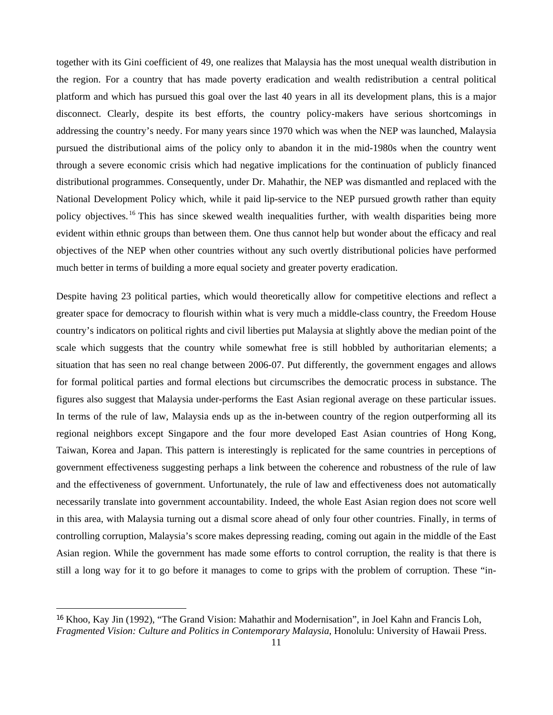together with its Gini coefficient of 49, one realizes that Malaysia has the most unequal wealth distribution in the region. For a country that has made poverty eradication and wealth redistribution a central political platform and which has pursued this goal over the last 40 years in all its development plans, this is a major disconnect. Clearly, despite its best efforts, the country policy-makers have serious shortcomings in addressing the country's needy. For many years since 1970 which was when the NEP was launched, Malaysia pursued the distributional aims of the policy only to abandon it in the mid-1980s when the country went through a severe economic crisis which had negative implications for the continuation of publicly financed distributional programmes. Consequently, under Dr. Mahathir, the NEP was dismantled and replaced with the National Development Policy which, while it paid lip-service to the NEP pursued growth rather than equity policy objectives.<sup>[1](#page-11-0)6</sup> This has since skewed wealth inequalities further, with wealth disparities being more evident within ethnic groups than between them. One thus cannot help but wonder about the efficacy and real objectives of the NEP when other countries without any such overtly distributional policies have performed much better in terms of building a more equal society and greater poverty eradication.

Despite having 23 political parties, which would theoretically allow for competitive elections and reflect a greater space for democracy to flourish within what is very much a middle-class country, the Freedom House country's indicators on political rights and civil liberties put Malaysia at slightly above the median point of the scale which suggests that the country while somewhat free is still hobbled by authoritarian elements; a situation that has seen no real change between 2006-07. Put differently, the government engages and allows for formal political parties and formal elections but circumscribes the democratic process in substance. The figures also suggest that Malaysia under-performs the East Asian regional average on these particular issues. In terms of the rule of law, Malaysia ends up as the in-between country of the region outperforming all its regional neighbors except Singapore and the four more developed East Asian countries of Hong Kong, Taiwan, Korea and Japan. This pattern is interestingly is replicated for the same countries in perceptions of government effectiveness suggesting perhaps a link between the coherence and robustness of the rule of law and the effectiveness of government. Unfortunately, the rule of law and effectiveness does not automatically necessarily translate into government accountability. Indeed, the whole East Asian region does not score well in this area, with Malaysia turning out a dismal score ahead of only four other countries. Finally, in terms of controlling corruption, Malaysia's score makes depressing reading, coming out again in the middle of the East Asian region. While the government has made some efforts to control corruption, the reality is that there is still a long way for it to go before it manages to come to grips with the problem of corruption. These "in-

<span id="page-11-0"></span><sup>16</sup> Khoo, Kay Jin (1992), "The Grand Vision: Mahathir and Modernisation", in Joel Kahn and Francis Loh, *Fragmented Vision: Culture and Politics in Contemporary Malaysia*, Honolulu: University of Hawaii Press.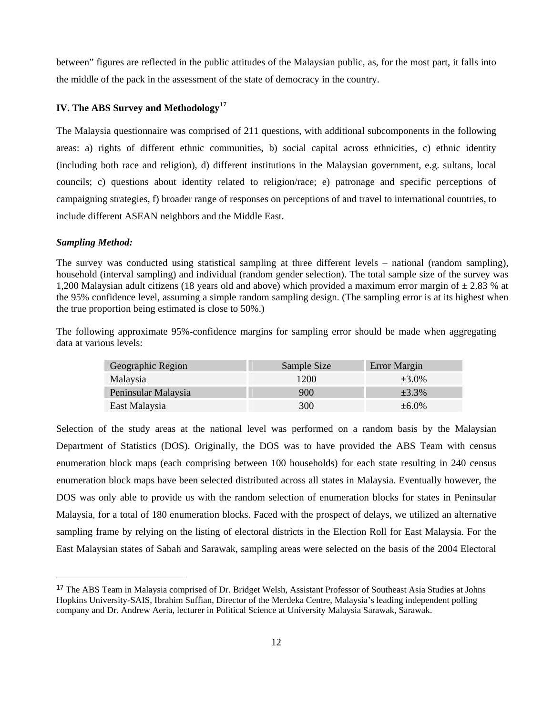between" figures are reflected in the public attitudes of the Malaysian public, as, for the most part, it falls into the middle of the pack in the assessment of the state of democracy in the country.

## **IV. The ABS Survey and Methodology[1](#page-12-0)7**

The Malaysia questionnaire was comprised of 211 questions, with additional subcomponents in the following areas: a) rights of different ethnic communities, b) social capital across ethnicities, c) ethnic identity (including both race and religion), d) different institutions in the Malaysian government, e.g. sultans, local councils; c) questions about identity related to religion/race; e) patronage and specific perceptions of campaigning strategies, f) broader range of responses on perceptions of and travel to international countries, to include different ASEAN neighbors and the Middle East.

#### *Sampling Method:*

The survey was conducted using statistical sampling at three different levels – national (random sampling), household (interval sampling) and individual (random gender selection). The total sample size of the survey was 1,200 Malaysian adult citizens (18 years old and above) which provided a maximum error margin of  $\pm$  2.83 % at the 95% confidence level, assuming a simple random sampling design. (The sampling error is at its highest when the true proportion being estimated is close to 50%.)

The following approximate 95%-confidence margins for sampling error should be made when aggregating data at various levels:

| Geographic Region   | Sample Size | Error Margin |
|---------------------|-------------|--------------|
| Malaysia            | 1200        | $\pm 3.0\%$  |
| Peninsular Malaysia | 900         | $\pm 3.3\%$  |
| East Malaysia       | 300         | $\pm 6.0\%$  |

Selection of the study areas at the national level was performed on a random basis by the Malaysian Department of Statistics (DOS). Originally, the DOS was to have provided the ABS Team with census enumeration block maps (each comprising between 100 households) for each state resulting in 240 census enumeration block maps have been selected distributed across all states in Malaysia. Eventually however, the DOS was only able to provide us with the random selection of enumeration blocks for states in Peninsular Malaysia, for a total of 180 enumeration blocks. Faced with the prospect of delays, we utilized an alternative sampling frame by relying on the listing of electoral districts in the Election Roll for East Malaysia. For the East Malaysian states of Sabah and Sarawak, sampling areas were selected on the basis of the 2004 Electoral

<span id="page-12-0"></span><sup>&</sup>lt;sup>17</sup> The ABS Team in Malaysia comprised of Dr. Bridget Welsh, Assistant Professor of Southeast Asia Studies at Johns Hopkins University-SAIS, Ibrahim Suffian, Director of the Merdeka Centre, Malaysia's leading independent polling company and Dr. Andrew Aeria, lecturer in Political Science at University Malaysia Sarawak, Sarawak.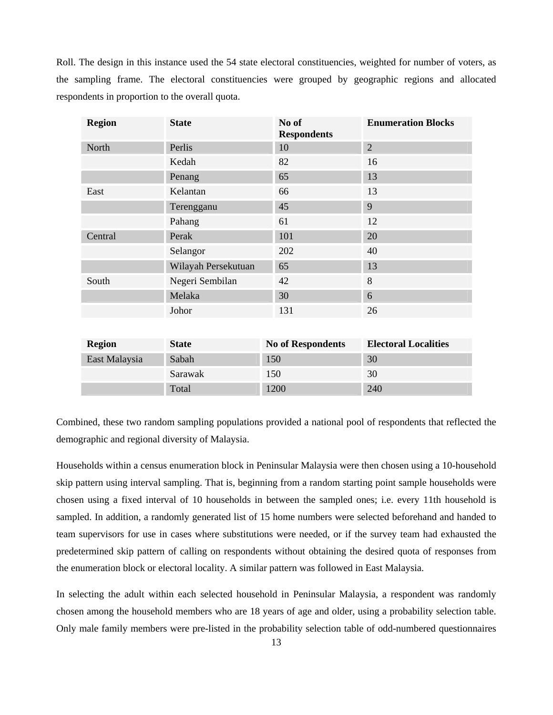Roll. The design in this instance used the 54 state electoral constituencies, weighted for number of voters, as the sampling frame. The electoral constituencies were grouped by geographic regions and allocated respondents in proportion to the overall quota.

| <b>Region</b> | <b>State</b>        | No of<br><b>Respondents</b> | <b>Enumeration Blocks</b> |
|---------------|---------------------|-----------------------------|---------------------------|
| North         | Perlis              | 10                          | $\overline{2}$            |
|               | Kedah               | 82                          | 16                        |
|               | Penang              | 65                          | 13                        |
| East          | Kelantan            | 66                          | 13                        |
|               | Terengganu          | 45                          | 9                         |
|               | Pahang              | 61                          | 12                        |
| Central       | Perak               | 101                         | 20                        |
|               | Selangor            | 202                         | 40                        |
|               | Wilayah Persekutuan | 65                          | 13                        |
| South         | Negeri Sembilan     | 42                          | 8                         |
|               | Melaka              | 30                          | 6                         |
|               | Johor               | 131                         | 26                        |
|               |                     |                             |                           |

| <b>Region</b> | <b>State</b> | <b>No of Respondents</b> | <b>Electoral Localities</b> |
|---------------|--------------|--------------------------|-----------------------------|
| East Malaysia | Sabah        | 150                      | 30                          |
|               | Sarawak      | 150                      | 30                          |
|               | Total        | 1200                     | 240                         |

Combined, these two random sampling populations provided a national pool of respondents that reflected the demographic and regional diversity of Malaysia.

Households within a census enumeration block in Peninsular Malaysia were then chosen using a 10-household skip pattern using interval sampling. That is, beginning from a random starting point sample households were chosen using a fixed interval of 10 households in between the sampled ones; i.e. every 11th household is sampled. In addition, a randomly generated list of 15 home numbers were selected beforehand and handed to team supervisors for use in cases where substitutions were needed, or if the survey team had exhausted the predetermined skip pattern of calling on respondents without obtaining the desired quota of responses from the enumeration block or electoral locality. A similar pattern was followed in East Malaysia.

In selecting the adult within each selected household in Peninsular Malaysia, a respondent was randomly chosen among the household members who are 18 years of age and older, using a probability selection table. Only male family members were pre-listed in the probability selection table of odd-numbered questionnaires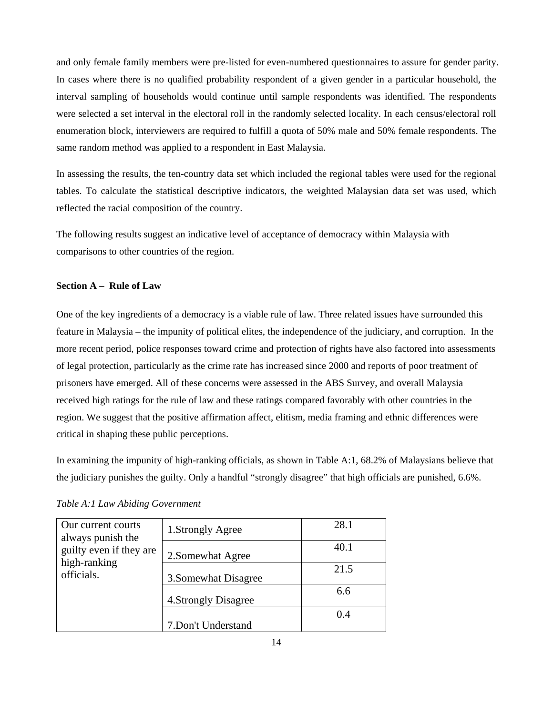and only female family members were pre-listed for even-numbered questionnaires to assure for gender parity. In cases where there is no qualified probability respondent of a given gender in a particular household, the interval sampling of households would continue until sample respondents was identified. The respondents were selected a set interval in the electoral roll in the randomly selected locality. In each census/electoral roll enumeration block, interviewers are required to fulfill a quota of 50% male and 50% female respondents. The same random method was applied to a respondent in East Malaysia.

In assessing the results, the ten-country data set which included the regional tables were used for the regional tables. To calculate the statistical descriptive indicators, the weighted Malaysian data set was used, which reflected the racial composition of the country.

The following results suggest an indicative level of acceptance of democracy within Malaysia with comparisons to other countries of the region.

## **Section A – Rule of Law**

One of the key ingredients of a democracy is a viable rule of law. Three related issues have surrounded this feature in Malaysia – the impunity of political elites, the independence of the judiciary, and corruption. In the more recent period, police responses toward crime and protection of rights have also factored into assessments of legal protection, particularly as the crime rate has increased since 2000 and reports of poor treatment of prisoners have emerged. All of these concerns were assessed in the ABS Survey, and overall Malaysia received high ratings for the rule of law and these ratings compared favorably with other countries in the region. We suggest that the positive affirmation affect, elitism, media framing and ethnic differences were critical in shaping these public perceptions.

In examining the impunity of high-ranking officials, as shown in Table A:1, 68.2% of Malaysians believe that the judiciary punishes the guilty. Only a handful "strongly disagree" that high officials are punished, 6.6%.

| Our current courts<br>always punish the<br>guilty even if they are<br>high-ranking<br>officials. | 1. Strongly Agree    | 28.1 |
|--------------------------------------------------------------------------------------------------|----------------------|------|
|                                                                                                  | 2. Somewhat Agree    | 40.1 |
|                                                                                                  | 3. Somewhat Disagree | 21.5 |
|                                                                                                  | 4. Strongly Disagree | 6.6  |
|                                                                                                  | 7.Don't Understand   | 0.4  |

*Table A:1 Law Abiding Government*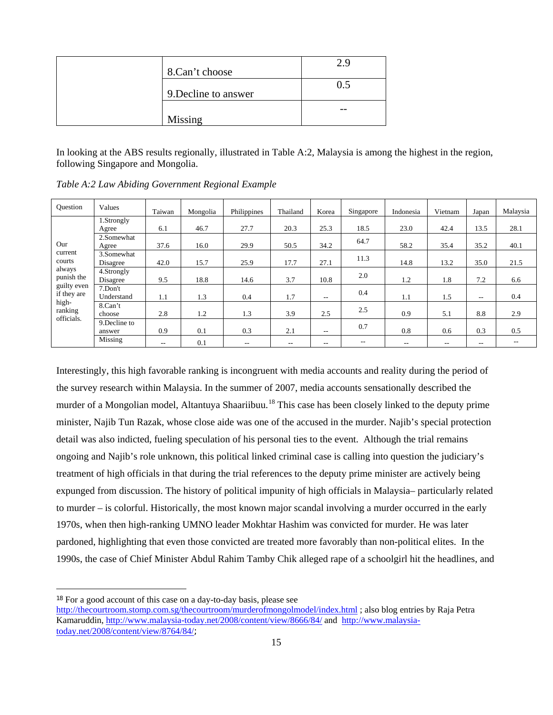| 8.Can't choose       |     |
|----------------------|-----|
| 9. Decline to answer | 0.5 |
| Missing              | --  |

In looking at the ABS results regionally, illustrated in Table A:2, Malaysia is among the highest in the region, following Singapore and Mongolia.

| Ouestion                                  | Values                  | Taiwan | Mongolia | Philippines | Thailand | Korea                    | Singapore | Indonesia | Vietnam | Japan | Malaysia |
|-------------------------------------------|-------------------------|--------|----------|-------------|----------|--------------------------|-----------|-----------|---------|-------|----------|
|                                           | 1.Strongly              |        |          |             |          |                          |           |           |         |       |          |
|                                           | Agree                   | 6.1    | 46.7     | 27.7        | 20.3     | 25.3                     | 18.5      | 23.0      | 42.4    | 13.5  | 28.1     |
| Our                                       | 2.Somewhat              |        |          |             |          |                          | 64.7      |           |         |       |          |
|                                           | Agree                   | 37.6   | 16.0     | 29.9        | 50.5     | 34.2                     |           | 58.2      | 35.4    | 35.2  | 40.1     |
| current<br>courts<br>always<br>punish the | 3.Somewhat<br>Disagree  | 42.0   | 15.7     | 25.9        | 17.7     | 27.1                     | 11.3      | 14.8      | 13.2    | 35.0  | 21.5     |
|                                           | 4.Strongly<br>Disagree  | 9.5    | 18.8     | 14.6        | 3.7      | 10.8                     | 2.0       | 1.2       | 1.8     | 7.2   | 6.6      |
| guilty even<br>if they are                | 7.Don't<br>Understand   | 1.1    | 1.3      | 0.4         | 1.7      | $ -$                     | 0.4       | 1.1       | 1.5     | $- -$ | 0.4      |
| high-<br>ranking<br>officials.            | 8.Can't<br>choose       | 2.8    | 1.2      | 1.3         | 3.9      | 2.5                      | 2.5       | 0.9       | 5.1     | 8.8   | 2.9      |
|                                           | 9. Decline to<br>answer | 0.9    | 0.1      | 0.3         | 2.1      | $\overline{\phantom{a}}$ | 0.7       | 0.8       | 0.6     | 0.3   | 0.5      |
|                                           | Missing                 | $- -$  | 0.1      | --          | $- -$    | $- -$                    | $- -$     | $- -$     | $- -$   | $- -$ | $ -$     |

*Table A:2 Law Abiding Government Regional Example* 

Interestingly, this high favorable ranking is incongruent with media accounts and reality during the period of the survey research within Malaysia. In the summer of 2007, media accounts sensationally described the murder of a Mongolian model, Altantuya Shaariibuu.<sup>[18](#page-15-0)</sup> This case has been closely linked to the deputy prime minister, Najib Tun Razak, whose close aide was one of the accused in the murder. Najib's special protection detail was also indicted, fueling speculation of his personal ties to the event. Although the trial remains ongoing and Najib's role unknown, this political linked criminal case is calling into question the judiciary's treatment of high officials in that during the trial references to the deputy prime minister are actively being expunged from discussion. The history of political impunity of high officials in Malaysia– particularly related to murder – is colorful. Historically, the most known major scandal involving a murder occurred in the early 1970s, when then high-ranking UMNO leader Mokhtar Hashim was convicted for murder. He was later pardoned, highlighting that even those convicted are treated more favorably than non-political elites. In the 1990s, the case of Chief Minister Abdul Rahim Tamby Chik alleged rape of a schoolgirl hit the headlines, and

 $\overline{a}$ 

<span id="page-15-0"></span><sup>18</sup> For a good account of this case on a day-to-day basis, please see

http://thecourtroom.stomp.com.sg/thecourtroom/murderofmongolmodel/index.html ; also blog entries by Raja Petra Kamaruddin, http://www.malaysia-today.net/2008/content/view/8666/84/ and http://www.malaysiatoday.net/2008/content/view/8764/84/;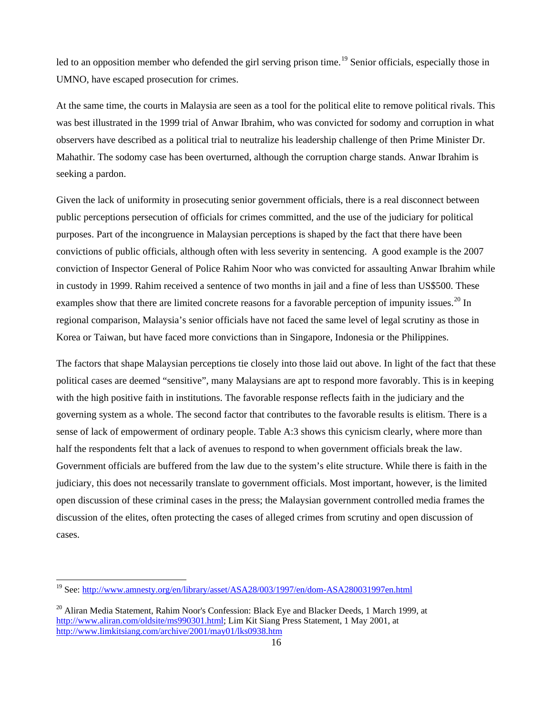led to an opposition member who defended the girl serving prison time.<sup>[19](#page-16-0)</sup> Senior officials, especially those in UMNO, have escaped prosecution for crimes.

At the same time, the courts in Malaysia are seen as a tool for the political elite to remove political rivals. This was best illustrated in the 1999 trial of Anwar Ibrahim, who was convicted for sodomy and corruption in what observers have described as a political trial to neutralize his leadership challenge of then Prime Minister Dr. Mahathir. The sodomy case has been overturned, although the corruption charge stands. Anwar Ibrahim is seeking a pardon.

Given the lack of uniformity in prosecuting senior government officials, there is a real disconnect between public perceptions persecution of officials for crimes committed, and the use of the judiciary for political purposes. Part of the incongruence in Malaysian perceptions is shaped by the fact that there have been convictions of public officials, although often with less severity in sentencing. A good example is the 2007 conviction of Inspector General of Police Rahim Noor who was convicted for assaulting Anwar Ibrahim while in custody in 1999. Rahim received a sentence of two months in jail and a fine of less than US\$500. These examples show that there are limited concrete reasons for a favorable perception of impunity issues.<sup>[20](#page-16-1)</sup> In regional comparison, Malaysia's senior officials have not faced the same level of legal scrutiny as those in Korea or Taiwan, but have faced more convictions than in Singapore, Indonesia or the Philippines.

The factors that shape Malaysian perceptions tie closely into those laid out above. In light of the fact that these political cases are deemed "sensitive", many Malaysians are apt to respond more favorably. This is in keeping with the high positive faith in institutions. The favorable response reflects faith in the judiciary and the governing system as a whole. The second factor that contributes to the favorable results is elitism. There is a sense of lack of empowerment of ordinary people. Table A:3 shows this cynicism clearly, where more than half the respondents felt that a lack of avenues to respond to when government officials break the law. Government officials are buffered from the law due to the system's elite structure. While there is faith in the judiciary, this does not necessarily translate to government officials. Most important, however, is the limited open discussion of these criminal cases in the press; the Malaysian government controlled media frames the discussion of the elites, often protecting the cases of alleged crimes from scrutiny and open discussion of cases.

<span id="page-16-0"></span><sup>&</sup>lt;sup>19</sup> See: http://www.amnesty.org/en/library/asset/ASA28/003/1997/en/dom-ASA280031997en.html

<span id="page-16-1"></span><sup>&</sup>lt;sup>20</sup> Aliran Media Statement, Rahim Noor's Confession: Black Eye and Blacker Deeds, 1 March 1999, at http://www.aliran.com/oldsite/ms990301.html; Lim Kit Siang Press Statement, 1 May 2001, at http://www.limkitsiang.com/archive/2001/may01/lks0938.htm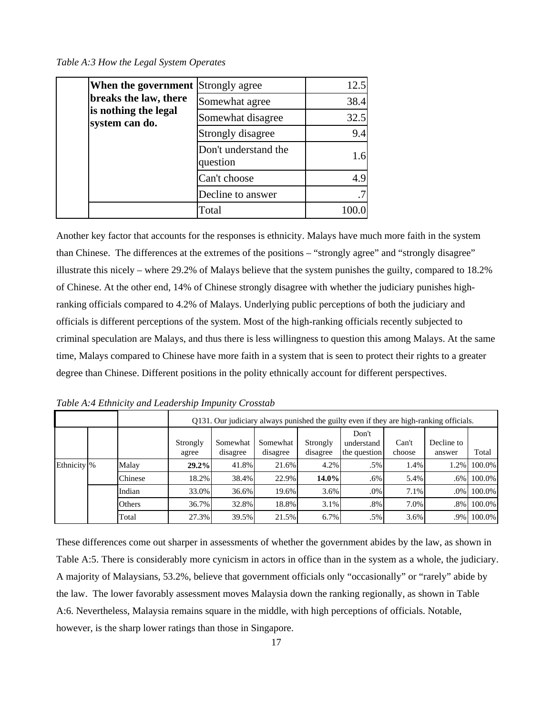*Table A:3 How the Legal System Operates* 

| <b>When the government</b> Strongly agree |                                  | 12.5 |
|-------------------------------------------|----------------------------------|------|
| breaks the law, there                     | Somewhat agree                   | 38.4 |
| is nothing the legal<br>system can do.    | Somewhat disagree                | 32.5 |
|                                           | Strongly disagree                | 9.4  |
|                                           | Don't understand the<br>question | 1.6  |
|                                           | Can't choose                     | 4.9  |
|                                           | Decline to answer                | .7   |
|                                           | Total                            |      |

Another key factor that accounts for the responses is ethnicity. Malays have much more faith in the system than Chinese. The differences at the extremes of the positions – "strongly agree" and "strongly disagree" illustrate this nicely – where 29.2% of Malays believe that the system punishes the guilty, compared to 18.2% of Chinese. At the other end, 14% of Chinese strongly disagree with whether the judiciary punishes highranking officials compared to 4.2% of Malays. Underlying public perceptions of both the judiciary and officials is different perceptions of the system. Most of the high-ranking officials recently subjected to criminal speculation are Malays, and thus there is less willingness to question this among Malays. At the same time, Malays compared to Chinese have more faith in a system that is seen to protect their rights to a greater degree than Chinese. Different positions in the polity ethnically account for different perspectives.

|              |         |                   |                      | Q131. Our judiciary always punished the guilty even if they are high-ranking officials. |                      |                                     |                 |                      |        |  |  |  |
|--------------|---------|-------------------|----------------------|-----------------------------------------------------------------------------------------|----------------------|-------------------------------------|-----------------|----------------------|--------|--|--|--|
|              |         | Strongly<br>agree | Somewhat<br>disagree | Somewhat<br>disagree                                                                    | Strongly<br>disagree | Don't<br>understand<br>the question | Can't<br>choose | Decline to<br>answer | Total  |  |  |  |
| Ethnicity \% | Malay   | 29.2%             | 41.8%                | 21.6%                                                                                   | 4.2%                 | $.5\%$                              | 1.4%            | 1.2%                 | 100.0% |  |  |  |
|              | Chinese | 18.2%             | 38.4%                | 22.9%                                                                                   | 14.0%                | .6%                                 | 5.4%            | $.6\%$               | 100.0% |  |  |  |
|              | Indian  | 33.0%             | 36.6%                | 19.6%                                                                                   | 3.6%                 | .0%                                 | 7.1%            | $.0\%$               | 100.0% |  |  |  |
|              | Others  | 36.7%             | 32.8%                | 18.8%                                                                                   | 3.1%                 | .8%                                 | 7.0%            | $.8\%$               | 100.0% |  |  |  |
|              | Total   | 27.3%             | 39.5%                | 21.5%                                                                                   | 6.7%                 | .5%                                 | 3.6%            | .9%                  | 100.0% |  |  |  |

*Table A:4 Ethnicity and Leadership Impunity Crosstab* 

These differences come out sharper in assessments of whether the government abides by the law, as shown in Table A:5. There is considerably more cynicism in actors in office than in the system as a whole, the judiciary. A majority of Malaysians, 53.2%, believe that government officials only "occasionally" or "rarely" abide by the law. The lower favorably assessment moves Malaysia down the ranking regionally, as shown in Table A:6. Nevertheless, Malaysia remains square in the middle, with high perceptions of officials. Notable, however, is the sharp lower ratings than those in Singapore.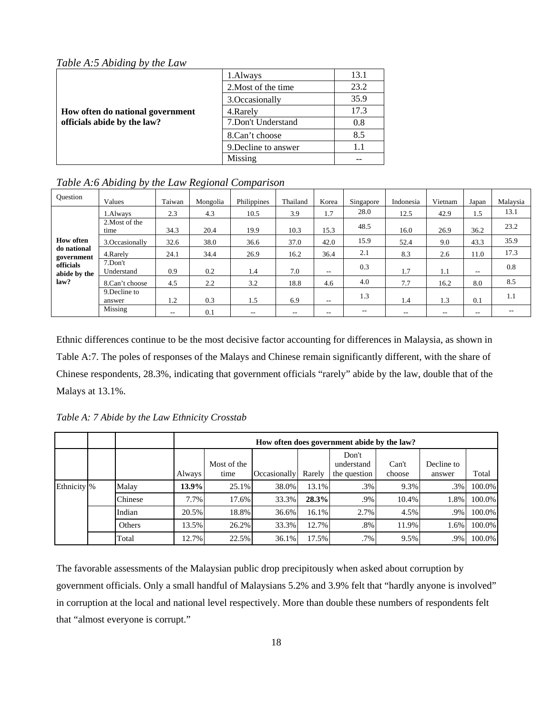*Table A:5 Abiding by the Law* 

|                                  | 1.Always             | 13.1   |
|----------------------------------|----------------------|--------|
|                                  | 2. Most of the time  | 23.2   |
|                                  | 3. Occasionally      | 35.9   |
| How often do national government | 4. Rarely            | 17.3   |
| officials abide by the law?      | 7. Don't Understand  | 0.8    |
|                                  | 8.Can't choose       | 8.5    |
|                                  | 9. Decline to answer | $1\;1$ |
|                                  | Missing              |        |

*Table A:6 Abiding by the Law Regional Comparison* 

| Ouestion                                      | Values                  | Taiwan                   | Mongolia | Philippines | Thailand | Korea                    | Singapore | Indonesia | Vietnam | Japan                    | Malaysia |
|-----------------------------------------------|-------------------------|--------------------------|----------|-------------|----------|--------------------------|-----------|-----------|---------|--------------------------|----------|
|                                               | 1.Always                | 2.3                      | 4.3      | 10.5        | 3.9      | 1.7                      | 28.0      | 12.5      | 42.9    | 1.5                      | 13.1     |
| <b>How often</b><br>do national<br>government | 2. Most of the<br>time  | 34.3                     | 20.4     | 19.9        | 10.3     | 15.3                     | 48.5      | 16.0      | 26.9    | 36.2                     | 23.2     |
|                                               | 3.Occasionally          | 32.6                     | 38.0     | 36.6        | 37.0     | 42.0                     | 15.9      | 52.4      | 9.0     | 43.3                     | 35.9     |
|                                               | 4. Rarely               | 24.1                     | 34.4     | 26.9        | 16.2     | 36.4                     | 2.1       | 8.3       | 2.6     | 11.0                     | 17.3     |
| officials<br>abide by the                     | 7.Don't<br>Understand   | 0.9                      | 0.2      | 1.4         | 7.0      | $- -$                    | 0.3       | 1.7       | 1.1     | $\overline{\phantom{a}}$ | 0.8      |
| law?                                          | 8.Can't choose          | 4.5                      | 2.2      | 3.2         | 18.8     | 4.6                      | 4.0       | 7.7       | 16.2    | 8.0                      | 8.5      |
|                                               | 9. Decline to<br>answer | 1.2                      | 0.3      | 1.5         | 6.9      | $\overline{\phantom{m}}$ | 1.3       | 1.4       | 1.3     | 0.1                      | 1.1      |
|                                               | Missing                 | $\overline{\phantom{a}}$ | 0.1      | $- -$       | $- -$    | $- -$                    | $- -$     | $- -$     | $- -$   | $\overline{\phantom{m}}$ | $- -$    |

Ethnic differences continue to be the most decisive factor accounting for differences in Malaysia, as shown in Table A:7. The poles of responses of the Malays and Chinese remain significantly different, with the share of Chinese respondents, 28.3%, indicating that government officials "rarely" abide by the law, double that of the Malays at 13.1%.

*Table A: 7 Abide by the Law Ethnicity Crosstab* 

|                        |         |               |                     |              |        | How often does government abide by the law? |                 |                      |        |
|------------------------|---------|---------------|---------------------|--------------|--------|---------------------------------------------|-----------------|----------------------|--------|
|                        |         | <b>Always</b> | Most of the<br>time | Occasionally | Rarely | Don't<br>understand<br>the question         | Can't<br>choose | Decline to<br>answer | Total  |
| Ethnicity <sup>8</sup> | Malay   | 13.9%         | $25.1\%$            | 38.0%        | 13.1%  | .3%                                         | 9.3%            | .3%                  | 100.0% |
|                        | Chinese | 7.7%          | 17.6%               | 33.3%        | 28.3%  | .9%                                         | 10.4%           | 1.8%                 | 100.0% |
|                        | Indian  | 20.5%         | 18.8%               | 36.6%        | 16.1%  | 2.7%                                        | 4.5%            | .9%                  | 100.0% |
|                        | Others  | 13.5%         | 26.2%               | 33.3%        | 12.7%  | .8%                                         | 11.9%           | 1.6%                 | 100.0% |
|                        | Total   | 12.7%         | 22.5%               | 36.1%        | 17.5%  | .7%                                         | 9.5%            | .9%                  | 100.0% |

The favorable assessments of the Malaysian public drop precipitously when asked about corruption by government officials. Only a small handful of Malaysians 5.2% and 3.9% felt that "hardly anyone is involved" in corruption at the local and national level respectively. More than double these numbers of respondents felt that "almost everyone is corrupt."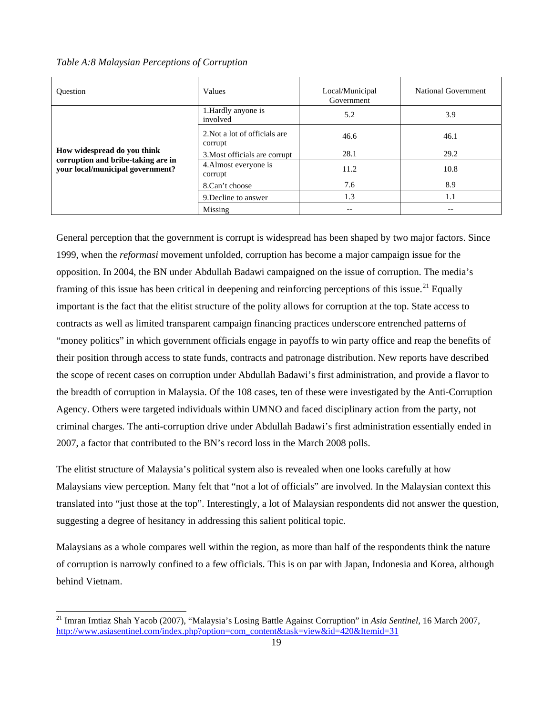*Table A:8 Malaysian Perceptions of Corruption* 

| <b>Ouestion</b>                                                   | Values                                   | Local/Municipal<br>Government | National Government      |
|-------------------------------------------------------------------|------------------------------------------|-------------------------------|--------------------------|
|                                                                   | 1. Hardly anyone is<br>involved          | 5.2                           | 3.9                      |
|                                                                   | 2. Not a lot of officials are<br>corrupt | 46.6                          | 46.1                     |
| How widespread do you think<br>corruption and bribe-taking are in | 3. Most officials are corrupt            | 28.1                          | 29.2                     |
| your local/municipal government?                                  | 4. Almost everyone is<br>corrupt         | 11.2                          | 10.8                     |
|                                                                   | 8.Can't choose                           | 7.6                           | 8.9                      |
|                                                                   | 9. Decline to answer                     | 1.3                           | 1.1                      |
|                                                                   | Missing                                  | $- -$                         | $\overline{\phantom{m}}$ |

General perception that the government is corrupt is widespread has been shaped by two major factors. Since 1999, when the *reformasi* movement unfolded, corruption has become a major campaign issue for the opposition. In 2004, the BN under Abdullah Badawi campaigned on the issue of corruption. The media's framing of this issue has been critical in deepening and reinforcing perceptions of this issue.<sup>[21](#page-19-0)</sup> Equally important is the fact that the elitist structure of the polity allows for corruption at the top. State access to contracts as well as limited transparent campaign financing practices underscore entrenched patterns of "money politics" in which government officials engage in payoffs to win party office and reap the benefits of their position through access to state funds, contracts and patronage distribution. New reports have described the scope of recent cases on corruption under Abdullah Badawi's first administration, and provide a flavor to the breadth of corruption in Malaysia. Of the 108 cases, ten of these were investigated by the Anti-Corruption Agency. Others were targeted individuals within UMNO and faced disciplinary action from the party, not criminal charges. The anti-corruption drive under Abdullah Badawi's first administration essentially ended in 2007, a factor that contributed to the BN's record loss in the March 2008 polls.

The elitist structure of Malaysia's political system also is revealed when one looks carefully at how Malaysians view perception. Many felt that "not a lot of officials" are involved. In the Malaysian context this translated into "just those at the top". Interestingly, a lot of Malaysian respondents did not answer the question, suggesting a degree of hesitancy in addressing this salient political topic.

Malaysians as a whole compares well within the region, as more than half of the respondents think the nature of corruption is narrowly confined to a few officials. This is on par with Japan, Indonesia and Korea, although behind Vietnam.

<span id="page-19-0"></span><sup>21</sup> Imran Imtiaz Shah Yacob (2007), "Malaysia's Losing Battle Against Corruption" in *Asia Sentinel*, 16 March 2007, http://www.asiasentinel.com/index.php?option=com\_content&task=view&id=420&Itemid=31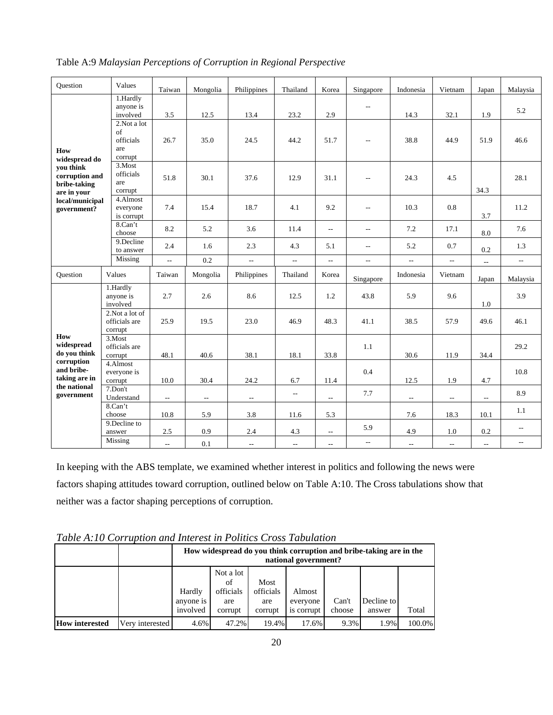| <b>Ouestion</b>                                            | Values                                           | Taiwan                   | Mongolia                 | Philippines              | Thailand                 | Korea                                               | Singapore                | Indonesia                   | Vietnam                  | Japan                     | Malaysia                 |
|------------------------------------------------------------|--------------------------------------------------|--------------------------|--------------------------|--------------------------|--------------------------|-----------------------------------------------------|--------------------------|-----------------------------|--------------------------|---------------------------|--------------------------|
|                                                            | 1.Hardly<br>anyone is<br>involved                | 3.5                      | 12.5                     | 13.4                     | 23.2                     | 2.9                                                 | $\overline{\phantom{a}}$ | 14.3                        | 32.1                     | 1.9                       | 5.2                      |
| How<br>widespread do                                       | 2.Not a lot<br>of<br>officials<br>are<br>corrupt | 26.7                     | 35.0                     | 24.5                     | 44.2                     | 51.7                                                | $\overline{\phantom{m}}$ | 38.8                        | 44.9                     | 51.9                      | 46.6                     |
| vou think<br>corruption and<br>bribe-taking<br>are in your | 3.Most<br>officials<br>are<br>corrupt            | 51.8                     | 30.1                     | 37.6                     | 12.9                     | 31.1                                                | $\overline{\phantom{m}}$ | 24.3                        | 4.5                      | 34.3                      | 28.1                     |
| local/municipal<br>government?                             | 4.Almost<br>everyone<br>is corrupt               | 7.4                      | 15.4                     | 18.7                     | 4.1                      | 9.2                                                 | $\qquad \qquad -$        | 10.3                        | 0.8                      | 3.7                       | 11.2                     |
|                                                            | 8.Can't<br>choose                                | 8.2                      | 5.2                      | 3.6                      | 11.4                     | $\overline{\phantom{a}}$                            | $\overline{a}$           | 7.2                         | 17.1                     | 8.0                       | 7.6                      |
|                                                            | 9.Decline<br>to answer                           | 2.4                      | 1.6                      | 2.3                      | 4.3                      | 5.1                                                 | $\overline{\phantom{a}}$ | 5.2                         | 0.7                      | 0.2                       | 1.3                      |
|                                                            | Missing                                          | Ξ.                       | 0.2                      | $\overline{\phantom{a}}$ | $\overline{\phantom{a}}$ | $\overline{\phantom{a}}$                            | $\sim$ $-$               | $\overline{a}$              | $\overline{\phantom{a}}$ | $\mathbb{L}^{\mathbb{L}}$ | $\overline{\phantom{a}}$ |
| <b>Ouestion</b>                                            | Values                                           | Taiwan                   | Mongolia                 | Philippines              | Thailand                 | Korea                                               | Singapore                | Indonesia                   | Vietnam                  | Japan                     | Malaysia                 |
|                                                            | 1.Hardly<br>anyone is<br>involved                | 2.7                      | 2.6                      | 8.6                      | 12.5                     | 1.2                                                 | 43.8                     | 5.9                         | 9.6                      | 1.0                       | 3.9                      |
|                                                            | 2. Not a lot of<br>officials are<br>corrupt      | 25.9                     | 19.5                     | 23.0                     | 46.9                     | 48.3                                                | 41.1                     | 38.5                        | 57.9                     | 49.6                      | 46.1                     |
| How<br>widespread<br>do you think                          | 3.Most<br>officials are<br>corrupt               | 48.1                     | 40.6                     | 38.1                     | 18.1                     | 33.8                                                | 1.1                      | 30.6                        | 11.9                     | 34.4                      | 29.2                     |
| corruption<br>and bribe-<br>taking are in                  | 4.Almost<br>everyone is<br>corrupt               | 10.0                     | 30.4                     | 24.2                     | 6.7                      | 11.4                                                | 0.4                      | 12.5                        | 1.9                      | 4.7                       | 10.8                     |
| the national<br>government                                 | 7.Don't<br>Understand                            | $\overline{\phantom{a}}$ | $\overline{\phantom{a}}$ | $\overline{\phantom{a}}$ | цц.                      | $\overline{\phantom{a}}$                            | 7.7                      | $\mathcal{L}_{\mathcal{F}}$ | $\overline{\phantom{a}}$ | $\overline{a}$            | 8.9                      |
|                                                            | 8.Can't<br>choose                                | 10.8                     | 5.9                      | 3.8                      | 11.6                     | 5.3                                                 |                          | 7.6                         | 18.3                     | 10.1                      | 1.1                      |
|                                                            | 9. Decline to<br>answer                          | 2.5                      | 0.9                      | 2.4                      | 4.3                      | $\hspace{0.05cm} -\hspace{0.05cm} -\hspace{0.05cm}$ | 5.9                      | 4.9                         | 1.0                      | 0.2                       | $\overline{\phantom{a}}$ |
|                                                            | Missing                                          | --                       | 0.1                      | $\overline{a}$           | цц.                      | $- -$                                               | $\overline{a}$           | $\overline{\phantom{a}}$    | $\sim$                   | $\sim$                    | $\overline{\phantom{a}}$ |

Table A:9 *Malaysian Perceptions of Corruption in Regional Perspective* 

In keeping with the ABS template, we examined whether interest in politics and following the news were factors shaping attitudes toward corruption, outlined below on Table A:10. The Cross tabulations show that neither was a factor shaping perceptions of corruption.

*Table A:10 Corruption and Interest in Politics Cross Tabulation* 

|                       |                 | How widespread do you think corruption and bribe-taking are in the<br>national government? |                                     |                          |                    |        |            |           |  |
|-----------------------|-----------------|--------------------------------------------------------------------------------------------|-------------------------------------|--------------------------|--------------------|--------|------------|-----------|--|
|                       |                 | Hardly<br>anyone is                                                                        | Not a lot<br>of<br>officials<br>are | Most<br>officials<br>are | Almost<br>everyone | Can't  | Decline to |           |  |
|                       |                 | involved                                                                                   | corrupt                             | corrupt                  | is corrupt         | choose | answer     | Total     |  |
| <b>How interested</b> | Very interested | 4.6%                                                                                       | 47.2%                               | 19.4%                    | 17.6%              | 9.3%   | 1.9%       | $100.0\%$ |  |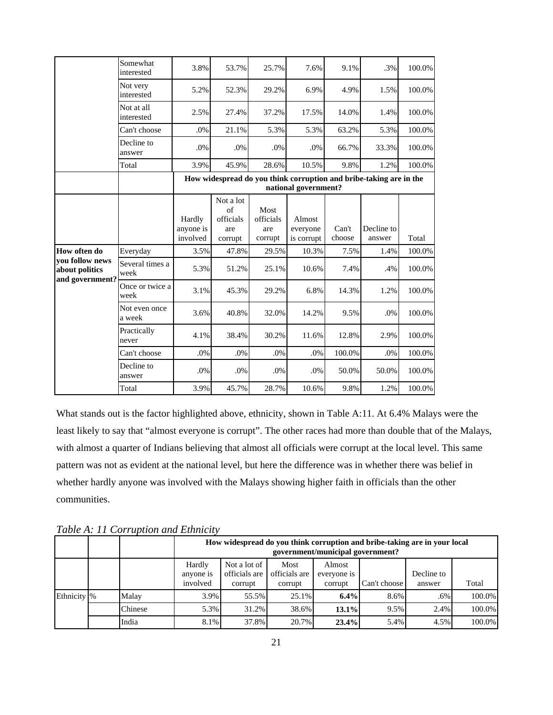|                                                      | Somewhat<br>interested   | 3.8%      | 53.7%           | 25.7%             | 7.6%                 | 9.1%   | .3%                                                                | 100.0% |
|------------------------------------------------------|--------------------------|-----------|-----------------|-------------------|----------------------|--------|--------------------------------------------------------------------|--------|
|                                                      | Not very<br>interested   | 5.2%      | 52.3%           | 29.2%             | 6.9%                 | 4.9%   | 1.5%                                                               | 100.0% |
|                                                      | Not at all<br>interested | 2.5%      | 27.4%           | 37.2%             | 17.5%                | 14.0%  | 1.4%                                                               | 100.0% |
|                                                      | Can't choose             | .0%       | 21.1%           | 5.3%              | 5.3%                 | 63.2%  | 5.3%                                                               | 100.0% |
|                                                      | Decline to<br>answer     | .0%       | .0%             | .0%               | .0%                  | 66.7%  | 33.3%                                                              | 100.0% |
|                                                      | Total                    | 3.9%      | 45.9%           | 28.6%             | 10.5%                | 9.8%   | 1.2%                                                               | 100.0% |
|                                                      |                          |           |                 |                   |                      |        | How widespread do you think corruption and bribe-taking are in the |        |
|                                                      |                          |           |                 |                   | national government? |        |                                                                    |        |
|                                                      |                          |           | Not a lot       |                   |                      |        |                                                                    |        |
|                                                      |                          | Hardly    | of<br>officials | Most<br>officials | Almost               |        |                                                                    |        |
|                                                      |                          | anyone is | are             | are               | everyone             | Can't  | Decline to                                                         |        |
|                                                      |                          | involved  | corrupt         | corrupt           | is corrupt           | choose | answer                                                             | Total  |
| How often do                                         | Everyday                 | 3.5%      | 47.8%           | 29.5%             | 10.3%                | 7.5%   | 1.4%                                                               | 100.0% |
| you follow news<br>about politics<br>and government? | Several times a<br>week  | 5.3%      | 51.2%           | 25.1%             | 10.6%                | 7.4%   | .4%                                                                | 100.0% |
|                                                      | Once or twice a<br>week  | 3.1%      | 45.3%           | 29.2%             | 6.8%                 | 14.3%  | 1.2%                                                               | 100.0% |
|                                                      | Not even once<br>a week  | 3.6%      | 40.8%           | 32.0%             | 14.2%                | 9.5%   | .0%                                                                | 100.0% |
|                                                      | Practically<br>never     | 4.1%      | 38.4%           | 30.2%             | 11.6%                | 12.8%  | 2.9%                                                               | 100.0% |
|                                                      | Can't choose             | $.0\%$    | $.0\%$          | .0%               | $.0\%$               | 100.0% | .0%                                                                | 100.0% |
|                                                      | Decline to<br>answer     | .0%       | .0%             | .0%               | .0%                  | 50.0%  | 50.0%                                                              | 100.0% |
|                                                      | Total                    | 3.9%      | 45.7%           | 28.7%             | 10.6%                | 9.8%   | 1.2%                                                               | 100.0% |

What stands out is the factor highlighted above, ethnicity, shown in Table A:11. At 6.4% Malays were the least likely to say that "almost everyone is corrupt". The other races had more than double that of the Malays, with almost a quarter of Indians believing that almost all officials were corrupt at the local level. This same pattern was not as evident at the national level, but here the difference was in whether there was belief in whether hardly anyone was involved with the Malays showing higher faith in officials than the other communities.

*Table A: 11 Corruption and Ethnicity* 

|                         |         |                                 | How widespread do you think corruption and bribe-taking are in your local<br>government/municipal government? |                                  |                                  |              |                      |        |  |  |
|-------------------------|---------|---------------------------------|---------------------------------------------------------------------------------------------------------------|----------------------------------|----------------------------------|--------------|----------------------|--------|--|--|
|                         |         | Hardly<br>anyone is<br>involved | Not a lot of<br>officials are<br>corrupt                                                                      | Most<br>officials are<br>corrupt | Almost<br>everyone is<br>corrupt | Can't choose | Decline to<br>answer | Total  |  |  |
| Ethnicity <sup>96</sup> | Malay   | 3.9%                            | 55.5%                                                                                                         | $25.1\%$                         | 6.4%                             | 8.6%         | $.6\%$               | 100.0% |  |  |
|                         | Chinese | 5.3%                            | 31.2%                                                                                                         | 38.6%                            | 13.1%                            | 9.5%         | 2.4%                 | 100.0% |  |  |
|                         | India   | 8.1%                            | 37.8%                                                                                                         | 20.7%                            | 23.4%                            | 5.4%         | 4.5%                 | 100.0% |  |  |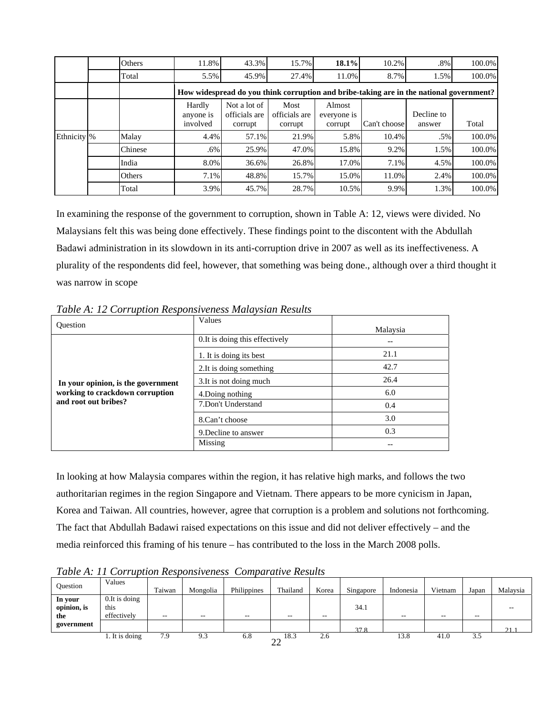|                         | Others  | 11.8%                           | 43.3%                                    | 15.7%                            | 18.1%                            | 10.2%        | $.8\%$                                                                                  | 100.0% |
|-------------------------|---------|---------------------------------|------------------------------------------|----------------------------------|----------------------------------|--------------|-----------------------------------------------------------------------------------------|--------|
|                         | Total   | 5.5%                            | 45.9%                                    | 27.4%                            | 11.0%                            | 8.7%         | 1.5%                                                                                    | 100.0% |
|                         |         |                                 |                                          |                                  |                                  |              | How widespread do you think corruption and bribe-taking are in the national government? |        |
|                         |         | Hardly<br>anyone is<br>involved | Not a lot of<br>officials are<br>corrupt | Most<br>officials are<br>corrupt | Almost<br>everyone is<br>corrupt | Can't choose | Decline to<br>answer                                                                    | Total  |
| Ethnicity <sup>96</sup> | Malay   | 4.4%                            | 57.1%                                    | 21.9%                            | 5.8%                             | 10.4%        | .5%                                                                                     | 100.0% |
|                         | Chinese | .6%                             | 25.9%                                    | 47.0%                            | 15.8%                            | 9.2%         | 1.5%                                                                                    | 100.0% |
|                         | India   | 8.0%                            | 36.6%                                    | 26.8%                            | 17.0%                            | 7.1%         | 4.5%                                                                                    | 100.0% |
|                         | Others  | 7.1%                            | 48.8%                                    | 15.7%                            | 15.0%                            | 11.0%        | 2.4%                                                                                    | 100.0% |
|                         | Total   | 3.9%                            | 45.7%                                    | 28.7%                            | 10.5%                            | 9.9%         | 1.3%                                                                                    | 100.0% |

In examining the response of the government to corruption, shown in Table A: 12, views were divided. No Malaysians felt this was being done effectively. These findings point to the discontent with the Abdullah Badawi administration in its slowdown in its anti-corruption drive in 2007 as well as its ineffectiveness. A plurality of the respondents did feel, however, that something was being done., although over a third thought it was narrow in scope

| <b>Ouestion</b>                    | Values                          | Malaysia |
|------------------------------------|---------------------------------|----------|
|                                    | 0. It is doing this effectively |          |
|                                    | 1. It is doing its best         | 21.1     |
|                                    | 2. It is doing something        | 42.7     |
| In your opinion, is the government | 3. It is not doing much         | 26.4     |
| working to crackdown corruption    | 4. Doing nothing                | 6.0      |
| and root out bribes?               | 7.Don't Understand              | 0.4      |
|                                    | 8.Can't choose                  | 3.0      |
|                                    | 9. Decline to answer            | 0.3      |
|                                    | Missing                         |          |

*Table A: 12 Corruption Responsiveness Malaysian Results* 

In looking at how Malaysia compares within the region, it has relative high marks, and follows the two authoritarian regimes in the region Singapore and Vietnam. There appears to be more cynicism in Japan, Korea and Taiwan. All countries, however, agree that corruption is a problem and solutions not forthcoming. The fact that Abdullah Badawi raised expectations on this issue and did not deliver effectively – and the media reinforced this framing of his tenure – has contributed to the loss in the March 2008 polls.

*Table A: 11 Corruption Responsiveness Comparative Results* 

| <b>Ouestion</b>               | Values                                  | Taiwan | Mongolia | Philippines              | Thailand             | Korea  | Singapore | Indonesia | Vietnam | Japan | Malaysia |
|-------------------------------|-----------------------------------------|--------|----------|--------------------------|----------------------|--------|-----------|-----------|---------|-------|----------|
| In your<br>opinion, is<br>the | $0.$ It is doing<br>this<br>effectively | $- -$  | $- -$    | $\overline{\phantom{a}}$ | $- -$                | $-\,-$ | 34.1      | $- -$     | $- -$   | $- -$ |          |
| government                    |                                         |        |          |                          |                      |        | 37.8      |           |         |       | 21.1     |
|                               | 1. It is doing                          | 7.9    | 9.3      | 6.8                      | 18.3<br>$\sim$<br>∠∠ | 2.6    |           | 13.8      | 41.0    | 3.5   |          |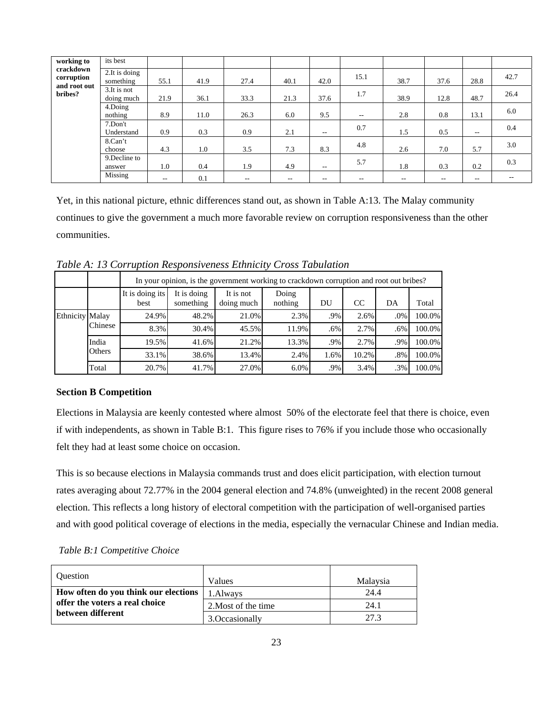| working to              | its best                    |       |      |       |       |       |       |       |       |       |       |
|-------------------------|-----------------------------|-------|------|-------|-------|-------|-------|-------|-------|-------|-------|
| crackdown<br>corruption | 2. It is doing<br>something | 55.1  | 41.9 | 27.4  | 40.1  | 42.0  | 15.1  | 38.7  | 37.6  | 28.8  | 42.7  |
| and root out<br>bribes? | 3. It is not<br>doing much  | 21.9  | 36.1 | 33.3  | 21.3  | 37.6  | 1.7   | 38.9  | 12.8  | 48.7  | 26.4  |
|                         | 4.Doing<br>nothing          | 8.9   | 11.0 | 26.3  | 6.0   | 9.5   | $- -$ | 2.8   | 0.8   | 13.1  | 6.0   |
|                         | 7.Don't<br>Understand       | 0.9   | 0.3  | 0.9   | 2.1   | $- -$ | 0.7   | 1.5   | 0.5   | $- -$ | 0.4   |
|                         | 8.Can't<br>choose           | 4.3   | 1.0  | 3.5   | 7.3   | 8.3   | 4.8   | 2.6   | 7.0   | 5.7   | 3.0   |
|                         | 9. Decline to<br>answer     | 1.0   | 0.4  | 1.9   | 4.9   | $- -$ | 5.7   | 1.8   | 0.3   | 0.2   | 0.3   |
|                         | Missing                     | $- -$ | 0.1  | $- -$ | $- -$ | $- -$ | --    | $- -$ | $- -$ | $- -$ | $- -$ |

Yet, in this national picture, ethnic differences stand out, as shown in Table A:13. The Malay community continues to give the government a much more favorable review on corruption responsiveness than the other communities.

|                        |         |                         | In your opinion, is the government working to crackdown corruption and root out bribes? |                         |                  |      |       |     |        |  |  |
|------------------------|---------|-------------------------|-----------------------------------------------------------------------------------------|-------------------------|------------------|------|-------|-----|--------|--|--|
|                        |         | It is doing its<br>best | It is doing<br>something                                                                | It is not<br>doing much | Doing<br>nothing | DU   | CC    | DA  | Total  |  |  |
| <b>Ethnicity Malay</b> |         | 24.9%                   | 48.2%                                                                                   | 21.0%                   | 2.3%             | .9%  | 2.6%  | .0% | 100.0% |  |  |
|                        | Chinese | 8.3%                    | 30.4%                                                                                   | 45.5%                   | 11.9%            | .6%  | 2.7%  | .6% | 100.0% |  |  |
|                        | India   | 19.5%                   | 41.6%                                                                                   | 21.2%                   | 13.3%            | .9%  | 2.7%  | .9% | 100.0% |  |  |
|                        | Others  | 33.1%                   | 38.6%                                                                                   | 13.4%                   | 2.4%             | 1.6% | 10.2% | .8% | 100.0% |  |  |
|                        | Total   | 20.7%                   | 41.7%                                                                                   | 27.0%                   | 6.0%             | .9%  | 3.4%  | .3% | 100.0% |  |  |

*Table A: 13 Corruption Responsiveness Ethnicity Cross Tabulation* 

# **Section B Competition**

Elections in Malaysia are keenly contested where almost 50% of the electorate feel that there is choice, even if with independents, as shown in Table B:1. This figure rises to 76% if you include those who occasionally felt they had at least some choice on occasion.

This is so because elections in Malaysia commands trust and does elicit participation, with election turnout rates averaging about 72.77% in the 2004 general election and 74.8% (unweighted) in the recent 2008 general election. This reflects a long history of electoral competition with the participation of well-organised parties and with good political coverage of elections in the media, especially the vernacular Chinese and Indian media.

*Table B:1 Competitive Choice*

| <b>Ouestion</b>                                     | Values              | Malaysia |
|-----------------------------------------------------|---------------------|----------|
| How often do you think our elections                | 1. Always           | 24.4     |
| offer the voters a real choice<br>between different | 2. Most of the time | 24.1     |
|                                                     | 3. Occasionally     | 27.3     |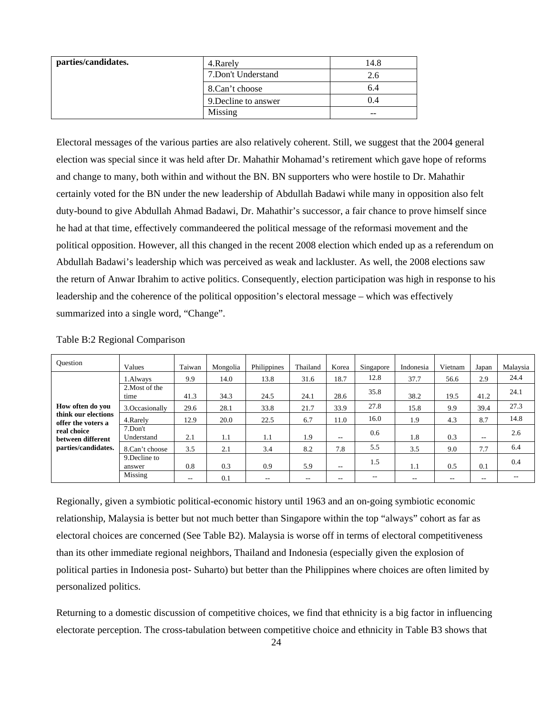| parties/candidates. | 4. Rarely            | 14.8 |
|---------------------|----------------------|------|
|                     | 7. Don't Understand  | 2.6  |
|                     | 8.Can't choose       | 6.4  |
|                     | 9. Decline to answer | 0.4  |
|                     | Missing              | --   |

Electoral messages of the various parties are also relatively coherent. Still, we suggest that the 2004 general election was special since it was held after Dr. Mahathir Mohamad's retirement which gave hope of reforms and change to many, both within and without the BN. BN supporters who were hostile to Dr. Mahathir certainly voted for the BN under the new leadership of Abdullah Badawi while many in opposition also felt duty-bound to give Abdullah Ahmad Badawi, Dr. Mahathir's successor, a fair chance to prove himself since he had at that time, effectively commandeered the political message of the reformasi movement and the political opposition. However, all this changed in the recent 2008 election which ended up as a referendum on Abdullah Badawi's leadership which was perceived as weak and lackluster. As well, the 2008 elections saw the return of Anwar Ibrahim to active politics. Consequently, election participation was high in response to his leadership and the coherence of the political opposition's electoral message – which was effectively summarized into a single word, "Change".

| <b>Ouestion</b>                           | Values                  | Taiwan | Mongolia | Philippines | Thailand | Korea | Singapore | Indonesia | Vietnam | Japan                    | Malaysia |
|-------------------------------------------|-------------------------|--------|----------|-------------|----------|-------|-----------|-----------|---------|--------------------------|----------|
|                                           | 1.Always                | 9.9    | 14.0     | 13.8        | 31.6     | 18.7  | 12.8      | 37.7      | 56.6    | 2.9                      | 24.4     |
|                                           | 2. Most of the<br>time  | 41.3   | 34.3     | 24.5        | 24.1     | 28.6  | 35.8      | 38.2      | 19.5    | 41.2                     | 24.1     |
| How often do you                          | 3. Occasionally         | 29.6   | 28.1     | 33.8        | 21.7     | 33.9  | 27.8      | 15.8      | 9.9     | 39.4                     | 27.3     |
| think our elections<br>offer the voters a | 4.Rarely                | 12.9   | 20.0     | 22.5        | 6.7      | 11.0  | 16.0      | 1.9       | 4.3     | 8.7                      | 14.8     |
| real choice<br>between different          | 7.Don't<br>Understand   | 2.1    | 1.1      | 1.1         | 1.9      | $- -$ | 0.6       | 1.8       | 0.3     | $\overline{\phantom{a}}$ | 2.6      |
| parties/candidates.                       | 8.Can't choose          | 3.5    | 2.1      | 3.4         | 8.2      | 7.8   | 5.5       | 3.5       | 9.0     | 7.7                      | 6.4      |
|                                           | 9. Decline to<br>answer | 0.8    | 0.3      | 0.9         | 5.9      | $- -$ | 1.5       | 1.1       | 0.5     | 0.1                      | 0.4      |
|                                           | Missing                 | $- -$  | 0.1      | $- -$       | $- -$    | $- -$ |           |           | --      | $- -$                    |          |

Table B:2 Regional Comparison

Regionally, given a symbiotic political-economic history until 1963 and an on-going symbiotic economic relationship, Malaysia is better but not much better than Singapore within the top "always" cohort as far as electoral choices are concerned (See Table B2). Malaysia is worse off in terms of electoral competitiveness than its other immediate regional neighbors, Thailand and Indonesia (especially given the explosion of political parties in Indonesia post- Suharto) but better than the Philippines where choices are often limited by personalized politics.

Returning to a domestic discussion of competitive choices, we find that ethnicity is a big factor in influencing electorate perception. The cross-tabulation between competitive choice and ethnicity in Table B3 shows that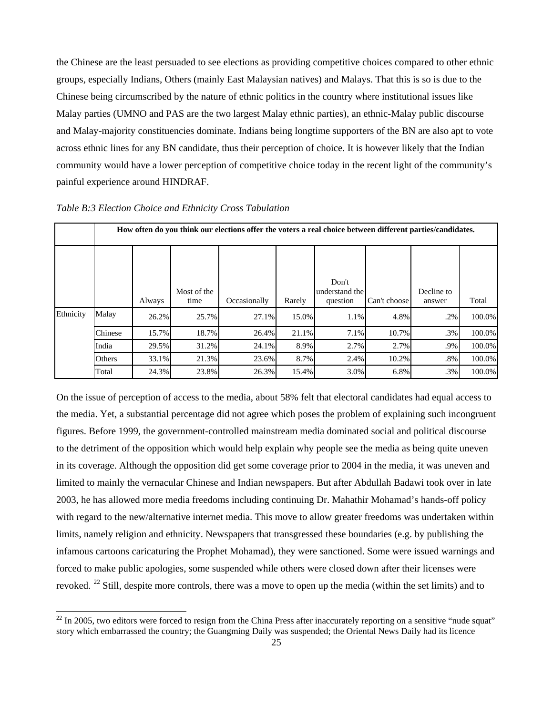the Chinese are the least persuaded to see elections as providing competitive choices compared to other ethnic groups, especially Indians, Others (mainly East Malaysian natives) and Malays. That this is so is due to the Chinese being circumscribed by the nature of ethnic politics in the country where institutional issues like Malay parties (UMNO and PAS are the two largest Malay ethnic parties), an ethnic-Malay public discourse and Malay-majority constituencies dominate. Indians being longtime supporters of the BN are also apt to vote across ethnic lines for any BN candidate, thus their perception of choice. It is however likely that the Indian community would have a lower perception of competitive choice today in the recent light of the community's painful experience around HINDRAF.

|           |         | How often do you think our elections offer the voters a real choice between different parties/candidates. |                     |              |        |                                     |              |                      |        |  |  |  |  |  |  |
|-----------|---------|-----------------------------------------------------------------------------------------------------------|---------------------|--------------|--------|-------------------------------------|--------------|----------------------|--------|--|--|--|--|--|--|
|           |         | Always                                                                                                    | Most of the<br>time | Occasionally | Rarely | Don't<br>understand the<br>question | Can't choose | Decline to<br>answer | Total  |  |  |  |  |  |  |
| Ethnicity | Malay   | 26.2%                                                                                                     | 25.7%               | 27.1%        | 15.0%  | 1.1%                                | 4.8%         | .2%                  | 100.0% |  |  |  |  |  |  |
|           | Chinese | 15.7%                                                                                                     | 18.7%               | 26.4%        | 21.1%  | 7.1%                                | 10.7%        | .3%                  | 100.0% |  |  |  |  |  |  |
|           | India   | 29.5%                                                                                                     | 31.2%               | 24.1%        | 8.9%   | 2.7%                                | 2.7%         | .9%                  | 100.0% |  |  |  |  |  |  |
|           | Others  | 33.1%                                                                                                     | 21.3%               | 23.6%        | 8.7%   | 2.4%                                | 10.2%        | .8%                  | 100.0% |  |  |  |  |  |  |
|           | Total   | 24.3%                                                                                                     | 23.8%               | 26.3%        | 15.4%  | 3.0%                                | 6.8%         | .3%                  | 100.0% |  |  |  |  |  |  |

*Table B:3 Election Choice and Ethnicity Cross Tabulation* 

On the issue of perception of access to the media, about 58% felt that electoral candidates had equal access to the media. Yet, a substantial percentage did not agree which poses the problem of explaining such incongruent figures. Before 1999, the government-controlled mainstream media dominated social and political discourse to the detriment of the opposition which would help explain why people see the media as being quite uneven in its coverage. Although the opposition did get some coverage prior to 2004 in the media, it was uneven and limited to mainly the vernacular Chinese and Indian newspapers. But after Abdullah Badawi took over in late 2003, he has allowed more media freedoms including continuing Dr. Mahathir Mohamad's hands-off policy with regard to the new/alternative internet media. This move to allow greater freedoms was undertaken within limits, namely religion and ethnicity. Newspapers that transgressed these boundaries (e.g. by publishing the infamous cartoons caricaturing the Prophet Mohamad), they were sanctioned. Some were issued warnings and forced to make public apologies, some suspended while others were closed down after their licenses were revoked. [2](#page-25-0)2 Still, despite more controls, there was a move to open up the media (within the set limits) and to

<span id="page-25-0"></span> $22$  In 2005, two editors were forced to resign from the China Press after inaccurately reporting on a sensitive "nude squat" story which embarrassed the country; the Guangming Daily was suspended; the Oriental News Daily had its licence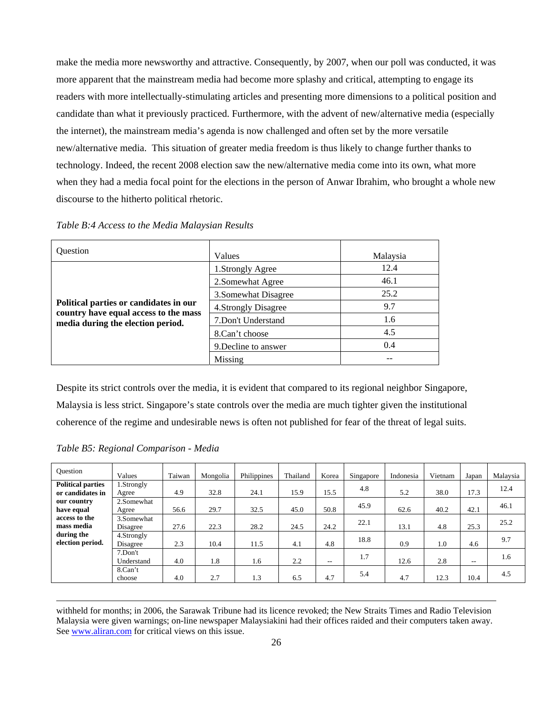make the media more newsworthy and attractive. Consequently, by 2007, when our poll was conducted, it was more apparent that the mainstream media had become more splashy and critical, attempting to engage its readers with more intellectually-stimulating articles and presenting more dimensions to a political position and candidate than what it previously practiced. Furthermore, with the advent of new/alternative media (especially the internet), the mainstream media's agenda is now challenged and often set by the more versatile new/alternative media. This situation of greater media freedom is thus likely to change further thanks to technology. Indeed, the recent 2008 election saw the new/alternative media come into its own, what more when they had a media focal point for the elections in the person of Anwar Ibrahim, who brought a whole new discourse to the hitherto political rhetoric.

| <b>Ouestion</b>                                                                 | Values               | Malaysia |
|---------------------------------------------------------------------------------|----------------------|----------|
|                                                                                 | 1.Strongly Agree     | 12.4     |
|                                                                                 | 2. Somewhat Agree    | 46.1     |
|                                                                                 | 3. Somewhat Disagree | 25.2     |
| Political parties or candidates in our<br>country have equal access to the mass | 4. Strongly Disagree | 9.7      |
| media during the election period.                                               | 7. Don't Understand  | 1.6      |
|                                                                                 | 8.Can't choose       | 4.5      |
|                                                                                 | 9. Decline to answer | 0.4      |
|                                                                                 | Missing              |          |

*Table B:4 Access to the Media Malaysian Results* 

Despite its strict controls over the media, it is evident that compared to its regional neighbor Singapore, Malaysia is less strict. Singapore's state controls over the media are much tighter given the institutional coherence of the regime and undesirable news is often not published for fear of the threat of legal suits.

|  | Table B5: Regional Comparison - Media |  |
|--|---------------------------------------|--|
|  |                                       |  |

| Ouestion                 | Values      | Taiwan | Mongolia | Philippines | Thailand | Korea | Singapore | Indonesia | Vietnam | Japan | Malaysia |
|--------------------------|-------------|--------|----------|-------------|----------|-------|-----------|-----------|---------|-------|----------|
| <b>Political parties</b> | 1.Strongly  |        |          |             |          |       | 4.8       |           |         |       | 12.4     |
| or candidates in         | Agree       | 4.9    | 32.8     | 24.1        | 15.9     | 15.5  |           | 5.2       | 38.0    | 17.3  |          |
| our country              | 2.Somewhat  |        |          |             |          |       | 45.9      |           |         |       | 46.1     |
| have equal               | Agree       | 56.6   | 29.7     | 32.5        | 45.0     | 50.8  |           | 62.6      | 40.2    | 42.1  |          |
| access to the            | 3.Somewhat  |        |          |             |          |       | 22.1      |           |         |       | 25.2     |
| mass media               | Disagree    | 27.6   | 22.3     | 28.2        | 24.5     | 24.2  |           | 13.1      | 4.8     | 25.3  |          |
| during the               | 4. Strongly |        |          |             |          |       |           |           |         |       |          |
| election period.         | Disagree    | 2.3    | 10.4     | 11.5        | 4.1      | 4.8   | 18.8      | 0.9       | 1.0     | 4.6   | 9.7      |
|                          | 7.Don't     |        |          |             |          |       | 1.7       |           |         |       | 1.6      |
|                          | Understand  | 4.0    | 1.8      | 1.6         | 2.2      | $- -$ |           | 12.6      | 2.8     | $- -$ |          |
|                          | 8.Can't     |        |          |             |          |       |           |           |         |       | 4.5      |
|                          | choose      | 4.0    | 2.7      | 1.3         | 6.5      | 4.7   | 5.4       | 4.7       | 12.3    | 10.4  |          |

withheld for months; in 2006, the Sarawak Tribune had its licence revoked; the New Straits Times and Radio Television Malaysia were given warnings; on-line newspaper Malaysiakini had their offices raided and their computers taken away. See www.aliran.com for critical views on this issue.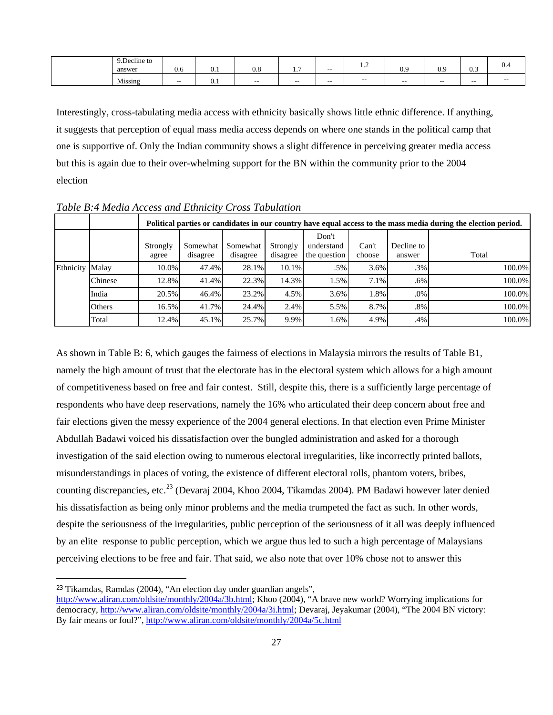| 9. Decline to<br>answer | 0.6   | $v \cdot r$ | v.o   | .     | $- -$ | $\cdot$ $\sim$ | $\Omega$<br>$\mathsf{v} \cdot \mathsf{v}$ | ΩC<br>◡.৴ | $\sim$ $\sim$<br>U.J | $v -$ |
|-------------------------|-------|-------------|-------|-------|-------|----------------|-------------------------------------------|-----------|----------------------|-------|
| $-$<br>Missing          | $- -$ | $v \cdot r$ | $- -$ | $- -$ | $- -$ | $- -$          | $- -$                                     | $- -$     | $- -$                | $- -$ |

Interestingly, cross-tabulating media access with ethnicity basically shows little ethnic difference. If anything, it suggests that perception of equal mass media access depends on where one stands in the political camp that one is supportive of. Only the Indian community shows a slight difference in perceiving greater media access but this is again due to their over-whelming support for the BN within the community prior to the 2004 election

|                 |         |                   |                      |                      |                      |                                     |                 |                      | Political parties or candidates in our country have equal access to the mass media during the election period. |
|-----------------|---------|-------------------|----------------------|----------------------|----------------------|-------------------------------------|-----------------|----------------------|----------------------------------------------------------------------------------------------------------------|
|                 |         | Strongly<br>agree | Somewhat<br>disagree | Somewhat<br>disagree | Strongly<br>disagree | Don't<br>understand<br>the question | Can't<br>choose | Decline to<br>answer | Total                                                                                                          |
| Ethnicity Malay |         | 10.0%             | 47.4%                | 28.1%                | 10.1%                | .5%                                 | 3.6%            | .3%                  | 100.0%                                                                                                         |
|                 | Chinese | 12.8%             | 41.4%                | 22.3%                | 14.3%                | $1.5\%$                             | 7.1%            | .6%                  | 100.0%                                                                                                         |
|                 | India   | 20.5%             | 46.4%                | 23.2%                | 4.5%                 | 3.6%                                | 1.8%            | .0%                  | 100.0%                                                                                                         |
|                 | Others  | 16.5%             | 41.7%                | 24.4%                | 2.4%                 | 5.5%                                | 8.7%            | .8%                  | 100.0%                                                                                                         |
|                 | Total   | 12.4%             | 45.1%                | 25.7%                | 9.9%                 | 1.6%                                | 4.9%            | $.4\%$               | 100.0%                                                                                                         |

*Table B:4 Media Access and Ethnicity Cross Tabulation* 

As shown in Table B: 6, which gauges the fairness of elections in Malaysia mirrors the results of Table B1, namely the high amount of trust that the electorate has in the electoral system which allows for a high amount of competitiveness based on free and fair contest. Still, despite this, there is a sufficiently large percentage of respondents who have deep reservations, namely the 16% who articulated their deep concern about free and fair elections given the messy experience of the 2004 general elections. In that election even Prime Minister Abdullah Badawi voiced his dissatisfaction over the bungled administration and asked for a thorough investigation of the said election owing to numerous electoral irregularities, like incorrectly printed ballots, misunderstandings in places of voting, the existence of different electoral rolls, phantom voters, bribes, counting discrepancies, etc.<sup>[23](#page-27-0)</sup> (Devaraj 2004, Khoo 2004, Tikamdas 2004). PM Badawi however later denied his dissatisfaction as being only minor problems and the media trumpeted the fact as such. In other words, despite the seriousness of the irregularities, public perception of the seriousness of it all was deeply influenced by an elite response to public perception, which we argue thus led to such a high percentage of Malaysians perceiving elections to be free and fair. That said, we also note that over 10% chose not to answer this

 $\overline{a}$ 

<span id="page-27-0"></span><sup>23</sup> Tikamdas, Ramdas (2004), "An election day under guardian angels",

http://www.aliran.com/oldsite/monthly/2004a/3b.html; Khoo (2004), "A brave new world? Worrying implications for democracy, http://www.aliran.com/oldsite/monthly/2004a/3i.html; Devaraj, Jeyakumar (2004), "The 2004 BN victory: By fair means or foul?", http://www.aliran.com/oldsite/monthly/2004a/5c.html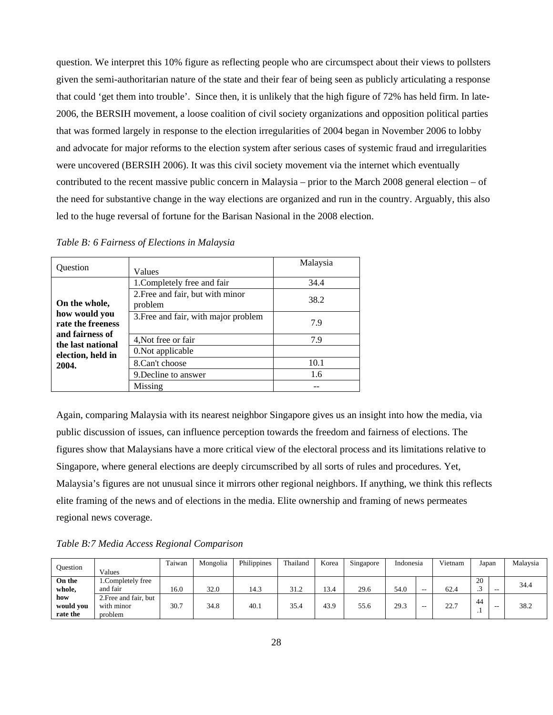question. We interpret this 10% figure as reflecting people who are circumspect about their views to pollsters given the semi-authoritarian nature of the state and their fear of being seen as publicly articulating a response that could 'get them into trouble'. Since then, it is unlikely that the high figure of 72% has held firm. In late-2006, the BERSIH movement, a loose coalition of civil society organizations and opposition political parties that was formed largely in response to the election irregularities of 2004 began in November 2006 to lobby and advocate for major reforms to the election system after serious cases of systemic fraud and irregularities were uncovered (BERSIH 2006). It was this civil society movement via the internet which eventually contributed to the recent massive public concern in Malaysia – prior to the March 2008 general election – of the need for substantive change in the way elections are organized and run in the country. Arguably, this also led to the huge reversal of fortune for the Barisan Nasional in the 2008 election.

| <b>Ouestion</b>                                     | Values                                      | Malaysia |
|-----------------------------------------------------|---------------------------------------------|----------|
|                                                     | 1. Completely free and fair                 | 34.4     |
| On the whole,<br>how would you<br>rate the freeness | 2. Free and fair, but with minor<br>problem | 38.2     |
|                                                     | 3. Free and fair, with major problem        | 7.9      |
| and fairness of<br>the last national                | 4, Not free or fair                         | 7.9      |
| election, held in                                   | 0. Not applicable                           |          |
| 2004.                                               | 8.Can't choose                              | 10.1     |
|                                                     | 9. Decline to answer                        | 1.6      |
|                                                     | Missing                                     |          |

*Table B: 6 Fairness of Elections in Malaysia* 

Again, comparing Malaysia with its nearest neighbor Singapore gives us an insight into how the media, via public discussion of issues, can influence perception towards the freedom and fairness of elections. The figures show that Malaysians have a more critical view of the electoral process and its limitations relative to Singapore, where general elections are deeply circumscribed by all sorts of rules and procedures. Yet, Malaysia's figures are not unusual since it mirrors other regional neighbors. If anything, we think this reflects elite framing of the news and of elections in the media. Elite ownership and framing of news permeates regional news coverage.

*Table B:7 Media Access Regional Comparison* 

| <b>Ouestion</b>              | Values                                         | Taiwan | Mongolia | Philippines | Thailand | Korea | Singapore | Indonesia |    | Vietnam | Japan     |       | Malaysia |
|------------------------------|------------------------------------------------|--------|----------|-------------|----------|-------|-----------|-----------|----|---------|-----------|-------|----------|
| On the<br>whole,             | 1.Completely free<br>and fair                  | 16.0   | 32.0     | 14.3        | 31.2     | 13.4  | 29.6      | 54.0      | -- | 62.4    | 20<br>ت   | $- -$ | 34.4     |
| how<br>would you<br>rate the | 2. Free and fair, but<br>with minor<br>problem | 30.7   | 34.8     | 40.1        | 35.4     | 43.9  | 55.6      | 29.3      | -- | 22.7    | 44<br>. . | $- -$ | 38.2     |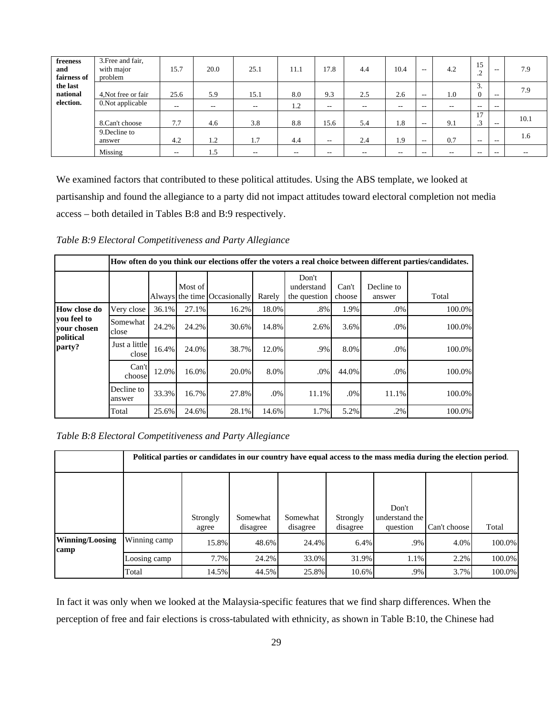| freeness<br>and<br>fairness of | 3. Free and fair,<br>with major<br>problem | 15.7  | 20.0  | 25.1  | 11.1  | 17.8                     | 4.4                      | 10.4          | $- -$                    | 4.2   | 15<br>╭<br>ے .       | $- -$                    | 7.9   |
|--------------------------------|--------------------------------------------|-------|-------|-------|-------|--------------------------|--------------------------|---------------|--------------------------|-------|----------------------|--------------------------|-------|
| the last<br>national           | 4, Not free or fair                        | 25.6  | 5.9   | 15.1  | 8.0   | 9.3                      | 2.5                      | 2.6           | $- -$                    | 1.0   | 3.<br>$\overline{0}$ | $- -$                    | 7.9   |
| election.                      | 0.Not applicable                           | $- -$ | $- -$ | $- -$ | 1.2   | $- -$                    | $\sim$ $-$               | $\sim$ $\sim$ | $-$                      | $- -$ | $- -$                | $- -$                    |       |
|                                | 8.Can't choose                             | 7.7   | 4.6   | 3.8   | 8.8   | 15.6                     | 5.4                      | 1.8           | $\overline{\phantom{a}}$ | 9.1   | 17<br>$\sim$<br>د.   | $- -$                    | 10.1  |
|                                | 9. Decline to<br>answer                    | 4.2   | 1.2   | 1.7   | 4.4   | $- -$                    | 2.4                      | 1.9           | $\overline{\phantom{a}}$ | 0.7   | $-$                  | $- -$                    | 1.6   |
|                                | Missing                                    | $- -$ | 1.5   | $- -$ | $- -$ | $\overline{\phantom{m}}$ | $\overline{\phantom{a}}$ | $- -$         | $-$                      | $- -$ | $- -$                | $\overline{\phantom{m}}$ | $- -$ |

We examined factors that contributed to these political attitudes. Using the ABS template, we looked at partisanship and found the allegiance to a party did not impact attitudes toward electoral completion not media access – both detailed in Tables B:8 and B:9 respectively.

*Table B:9 Electoral Competitiveness and Party Allegiance* 

|                                         |                        |       |         |                              |        |                                     |                 |                      | How often do you think our elections offer the voters a real choice between different parties/candidates. |
|-----------------------------------------|------------------------|-------|---------|------------------------------|--------|-------------------------------------|-----------------|----------------------|-----------------------------------------------------------------------------------------------------------|
|                                         |                        |       | Most of | Always the time Occasionally | Rarely | Don't<br>understand<br>the question | Can't<br>choose | Decline to<br>answer | Total                                                                                                     |
| How close do                            | Very close             | 36.1% | 27.1%   | 16.2%                        | 18.0%  | $.8\%$                              | 1.9%            | $.0\%$               | 100.0%                                                                                                    |
| you feel to<br>your chosen<br>political | Somewhat<br>close      | 24.2% | 24.2%   | 30.6%                        | 14.8%  | 2.6%                                | 3.6%            | .0%                  | 100.0%                                                                                                    |
| party?                                  | Just a little<br>close | 16.4% | 24.0%   | 38.7%                        | 12.0%  | .9%                                 | 8.0%            | .0%                  | 100.0%                                                                                                    |
|                                         | Can't<br>choose        | 12.0% | 16.0%   | 20.0%                        | 8.0%   | $.0\%$                              | 44.0%           | .0%                  | 100.0%                                                                                                    |
|                                         | Decline to<br>answer   | 33.3% | 16.7%   | 27.8%                        | .0%    | 11.1%                               | $.0\%$          | 11.1%                | 100.0%                                                                                                    |
|                                         | Total                  | 25.6% | 24.6%   | 28.1%                        | 14.6%  | 1.7%                                | 5.2%            | .2%                  | 100.0%                                                                                                    |

*Table B:8 Electoral Competitiveness and Party Allegiance* 

|                         |              | Political parties or candidates in our country have equal access to the mass media during the election period. |                      |                      |                      |                                     |              |        |  |  |  |  |  |  |  |
|-------------------------|--------------|----------------------------------------------------------------------------------------------------------------|----------------------|----------------------|----------------------|-------------------------------------|--------------|--------|--|--|--|--|--|--|--|
|                         |              | Strongly<br>agree                                                                                              | Somewhat<br>disagree | Somewhat<br>disagree | Strongly<br>disagree | Don't<br>understand the<br>question | Can't choose | Total  |  |  |  |  |  |  |  |
| Winning/Loosing<br>camp | Winning camp | 15.8%                                                                                                          | 48.6%                | 24.4%                | 6.4%                 | .9%                                 | 4.0%         | 100.0% |  |  |  |  |  |  |  |
|                         | Loosing camp | 7.7%                                                                                                           | 24.2%                | 33.0%                | 31.9%                | 1.1%                                | 2.2%         | 100.0% |  |  |  |  |  |  |  |
|                         | Total        | 14.5%                                                                                                          | 44.5%                | 25.8%                | 10.6%                | .9%                                 | 3.7%         | 100.0% |  |  |  |  |  |  |  |

In fact it was only when we looked at the Malaysia-specific features that we find sharp differences. When the perception of free and fair elections is cross-tabulated with ethnicity, as shown in Table B:10, the Chinese had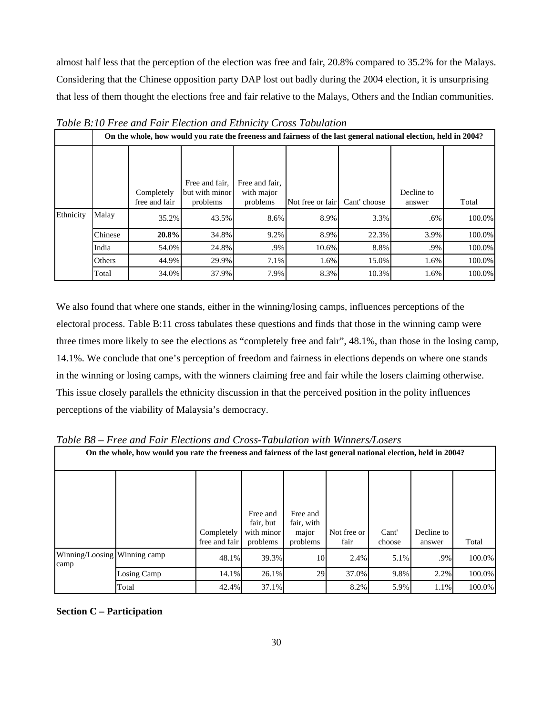almost half less that the perception of the election was free and fair, 20.8% compared to 35.2% for the Malays. Considering that the Chinese opposition party DAP lost out badly during the 2004 election, it is unsurprising that less of them thought the elections free and fair relative to the Malays, Others and the Indian communities.

|           |         |                             |                                              |                                          | On the whole, how would you rate the freeness and fairness of the last general national election, held in 2004? |              |                      |        |
|-----------|---------|-----------------------------|----------------------------------------------|------------------------------------------|-----------------------------------------------------------------------------------------------------------------|--------------|----------------------|--------|
|           |         | Completely<br>free and fair | Free and fair,<br>but with minor<br>problems | Free and fair,<br>with major<br>problems | Not free or fair                                                                                                | Cant' choose | Decline to<br>answer | Total  |
| Ethnicity | Malay   | 35.2%                       | 43.5%                                        | 8.6%                                     | 8.9%                                                                                                            | 3.3%         | .6%                  | 100.0% |
|           | Chinese | 20.8%                       | 34.8%                                        | 9.2%                                     | 8.9%                                                                                                            | 22.3%        | 3.9%                 | 100.0% |
|           | India   | 54.0%                       | 24.8%                                        | .9%                                      | 10.6%                                                                                                           | 8.8%         | .9%                  | 100.0% |
|           | Others  | 44.9%                       | 29.9%                                        | 7.1%                                     | 1.6%                                                                                                            | 15.0%        | 1.6%                 | 100.0% |
|           | Total   | 34.0%                       | 37.9%                                        | 7.9%                                     | 8.3%                                                                                                            | 10.3%        | 1.6%                 | 100.0% |

*Table B:10 Free and Fair Election and Ethnicity Cross Tabulation* 

We also found that where one stands, either in the winning/losing camps, influences perceptions of the electoral process. Table B:11 cross tabulates these questions and finds that those in the winning camp were three times more likely to see the elections as "completely free and fair", 48.1%, than those in the losing camp, 14.1%. We conclude that one's perception of freedom and fairness in elections depends on where one stands in the winning or losing camps, with the winners claiming free and fair while the losers claiming otherwise. This issue closely parallels the ethnicity discussion in that the perceived position in the polity influences perceptions of the viability of Malaysia's democracy.

|                                      | Table B8 – Free and Fair Elections and Cross-Fabulation with Winners/Losers                                     |                             |                                                 |                                             |                     |                 |                      |        |
|--------------------------------------|-----------------------------------------------------------------------------------------------------------------|-----------------------------|-------------------------------------------------|---------------------------------------------|---------------------|-----------------|----------------------|--------|
|                                      | On the whole, how would you rate the freeness and fairness of the last general national election, held in 2004? |                             |                                                 |                                             |                     |                 |                      |        |
|                                      |                                                                                                                 | Completely<br>free and fair | Free and<br>fair, but<br>with minor<br>problems | Free and<br>fair, with<br>major<br>problems | Not free or<br>fair | Cant'<br>choose | Decline to<br>answer | Total  |
| Winning/Loosing Winning camp<br>camp |                                                                                                                 | 48.1%                       | 39.3%                                           | 10                                          | 2.4%                | 5.1%            | .9%                  | 100.0% |
|                                      | Losing Camp                                                                                                     | 14.1%                       | 26.1%                                           | 29                                          | 37.0%               | 9.8%            | 2.2%                 | 100.0% |
|                                      | Total                                                                                                           | 42.4%                       | 37.1%                                           |                                             | 8.2%                | 5.9%            | 1.1%                 | 100.0% |

*Table B8 – Free and Fair Elections and Cross-Tabulation with Winners/Losers* 

**Section C – Participation**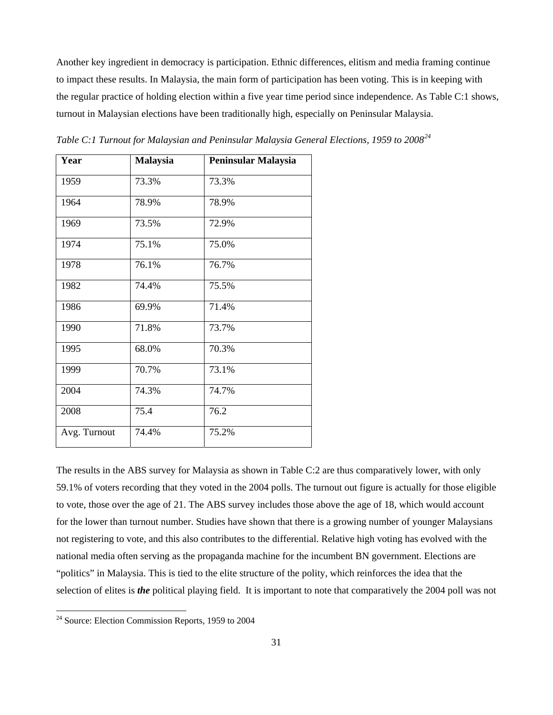Another key ingredient in democracy is participation. Ethnic differences, elitism and media framing continue to impact these results. In Malaysia, the main form of participation has been voting. This is in keeping with the regular practice of holding election within a five year time period since independence. As Table C:1 shows, turnout in Malaysian elections have been traditionally high, especially on Peninsular Malaysia.

| Year         | <b>Malaysia</b> | Peninsular Malaysia |
|--------------|-----------------|---------------------|
| 1959         | 73.3%           | 73.3%               |
| 1964         | 78.9%           | 78.9%               |
| 1969         | 73.5%           | 72.9%               |
| 1974         | 75.1%           | 75.0%               |
| 1978         | 76.1%           | 76.7%               |
| 1982         | 74.4%           | 75.5%               |
| 1986         | 69.9%           | 71.4%               |
| 1990         | 71.8%           | 73.7%               |
| 1995         | 68.0%           | 70.3%               |
| 1999         | 70.7%           | 73.1%               |
| 2004         | 74.3%           | 74.7%               |
| 2008         | 75.4            | 76.2                |
| Avg. Turnout | 74.4%           | 75.2%               |

*Table C:1 Turnout for Malaysian and Peninsular Malaysia General Elections, 1959 to 2008[24](#page-31-0)*

The results in the ABS survey for Malaysia as shown in Table C:2 are thus comparatively lower, with only 59.1% of voters recording that they voted in the 2004 polls. The turnout out figure is actually for those eligible to vote, those over the age of 21. The ABS survey includes those above the age of 18, which would account for the lower than turnout number. Studies have shown that there is a growing number of younger Malaysians not registering to vote, and this also contributes to the differential. Relative high voting has evolved with the national media often serving as the propaganda machine for the incumbent BN government. Elections are "politics" in Malaysia. This is tied to the elite structure of the polity, which reinforces the idea that the selection of elites is *the* political playing field. It is important to note that comparatively the 2004 poll was not

<span id="page-31-0"></span> $24$  Source: Election Commission Reports, 1959 to 2004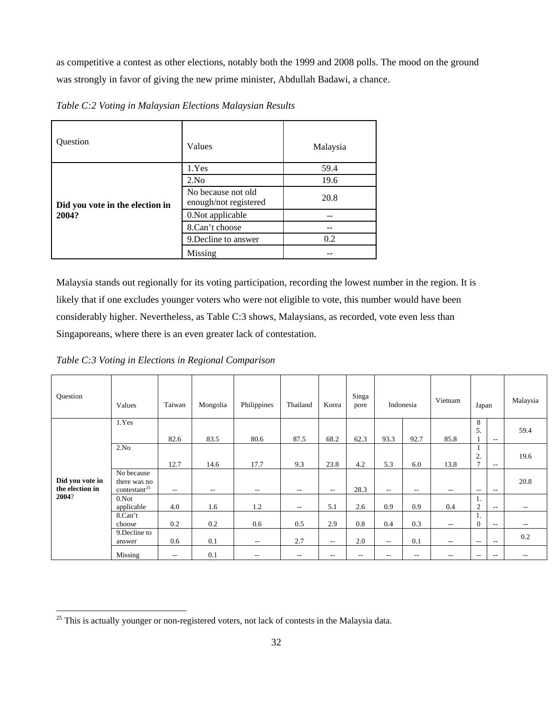as competitive a contest as other elections, notably both the 1999 and 2008 polls. The mood on the ground was strongly in favor of giving the new prime minister, Abdullah Badawi, a chance.

| Question                        | Values                                      | Malaysia |
|---------------------------------|---------------------------------------------|----------|
|                                 | 1.Yes                                       | 59.4     |
|                                 | 2.No                                        | 19.6     |
| Did you vote in the election in | No because not old<br>enough/not registered | 20.8     |
| 2004?                           | 0.Not applicable                            |          |
|                                 | 8.Can't choose                              |          |
|                                 | 9. Decline to answer                        | 0.2      |
|                                 | Missing                                     |          |

*Table C:2 Voting in Malaysian Elections Malaysian Results* 

Malaysia stands out regionally for its voting participation, recording the lowest number in the region. It is likely that if one excludes younger voters who were not eligible to vote, this number would have been considerably higher. Nevertheless, as Table C:3 shows, Malaysians, as recorded, vote even less than Singaporeans, where there is an even greater lack of contestation.

*Table C:3 Voting in Elections in Regional Comparison* 

| Question                           | Values                                                 | Taiwan                   | Mongolia | Philippines              | Thailand | Korea                    | Singa<br>pore |            | Indonesia                | Vietnam | Japan                 |                          | Malaysia |
|------------------------------------|--------------------------------------------------------|--------------------------|----------|--------------------------|----------|--------------------------|---------------|------------|--------------------------|---------|-----------------------|--------------------------|----------|
|                                    | 1.Yes                                                  | 82.6                     | 83.5     | 80.6                     | 87.5     | 68.2                     | 62.3          | 93.3       | 92.7                     | 85.8    | 8<br>5.               | $- -$                    | 59.4     |
|                                    | 2.No                                                   | 12.7                     | 14.6     | 17.7                     | 9.3      | 23.8                     | 4.2           | 5.3        | 6.0                      | 13.8    | 2.<br>$\mathbf{r}$    | $- -$                    | 19.6     |
| Did you vote in<br>the election in | No because<br>there was no<br>contestant <sup>25</sup> | $ \sim$                  | $- -$    | $- -$                    | $-$      | $\overline{\phantom{a}}$ | 28.3          | $\sim$ $-$ | $\overline{\phantom{a}}$ | $- -$   | $- -$                 | $- -$                    | 20.8     |
| 2004?                              | 0.Not<br>applicable                                    | 4.0                      | 1.6      | 1.2                      | $\sim$   | 5.1                      | 2.6           | 0.9        | 0.9                      | 0.4     | 1.<br>$\overline{2}$  | $- -$                    | $- -$    |
|                                    | 8.Can't<br>choose                                      | 0.2                      | 0.2      | 0.6                      | 0.5      | 2.9                      | 0.8           | 0.4        | 0.3                      | $\sim$  | -1.<br>$\overline{0}$ | $\overline{\phantom{a}}$ | $- -$    |
|                                    | 9. Decline to<br>answer                                | 0.6                      | 0.1      | $\overline{\phantom{a}}$ | 2.7      | $\overline{\phantom{a}}$ | 2.0           | $\sim$     | 0.1                      | $-$     | $- -$                 | $- -$                    | 0.2      |
|                                    | Missing                                                | $\overline{\phantom{m}}$ | 0.1      | $- -$                    | $-$      | $-$                      | $\sim$ $-$    | $-$        | $\overline{\phantom{a}}$ | $- -$   | $- -$                 | $- -$                    | $- -$    |

<span id="page-32-0"></span> $25$  This is actually younger or non-registered voters, not lack of contests in the Malaysia data.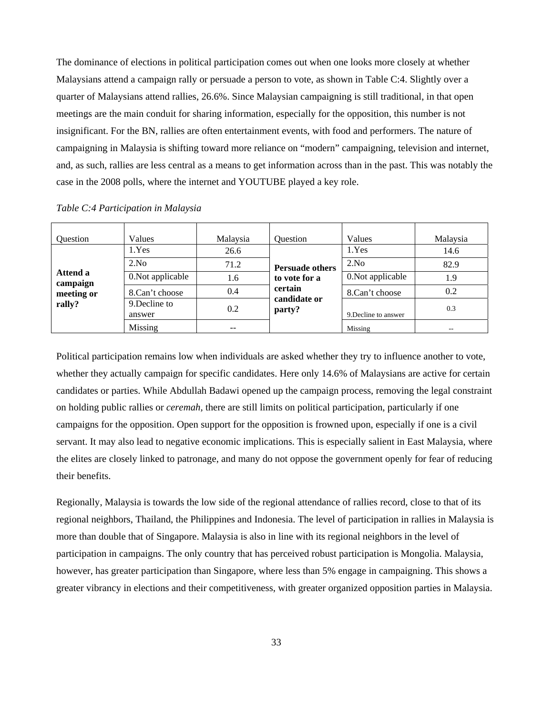The dominance of elections in political participation comes out when one looks more closely at whether Malaysians attend a campaign rally or persuade a person to vote, as shown in Table C:4. Slightly over a quarter of Malaysians attend rallies, 26.6%. Since Malaysian campaigning is still traditional, in that open meetings are the main conduit for sharing information, especially for the opposition, this number is not insignificant. For the BN, rallies are often entertainment events, with food and performers. The nature of campaigning in Malaysia is shifting toward more reliance on "modern" campaigning, television and internet, and, as such, rallies are less central as a means to get information across than in the past. This was notably the case in the 2008 polls, where the internet and YOUTUBE played a key role.

| <b>Ouestion</b>      | Values                  | Malaysia | Ouestion               | Values               | Malaysia |
|----------------------|-------------------------|----------|------------------------|----------------------|----------|
|                      | 1.Yes                   | 26.6     |                        | 1.Yes                | 14.6     |
|                      | 2.No                    | 71.2     | <b>Persuade others</b> | 2.No                 | 82.9     |
| Attend a<br>campaign | 0. Not applicable       | 1.6      | to vote for a          | 0.Not applicable     | 1.9      |
| meeting or           | 8.Can't choose          | 0.4      | certain                | 8.Can't choose       | 0.2      |
| rally?               | 9. Decline to<br>answer | 0.2      | candidate or<br>party? | 9. Decline to answer | 0.3      |
|                      | Missing                 | --       |                        | Missing              | $- -$    |

*Table C:4 Participation in Malaysia* 

Political participation remains low when individuals are asked whether they try to influence another to vote, whether they actually campaign for specific candidates. Here only 14.6% of Malaysians are active for certain candidates or parties. While Abdullah Badawi opened up the campaign process, removing the legal constraint on holding public rallies or *ceremah,* there are still limits on political participation, particularly if one campaigns for the opposition. Open support for the opposition is frowned upon, especially if one is a civil servant. It may also lead to negative economic implications. This is especially salient in East Malaysia, where the elites are closely linked to patronage, and many do not oppose the government openly for fear of reducing their benefits.

Regionally, Malaysia is towards the low side of the regional attendance of rallies record, close to that of its regional neighbors, Thailand, the Philippines and Indonesia. The level of participation in rallies in Malaysia is more than double that of Singapore. Malaysia is also in line with its regional neighbors in the level of participation in campaigns. The only country that has perceived robust participation is Mongolia. Malaysia, however, has greater participation than Singapore, where less than 5% engage in campaigning. This shows a greater vibrancy in elections and their competitiveness, with greater organized opposition parties in Malaysia.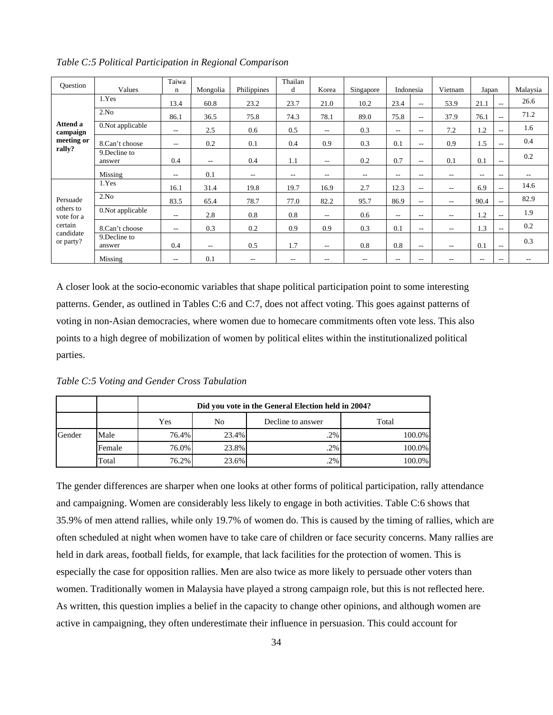| Question                          |                         | Taiwa             |                          |                   | Thailan                  |                          |                          |                          |               |                          |       |                          |                   |
|-----------------------------------|-------------------------|-------------------|--------------------------|-------------------|--------------------------|--------------------------|--------------------------|--------------------------|---------------|--------------------------|-------|--------------------------|-------------------|
|                                   | Values                  | n                 | Mongolia                 | Philippines       | d                        | Korea                    | Singapore                | Indonesia                |               | Vietnam                  | Japan |                          | Malaysia          |
|                                   | 1.Yes                   | 13.4              | 60.8                     | 23.2              | 23.7                     | 21.0                     | 10.2                     | 23.4                     | $- -$         | 53.9                     | 21.1  | $- -$                    | 26.6              |
|                                   | 2.No                    | 86.1              | 36.5                     | 75.8              | 74.3                     | 78.1                     | 89.0                     | 75.8                     | $- -$         | 37.9                     | 76.1  | $\overline{\phantom{a}}$ | 71.2              |
| Attend a<br>campaign              | 0.Not applicable        | $\sim$ $\sim$     | 2.5                      | 0.6               | 0.5                      | $\overline{\phantom{m}}$ | 0.3                      | $\overline{\phantom{m}}$ | $\sim$ $\sim$ | 7.2                      | 1.2   | $\overline{\phantom{a}}$ | 1.6               |
| meeting or                        | 8.Can't choose          | $-$               | 0.2                      | 0.1               | 0.4                      | 0.9                      | 0.3                      | 0.1                      | $- -$         | 0.9                      | 1.5   | $- -$                    | 0.4               |
| rally?                            | 9. Decline to<br>answer | 0.4               | $\overline{\phantom{a}}$ | 0.4               | 1.1                      | $-$                      | 0.2                      | 0.7                      | $- -$         | 0.1                      | 0.1   | $- -$                    | 0.2               |
|                                   | Missing                 | $\qquad \qquad -$ | 0.1                      | $- -$             | $\overline{\phantom{a}}$ | --                       | $\overline{\phantom{a}}$ | $-$                      | $- -$         | $- -$                    | $- -$ | $- -$                    | $\qquad \qquad -$ |
|                                   | 1.Yes                   | 16.1              | 31.4                     | 19.8              | 19.7                     | 16.9                     | 2.7                      | 12.3                     | $- -$         | $- -$                    | 6.9   | $- -$                    | 14.6              |
| Persuade                          | 2.No                    | 83.5              | 65.4                     | 78.7              | 77.0                     | 82.2                     | 95.7                     | 86.9                     | $- -$         | $-$                      | 90.4  | $\overline{\phantom{a}}$ | 82.9              |
| others to<br>vote for a           | 0.Not applicable        | $\sim$ $\sim$     | 2.8                      | 0.8               | 0.8                      | $\overline{\phantom{m}}$ | 0.6                      | $\overline{\phantom{a}}$ | $\sim$        | $-$                      | 1.2   | $\overline{\phantom{a}}$ | 1.9               |
| certain<br>candidate<br>or party? | 8.Can't choose          | --                | 0.3                      | 0.2               | 0.9                      | 0.9                      | 0.3                      | 0.1                      | $\sim$ $\sim$ | $\overline{\phantom{m}}$ | 1.3   | $-$                      | 0.2               |
|                                   | 9. Decline to<br>answer | 0.4               | --                       | 0.5               | 1.7                      | $-$                      | 0.8                      | 0.8                      | $  \,$        | $- -$                    | 0.1   | $- -$                    | 0.3               |
|                                   | Missing                 | $- -$             | 0.1                      | $\qquad \qquad -$ | $-$                      | $- -$                    | $- -$                    | $- -$                    | $- -$         | $\qquad \qquad -$        | $- -$ | $- -$                    |                   |

*Table C:5 Political Participation in Regional Comparison* 

A closer look at the socio-economic variables that shape political participation point to some interesting patterns. Gender, as outlined in Tables C:6 and C:7, does not affect voting. This goes against patterns of voting in non-Asian democracies, where women due to homecare commitments often vote less. This also points to a high degree of mobilization of women by political elites within the institutionalized political parties.

*Table C:5 Voting and Gender Cross Tabulation* 

|        |        |          | Did you vote in the General Election held in 2004? |                   |        |  |  |  |  |
|--------|--------|----------|----------------------------------------------------|-------------------|--------|--|--|--|--|
|        |        | Yes      | No                                                 | Decline to answer | Total  |  |  |  |  |
| Gender | Male   | 76.4%    | 23.4%                                              | .2%               | 100.0% |  |  |  |  |
|        | Female | $76.0\%$ | 23.8%                                              | .2%               | 100.0% |  |  |  |  |
|        | Total  | 76.2%    | 23.6%                                              | 2%                | 100.0% |  |  |  |  |

The gender differences are sharper when one looks at other forms of political participation, rally attendance and campaigning. Women are considerably less likely to engage in both activities. Table C:6 shows that 35.9% of men attend rallies, while only 19.7% of women do. This is caused by the timing of rallies, which are often scheduled at night when women have to take care of children or face security concerns. Many rallies are held in dark areas, football fields, for example, that lack facilities for the protection of women. This is especially the case for opposition rallies. Men are also twice as more likely to persuade other voters than women. Traditionally women in Malaysia have played a strong campaign role, but this is not reflected here. As written, this question implies a belief in the capacity to change other opinions, and although women are active in campaigning, they often underestimate their influence in persuasion. This could account for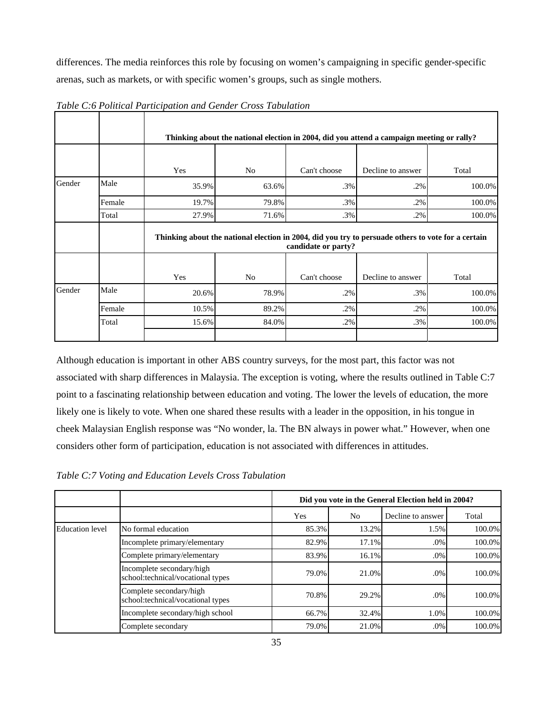differences. The media reinforces this role by focusing on women's campaigning in specific gender-specific arenas, such as markets, or with specific women's groups, such as single mothers.

 $\mathbf{I}$ 

|        |        |       |                                                                                                                           | Thinking about the national election in 2004, did you attend a campaign meeting or rally? |                   |        |  |  |  |  |  |  |
|--------|--------|-------|---------------------------------------------------------------------------------------------------------------------------|-------------------------------------------------------------------------------------------|-------------------|--------|--|--|--|--|--|--|
|        |        |       |                                                                                                                           |                                                                                           |                   |        |  |  |  |  |  |  |
|        |        | Yes   | N <sub>o</sub>                                                                                                            | Can't choose                                                                              | Decline to answer | Total  |  |  |  |  |  |  |
| Gender | Male   | 35.9% | 63.6%                                                                                                                     | $.3\%$                                                                                    | .2%               | 100.0% |  |  |  |  |  |  |
|        | Female | 19.7% | 79.8%                                                                                                                     | $.3\%$                                                                                    | .2%               | 100.0% |  |  |  |  |  |  |
|        | Total  | 27.9% | 71.6%                                                                                                                     | .3%                                                                                       | .2%               | 100.0% |  |  |  |  |  |  |
|        |        |       | Thinking about the national election in 2004, did you try to persuade others to vote for a certain<br>candidate or party? |                                                                                           |                   |        |  |  |  |  |  |  |
|        |        | Yes   | N <sub>o</sub>                                                                                                            | Can't choose                                                                              | Decline to answer | Total  |  |  |  |  |  |  |
| Gender | Male   | 20.6% | 78.9%                                                                                                                     | .2%                                                                                       | .3%               | 100.0% |  |  |  |  |  |  |
|        | Female | 10.5% | 89.2%                                                                                                                     | .2%                                                                                       | .2%               | 100.0% |  |  |  |  |  |  |
|        | Total  | 15.6% | 84.0%                                                                                                                     | .2%                                                                                       | .3%               | 100.0% |  |  |  |  |  |  |
|        |        |       |                                                                                                                           |                                                                                           |                   |        |  |  |  |  |  |  |

*Table C:6 Political Participation and Gender Cross Tabulation*

Although education is important in other ABS country surveys, for the most part, this factor was not associated with sharp differences in Malaysia. The exception is voting, where the results outlined in Table C:7 point to a fascinating relationship between education and voting. The lower the levels of education, the more likely one is likely to vote. When one shared these results with a leader in the opposition, in his tongue in cheek Malaysian English response was "No wonder, la. The BN always in power what." However, when one considers other form of participation, education is not associated with differences in attitudes.

*Table C:7 Voting and Education Levels Cross Tabulation* 

|                 |                                                                |       | Did you vote in the General Election held in 2004? |                   |        |  |  |  |  |
|-----------------|----------------------------------------------------------------|-------|----------------------------------------------------|-------------------|--------|--|--|--|--|
|                 |                                                                | Yes   | N <sub>0</sub>                                     | Decline to answer | Total  |  |  |  |  |
| Education level | No formal education                                            | 85.3% | 13.2%                                              | 1.5%              | 100.0% |  |  |  |  |
|                 | Incomplete primary/elementary                                  | 82.9% | 17.1%                                              | .0%               | 100.0% |  |  |  |  |
|                 | Complete primary/elementary                                    | 83.9% | 16.1%                                              | .0%               | 100.0% |  |  |  |  |
|                 | Incomplete secondary/high<br>school:technical/vocational types | 79.0% | 21.0%                                              | .0%               | 100.0% |  |  |  |  |
|                 | Complete secondary/high<br>school:technical/vocational types   | 70.8% | 29.2%                                              | $.0\%$            | 100.0% |  |  |  |  |
|                 | Incomplete secondary/high school                               | 66.7% | 32.4%                                              | 1.0%              | 100.0% |  |  |  |  |
|                 | Complete secondary                                             | 79.0% | 21.0%                                              | .0%               | 100.0% |  |  |  |  |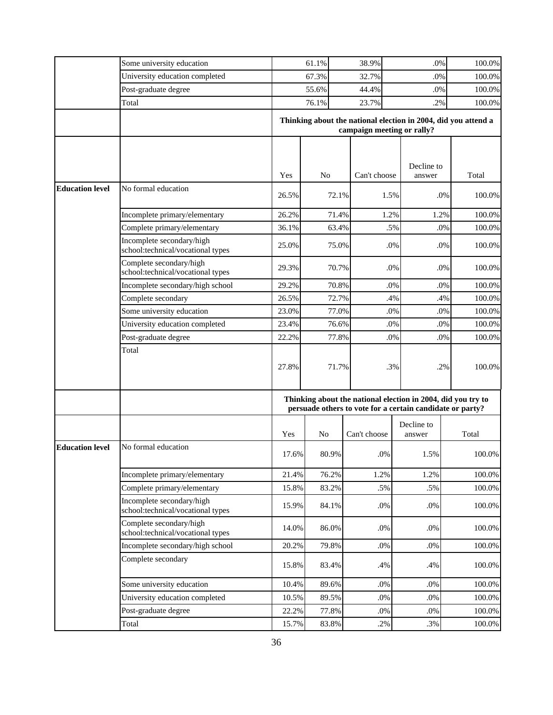|                        | Some university education                                    |       | 61.1%          | 38.9%                      |                                                                | $.0\%$ | 100.0% |  |
|------------------------|--------------------------------------------------------------|-------|----------------|----------------------------|----------------------------------------------------------------|--------|--------|--|
|                        | University education completed                               |       | 67.3%          | 32.7%                      |                                                                | .0%    | 100.0% |  |
|                        | Post-graduate degree                                         |       | 55.6%          | 44.4%                      |                                                                | .0%    | 100.0% |  |
|                        | Total                                                        |       | 76.1%          | 23.7%                      |                                                                | .2%    | 100.0% |  |
|                        |                                                              |       |                |                            | Thinking about the national election in 2004, did you attend a |        |        |  |
|                        |                                                              |       |                | campaign meeting or rally? |                                                                |        |        |  |
|                        |                                                              |       |                |                            |                                                                |        |        |  |
|                        |                                                              |       |                |                            |                                                                |        |        |  |
|                        |                                                              | Yes   | N <sub>o</sub> | Can't choose               | Decline to<br>answer                                           |        | Total  |  |
| <b>Education level</b> | No formal education                                          |       |                |                            |                                                                |        |        |  |
|                        |                                                              | 26.5% |                | 72.1%                      | 1.5%                                                           | .0%    | 100.0% |  |
|                        | Incomplete primary/elementary                                | 26.2% |                | 71.4%                      | 1.2%                                                           | 1.2%   | 100.0% |  |
|                        | Complete primary/elementary                                  | 36.1% |                | 63.4%                      | .5%                                                            | .0%    | 100.0% |  |
|                        | Incomplete secondary/high                                    |       |                |                            |                                                                |        |        |  |
|                        | school:technical/vocational types                            | 25.0% |                | 75.0%                      | $.0\%$                                                         | .0%    | 100.0% |  |
|                        | Complete secondary/high                                      | 29.3% |                | 70.7%                      | .0%                                                            | .0%    | 100.0% |  |
|                        | school:technical/vocational types                            |       |                |                            |                                                                |        |        |  |
|                        | Incomplete secondary/high school                             | 29.2% |                | 70.8%                      | .0%<br>.0%<br>.4%<br>.4%<br>.0%<br>.0%                         |        | 100.0% |  |
|                        | Complete secondary                                           | 26.5% |                | 72.7%                      |                                                                |        | 100.0% |  |
|                        | Some university education                                    | 23.0% |                | 77.0%                      |                                                                |        | 100.0% |  |
|                        | University education completed                               | 23.4% |                | 76.6%                      | .0%<br>.0%                                                     |        | 100.0% |  |
|                        | Post-graduate degree                                         | 22.2% |                | 77.8%                      | .0%                                                            | .0%    | 100.0% |  |
|                        | Total                                                        |       |                |                            |                                                                |        |        |  |
|                        |                                                              | 27.8% |                | 71.7%                      | .3%                                                            | .2%    | 100.0% |  |
|                        |                                                              |       |                |                            |                                                                |        |        |  |
|                        |                                                              |       |                |                            | Thinking about the national election in 2004, did you try to   |        |        |  |
|                        |                                                              |       |                |                            | persuade others to vote for a certain candidate or party?      |        |        |  |
|                        |                                                              |       |                |                            | Decline to                                                     |        |        |  |
|                        |                                                              | Yes   | N <sub>0</sub> | Can't choose               | answer                                                         |        | Total  |  |
| <b>Education level</b> | No formal education                                          | 17.6% |                |                            |                                                                |        | 100.0% |  |
|                        |                                                              |       | 80.9%          | $.0\%$                     | 1.5%                                                           |        |        |  |
|                        | Incomplete primary/elementary                                | 21.4% | 76.2%          | 1.2%                       | 1.2%                                                           |        | 100.0% |  |
|                        | Complete primary/elementary                                  | 15.8% | 83.2%          | .5%                        | .5%                                                            |        | 100.0% |  |
|                        | Incomplete secondary/high                                    | 15.9% | 84.1%          | $.0\%$                     | $.0\%$                                                         |        | 100.0% |  |
|                        | school:technical/vocational types                            |       |                |                            |                                                                |        |        |  |
|                        | Complete secondary/high<br>school:technical/vocational types | 14.0% | 86.0%          | $.0\%$                     | $.0\%$                                                         |        | 100.0% |  |
|                        | Incomplete secondary/high school                             | 20.2% | 79.8%          | $.0\%$                     | $.0\%$                                                         |        | 100.0% |  |
|                        | Complete secondary                                           |       |                |                            |                                                                |        |        |  |
|                        |                                                              | 15.8% | 83.4%          | .4%                        | .4%                                                            |        | 100.0% |  |
|                        | Some university education                                    | 10.4% | 89.6%          | $.0\%$                     | $.0\%$                                                         |        | 100.0% |  |
|                        | University education completed                               | 10.5% | 89.5%          | .0%                        | $.0\%$                                                         |        | 100.0% |  |
|                        | Post-graduate degree                                         | 22.2% | 77.8%          | $.0\%$                     | $.0\%$                                                         |        | 100.0% |  |
|                        | Total                                                        | 15.7% | 83.8%          | .2%                        | $.3\%$                                                         |        | 100.0% |  |
|                        |                                                              |       |                |                            |                                                                |        |        |  |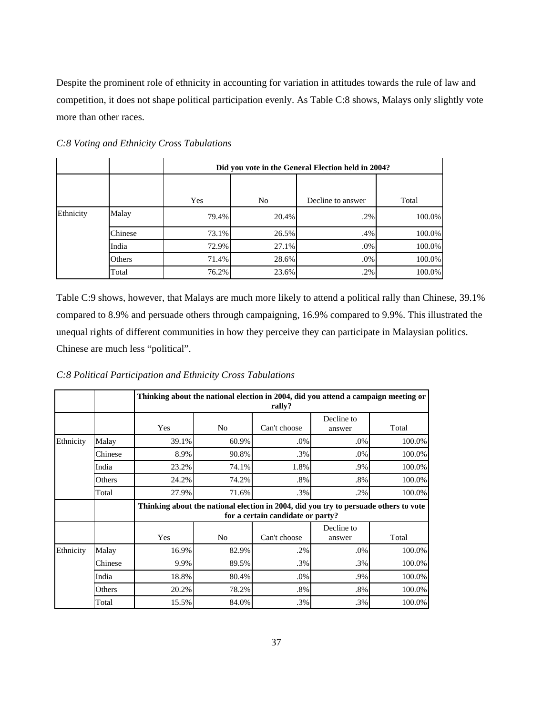Despite the prominent role of ethnicity in accounting for variation in attitudes towards the rule of law and competition, it does not shape political participation evenly. As Table C:8 shows, Malays only slightly vote more than other races.

|           |         |       | Did you vote in the General Election held in 2004? |                   |        |  |  |  |  |  |
|-----------|---------|-------|----------------------------------------------------|-------------------|--------|--|--|--|--|--|
|           |         |       |                                                    |                   |        |  |  |  |  |  |
|           |         | Yes   | No                                                 | Decline to answer | Total  |  |  |  |  |  |
| Ethnicity | Malay   | 79.4% | 20.4%                                              | .2%               | 100.0% |  |  |  |  |  |
|           | Chinese | 73.1% | 26.5%                                              | .4%               | 100.0% |  |  |  |  |  |
|           | India   | 72.9% | 27.1%                                              | .0%               | 100.0% |  |  |  |  |  |
|           | Others  | 71.4% | 28.6%                                              | .0%               | 100.0% |  |  |  |  |  |
|           | Total   | 76.2% | 23.6%                                              | .2%               | 100.0% |  |  |  |  |  |

*C:8 Voting and Ethnicity Cross Tabulations* 

Table C:9 shows, however, that Malays are much more likely to attend a political rally than Chinese, 39.1% compared to 8.9% and persuade others through campaigning, 16.9% compared to 9.9%. This illustrated the unequal rights of different communities in how they perceive they can participate in Malaysian politics. Chinese are much less "political".

*C:8 Political Participation and Ethnicity Cross Tabulations* 

|           |         |       |                | rally?                            | Thinking about the national election in 2004, did you attend a campaign meeting or |                                                                                      |  |  |
|-----------|---------|-------|----------------|-----------------------------------|------------------------------------------------------------------------------------|--------------------------------------------------------------------------------------|--|--|
|           |         | Yes   | N <sub>0</sub> | Can't choose                      | Decline to<br>answer                                                               | Total                                                                                |  |  |
| Ethnicity | Malay   | 39.1% | 60.9%          | .0%                               | .0%                                                                                | 100.0%                                                                               |  |  |
|           | Chinese | 8.9%  | 90.8%          | .3%                               | .0%                                                                                | 100.0%                                                                               |  |  |
|           | India   | 23.2% | 74.1%          | 1.8%                              | .9%                                                                                | 100.0%                                                                               |  |  |
|           | Others  | 24.2% | 74.2%          | .8%                               | .8%                                                                                | 100.0%                                                                               |  |  |
|           | Total   | 27.9% | 71.6%          | .3%                               | .2%                                                                                | 100.0%                                                                               |  |  |
|           |         |       |                | for a certain candidate or party? |                                                                                    | Thinking about the national election in 2004, did you try to persuade others to vote |  |  |
|           |         | Yes   | N <sub>0</sub> | Can't choose                      | Decline to<br>answer                                                               | Total                                                                                |  |  |
| Ethnicity | Malay   | 16.9% | 82.9%          | .2%                               | .0%                                                                                | 100.0%                                                                               |  |  |
|           | Chinese | 9.9%  | 89.5%          | .3%                               | .3%                                                                                | 100.0%                                                                               |  |  |
|           | India   | 18.8% | 80.4%          | .0%                               | .9%                                                                                | 100.0%                                                                               |  |  |
|           | Others  | 20.2% | 78.2%          | $.8\%$                            | .8%                                                                                | 100.0%                                                                               |  |  |
|           | Total   | 15.5% | 84.0%          | .3%                               | .3%                                                                                | 100.0%                                                                               |  |  |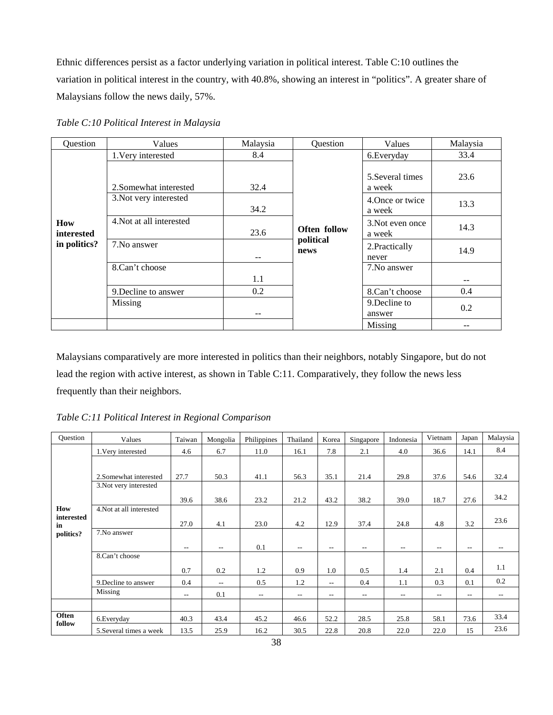Ethnic differences persist as a factor underlying variation in political interest. Table C:10 outlines the variation in political interest in the country, with 40.8%, showing an interest in "politics". A greater share of Malaysians follow the news daily, 57%.

| Question          | Values                   | Malaysia | Question          | Values                     | Malaysia |
|-------------------|--------------------------|----------|-------------------|----------------------------|----------|
|                   | 1. Very interested       | 8.4      |                   | 6. Everyday                | 33.4     |
|                   | 2. Somewhat interested   | 32.4     |                   | 5. Several times<br>a week | 23.6     |
| How<br>interested | 3. Not very interested   | 34.2     |                   | 4. Once or twice<br>a week | 13.3     |
|                   | 4. Not at all interested | 23.6     | Often follow      | 3. Not even once<br>a week | 14.3     |
| in politics?      | 7. No answer             | --       | political<br>news | 2. Practically<br>never    | 14.9     |
|                   | 8.Can't choose           |          |                   | 7. No answer               |          |
|                   |                          | 1.1      |                   |                            | $- -$    |
|                   | 9. Decline to answer     | 0.2      |                   | 8.Can't choose             | 0.4      |
|                   | Missing                  | --       |                   | 9. Decline to<br>answer    | 0.2      |
|                   |                          |          |                   | Missing                    |          |

*Table C:10 Political Interest in Malaysia* 

Malaysians comparatively are more interested in politics than their neighbors, notably Singapore, but do not lead the region with active interest, as shown in Table C:11. Comparatively, they follow the news less frequently than their neighbors.

*Table C:11 Political Interest in Regional Comparison* 

| Question                      | Values                   | Taiwan                   | Mongolia | Philippines | Thailand | Korea      | Singapore | Indonesia         | Vietnam | Japan | Malaysia |
|-------------------------------|--------------------------|--------------------------|----------|-------------|----------|------------|-----------|-------------------|---------|-------|----------|
|                               | 1. Very interested       | 4.6                      | 6.7      | 11.0        | 16.1     | 7.8        | 2.1       | 4.0               | 36.6    | 14.1  | 8.4      |
|                               |                          |                          |          |             |          |            |           |                   |         |       |          |
|                               | 2. Somewhat interested   | 27.7                     | 50.3     | 41.1        | 56.3     | 35.1       | 21.4      | 29.8              | 37.6    | 54.6  | 32.4     |
|                               | 3. Not very interested   |                          |          |             |          |            |           |                   |         |       |          |
|                               |                          | 39.6                     | 38.6     | 23.2        | 21.2     | 43.2       | 38.2      | 39.0              | 18.7    | 27.6  | 34.2     |
| How                           | 4. Not at all interested |                          |          |             |          |            |           |                   |         |       |          |
| interested<br>in<br>politics? |                          | 27.0                     | 4.1      | 23.0        | 4.2      | 12.9       | 37.4      | 24.8              | 4.8     | 3.2   | 23.6     |
|                               | 7.No answer              |                          |          |             |          |            |           |                   |         |       |          |
|                               |                          | $- -$                    | $- -$    | 0.1         | $ -$     | $\sim$ $-$ | $- -$     | $- -$             | $-$     | $- -$ | --       |
|                               | 8.Can't choose           |                          |          |             |          |            |           |                   |         |       |          |
|                               |                          | 0.7                      | 0.2      | 1.2         | 0.9      | 1.0        | 0.5       | 1.4               | 2.1     | 0.4   | 1.1      |
|                               | 9. Decline to answer     | 0.4                      | $- -$    | 0.5         | 1.2      | $- -$      | 0.4       | 1.1               | 0.3     | 0.1   | 0.2      |
|                               | Missing                  | $\overline{\phantom{a}}$ | 0.1      | $- -$       | $  \,$   | $\sim$ $-$ | $- -$     | $\qquad \qquad -$ | $-$     | $- -$ | $- -$    |
|                               |                          |                          |          |             |          |            |           |                   |         |       |          |
| Often                         | 6. Everyday              | 40.3                     | 43.4     | 45.2        | 46.6     | 52.2       | 28.5      | 25.8              | 58.1    | 73.6  | 33.4     |
| follow                        | 5. Several times a week  | 13.5                     | 25.9     | 16.2        | 30.5     | 22.8       | 20.8      | 22.0              | 22.0    | 15    | 23.6     |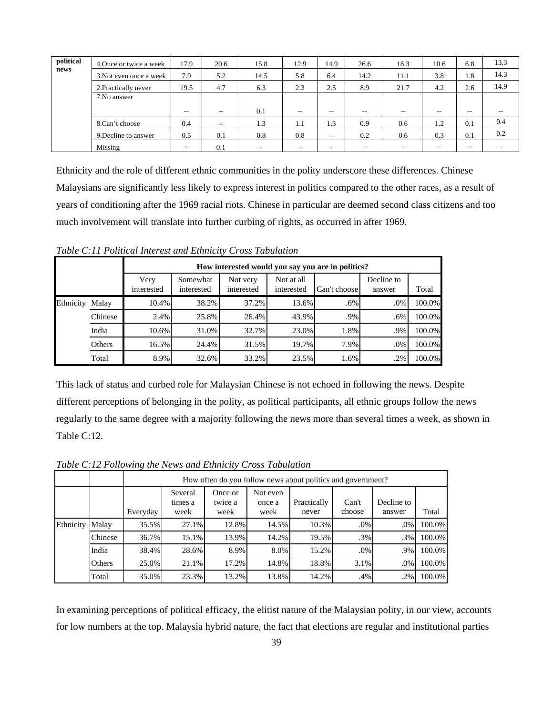| political | 4. Once or twice a week | 17.9  | 20.6                     | 15.8  | 12.9  | 14.9  | 26.6  | 18.3  | 10.6  | 6.8   | 13.3  |
|-----------|-------------------------|-------|--------------------------|-------|-------|-------|-------|-------|-------|-------|-------|
| news      | 3. Not even once a week | 7.9   | 5.2                      | 14.5  | 5.8   | 6.4   | 14.2  | 11.1  | 3.8   | 1.8   | 14.3  |
|           | 2. Practically never    | 19.5  | 4.7                      | 6.3   | 2.3   | 2.5   | 8.9   | 21.7  | 4.2   | 2.6   | 14.9  |
|           | 7. No answer            |       |                          |       |       |       |       |       |       |       |       |
|           |                         | $- -$ | $- -$                    | 0.1   | $-1$  | $- -$ | $- -$ | $- -$ | $- -$ | $- -$ | $- -$ |
|           | 8.Can't choose          | 0.4   | $\overline{\phantom{a}}$ | 1.3   | 1.1   | 1.3   | 0.9   | 0.6   | 1.2   | 0.1   | 0.4   |
|           | 9. Decline to answer    | 0.5   | 0.1                      | 0.8   | 0.8   | $- -$ | 0.2   | 0.6   | 0.3   | 0.1   | 0.2   |
|           | Missing                 | $- -$ | 0.1                      | $- -$ | $- -$ | $- -$ | $- -$ | $- -$ | --    | $- -$ | $- -$ |

Ethnicity and the role of different ethnic communities in the polity underscore these differences. Chinese Malaysians are significantly less likely to express interest in politics compared to the other races, as a result of years of conditioning after the 1969 racial riots. Chinese in particular are deemed second class citizens and too much involvement will translate into further curbing of rights, as occurred in after 1969.

*Table C:11 Political Interest and Ethnicity Cross Tabulation* 

|           |         |                    |                        |                        | How interested would you say you are in politics? |              |                      |        |
|-----------|---------|--------------------|------------------------|------------------------|---------------------------------------------------|--------------|----------------------|--------|
|           |         | Very<br>interested | Somewhat<br>interested | Not very<br>interested | Not at all<br>interested                          | Can't choose | Decline to<br>answer | Total  |
| Ethnicity | Malay   | 10.4%              | 38.2%                  | 37.2%                  | 13.6%                                             | $.6\%$       | .0%                  | 100.0% |
|           | Chinese | 2.4%               | 25.8%                  | 26.4%                  | 43.9%                                             | $.9\%$       | .6%                  | 100.0% |
|           | India   | 10.6%              | 31.0%                  | 32.7%                  | 23.0%                                             | 1.8%         | .9%                  | 100.0% |
|           | Others  | 16.5%              | 24.4%                  | 31.5%                  | 19.7%                                             | 7.9%         | .0%                  | 100.0% |
|           | Total   | 8.9%               | 32.6%                  | 33.2%                  | 23.5%                                             | 1.6%         | .2%                  | 100.0% |

This lack of status and curbed role for Malaysian Chinese is not echoed in following the news. Despite different perceptions of belonging in the polity, as political participants, all ethnic groups follow the news regularly to the same degree with a majority following the news more than several times a week, as shown in Table C:12.

How often do you follow news about politics and government? Everyday Several times a week Once or twice a week Not even once a week Practically never Can't choose Decline to answer Total Malay 35.5% 27.1% 12.8% 14.5% 10.3% .0% .0% 100.0% Chinese 36.7% 15.1% 13.9% 14.2% 19.5% .3% .3% 100.0% India 38.4% 28.6% 8.9% 8.0% 15.2% .0% .9% 100.0% Others 25.0% 21.1% 17.2% 14.8% 18.8% 3.1% .0% 100.0% Ethnicity Malay Total 35.0% 23.3% 13.2% 13.8% 14.2% .4% .2% 100.0%

*Table C:12 Following the News and Ethnicity Cross Tabulation* 

In examining perceptions of political efficacy, the elitist nature of the Malaysian polity, in our view, accounts for low numbers at the top. Malaysia hybrid nature, the fact that elections are regular and institutional parties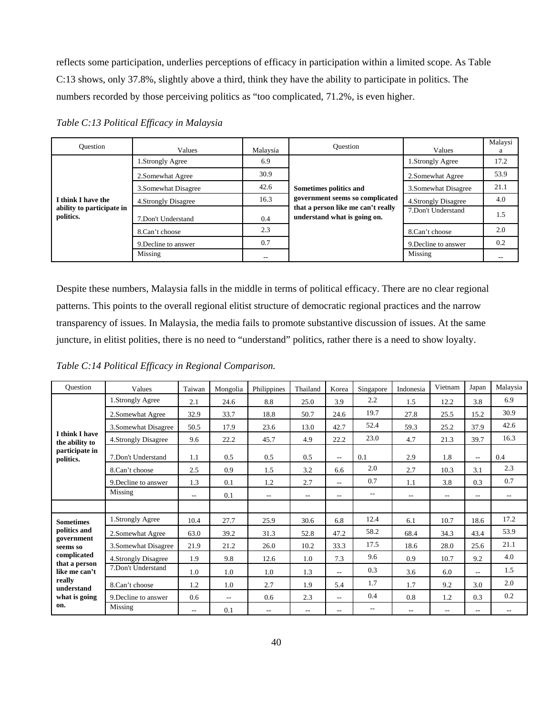reflects some participation, underlies perceptions of efficacy in participation within a limited scope. As Table C:13 shows, only 37.8%, slightly above a third, think they have the ability to participate in politics. The numbers recorded by those perceiving politics as "too complicated, 71.2%, is even higher.

| Ouestion                               | Values               | Malaysia | Ouestion                                                           | Values               | Malaysi<br>a |
|----------------------------------------|----------------------|----------|--------------------------------------------------------------------|----------------------|--------------|
|                                        | 1.Strongly Agree     | 6.9      |                                                                    | 1.Strongly Agree     | 17.2         |
|                                        | 2. Somewhat Agree    | 30.9     |                                                                    | 2. Somewhat Agree    | 53.9         |
|                                        | 3. Somewhat Disagree | 42.6     | Sometimes politics and                                             | 3. Somewhat Disagree | 21.1         |
| I think I have the                     | 4. Strongly Disagree | 16.3     | government seems so complicated                                    | 4. Strongly Disagree | 4.0          |
| ability to participate in<br>politics. | 7.Don't Understand   | 0.4      | that a person like me can't really<br>understand what is going on. | 7.Don't Understand   | 1.5          |
|                                        | 8.Can't choose       | 2.3      |                                                                    | 8.Can't choose       | 2.0          |
|                                        | 9. Decline to answer | 0.7      |                                                                    | 9. Decline to answer | 0.2          |
|                                        | Missing              | --       |                                                                    | Missing              |              |

*Table C:13 Political Efficacy in Malaysia* 

Despite these numbers, Malaysia falls in the middle in terms of political efficacy. There are no clear regional patterns. This points to the overall regional elitist structure of democratic regional practices and the narrow transparency of issues. In Malaysia, the media fails to promote substantive discussion of issues. At the same juncture, in elitist polities, there is no need to "understand" politics, rather there is a need to show loyalty.

*Table C:14 Political Efficacy in Regional Comparison.* 

| Ouestion                                                               | Values               | Taiwan | Mongolia                 | Philippines | Thailand                 | Korea          | Singapore                | Indonesia                | Vietnam                  | Japan          | Malaysia |
|------------------------------------------------------------------------|----------------------|--------|--------------------------|-------------|--------------------------|----------------|--------------------------|--------------------------|--------------------------|----------------|----------|
|                                                                        | 1.Strongly Agree     | 2.1    | 24.6                     | 8.8         | 25.0                     | 3.9            | 2.2                      | 1.5                      | 12.2                     | 3.8            | 6.9      |
|                                                                        | 2.Somewhat Agree     | 32.9   | 33.7                     | 18.8        | 50.7                     | 24.6           | 19.7                     | 27.8                     | 25.5                     | 15.2           | 30.9     |
|                                                                        | 3.Somewhat Disagree  | 50.5   | 17.9                     | 23.6        | 13.0                     | 42.7           | 52.4                     | 59.3                     | 25.2                     | 37.9           | 42.6     |
| <b>I</b> think I have<br>the ability to<br>participate in<br>politics. | 4.Strongly Disagree  | 9.6    | 22.2                     | 45.7        | 4.9                      | 22.2           | 23.0                     | 4.7                      | 21.3                     | 39.7           | 16.3     |
|                                                                        | 7.Don't Understand   | 1.1    | 0.5                      | 0.5         | 0.5                      | $-1$           | 0.1                      | 2.9                      | 1.8                      | $\overline{a}$ | 0.4      |
|                                                                        | 8.Can't choose       | 2.5    | 0.9                      | 1.5         | 3.2                      | 6.6            | 2.0                      | 2.7                      | 10.3                     | 3.1            | 2.3      |
|                                                                        | 9. Decline to answer | 1.3    | 0.1                      | 1.2         | 2.7                      | $\overline{a}$ | 0.7                      | 1.1                      | 3.8                      | 0.3            | 0.7      |
|                                                                        | Missing              | $- -$  | 0.1                      | $- -$       | $\overline{\phantom{a}}$ | --             | $- -$                    | $\overline{\phantom{a}}$ | $\overline{\phantom{a}}$ | $- -$          | $- -$    |
|                                                                        |                      |        |                          |             |                          |                |                          |                          |                          |                |          |
| <b>Sometimes</b>                                                       | 1.Strongly Agree     | 10.4   | 27.7                     | 25.9        | 30.6                     | 6.8            | 12.4                     | 6.1                      | 10.7                     | 18.6           | 17.2     |
| politics and                                                           | 2.Somewhat Agree     | 63.0   | 39.2                     | 31.3        | 52.8                     | 47.2           | 58.2                     | 68.4                     | 34.3                     | 43.4           | 53.9     |
| government<br>seems so                                                 | 3.Somewhat Disagree  | 21.9   | 21.2                     | 26.0        | 10.2                     | 33.3           | 17.5                     | 18.6                     | 28.0                     | 25.6           | 21.1     |
| complicated                                                            | 4. Strongly Disagree | 1.9    | 9.8                      | 12.6        | 1.0                      | 7.3            | 9.6                      | 0.9                      | 10.7                     | 9.2            | 4.0      |
| that a person<br>like me can't                                         | 7.Don't Understand   | 1.0    | 1.0                      | 1.0         | 1.3                      | $\overline{a}$ | 0.3                      | 3.6                      | 6.0                      | $\frac{1}{2}$  | 1.5      |
| really<br>understand                                                   | 8.Can't choose       | 1.2    | 1.0                      | 2.7         | 1.9                      | 5.4            | 1.7                      | 1.7                      | 9.2                      | 3.0            | 2.0      |
| what is going                                                          | 9. Decline to answer | 0.6    | $\overline{\phantom{a}}$ | 0.6         | 2.3                      | --             | 0.4                      | 0.8                      | 1.2                      | 0.3            | 0.2      |
| on.                                                                    | Missing              | $- -$  | 0.1                      | $- -$       | $\overline{a}$           | $\overline{a}$ | $\overline{\phantom{m}}$ | $\overline{a}$           | $\overline{\phantom{a}}$ | $\frac{1}{2}$  | $- -$    |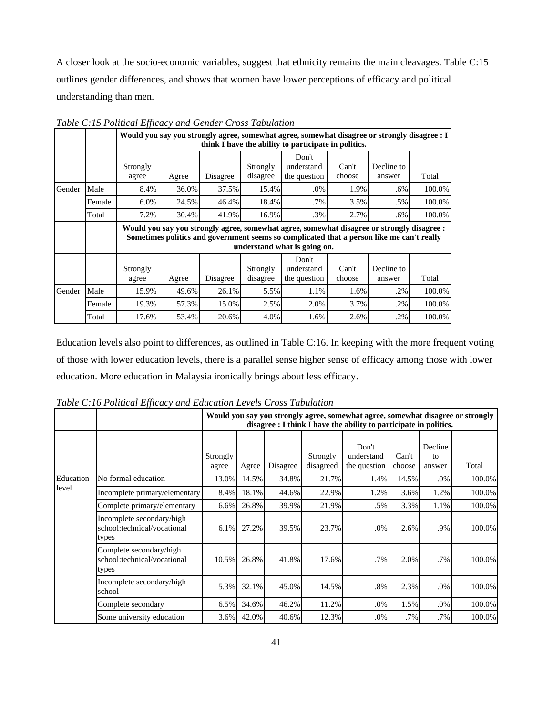A closer look at the socio-economic variables, suggest that ethnicity remains the main cleavages. Table C:15 outlines gender differences, and shows that women have lower perceptions of efficacy and political understanding than men.

|        |        |          | Would you say you strongly agree, somewhat agree, somewhat disagree or strongly disagree : I<br>think I have the ability to participate in politics.                                                                    |          |          |              |        |            |        |  |  |  |  |  |
|--------|--------|----------|-------------------------------------------------------------------------------------------------------------------------------------------------------------------------------------------------------------------------|----------|----------|--------------|--------|------------|--------|--|--|--|--|--|
|        |        |          |                                                                                                                                                                                                                         |          |          | Don't        |        |            |        |  |  |  |  |  |
|        |        | Strongly |                                                                                                                                                                                                                         |          | Strongly | understand   | Can't  | Decline to |        |  |  |  |  |  |
|        |        | agree    | Agree                                                                                                                                                                                                                   | Disagree | disagree | the question | choose | answer     | Total  |  |  |  |  |  |
| Gender | Male   | 8.4%     | 36.0%                                                                                                                                                                                                                   | 37.5%    | 15.4%    | .0%          | 1.9%   | $.6\%$     | 100.0% |  |  |  |  |  |
|        | Female | 6.0%     | 24.5%                                                                                                                                                                                                                   | 46.4%    | 18.4%    | .7%          | 3.5%   | $.5\%$     | 100.0% |  |  |  |  |  |
|        | Total  | 7.2%     | 30.4%                                                                                                                                                                                                                   | 41.9%    | 16.9%    | .3%          | 2.7%   | $.6\%$     | 100.0% |  |  |  |  |  |
|        |        |          | Would you say you strongly agree, somewhat agree, somewhat disagree or strongly disagree :<br>Sometimes politics and government seems so complicated that a person like me can't really<br>understand what is going on. |          |          |              |        |            |        |  |  |  |  |  |
|        |        |          |                                                                                                                                                                                                                         |          |          | Don't        |        |            |        |  |  |  |  |  |
|        |        | Strongly |                                                                                                                                                                                                                         |          | Strongly | understand   | Can't  | Decline to |        |  |  |  |  |  |
|        |        | agree    | Agree                                                                                                                                                                                                                   | Disagree | disagree | the question | choose | answer     | Total  |  |  |  |  |  |
| Gender | Male   | 15.9%    | 49.6%                                                                                                                                                                                                                   | 26.1%    | 5.5%     | 1.1%         | 1.6%   | $.2\%$     | 100.0% |  |  |  |  |  |
|        | Female | 19.3%    | 57.3%                                                                                                                                                                                                                   | 15.0%    | 2.5%     | 2.0%         | 3.7%   | $.2\%$     | 100.0% |  |  |  |  |  |
|        | Total  | 17.6%    | 53.4%                                                                                                                                                                                                                   | 20.6%    | 4.0%     | 1.6%         | 2.6%   | .2%        | 100.0% |  |  |  |  |  |

*Table C:15 Political Efficacy and Gender Cross Tabulation* 

Education levels also point to differences, as outlined in Table C:16. In keeping with the more frequent voting of those with lower education levels, there is a parallel sense higher sense of efficacy among those with lower education. More education in Malaysia ironically brings about less efficacy.

|           |                                                                   |                   | Would you say you strongly agree, somewhat agree, somewhat disagree or strongly<br>disagree : I think I have the ability to participate in politics. |          |                       |                                     |                 |                         |        |  |  |  |
|-----------|-------------------------------------------------------------------|-------------------|------------------------------------------------------------------------------------------------------------------------------------------------------|----------|-----------------------|-------------------------------------|-----------------|-------------------------|--------|--|--|--|
|           |                                                                   | Strongly<br>agree | Agree                                                                                                                                                | Disagree | Strongly<br>disagreed | Don't<br>understand<br>the question | Can't<br>choose | Decline<br>to<br>answer | Total  |  |  |  |
| Education | No formal education                                               | 13.0%             | 14.5%                                                                                                                                                | 34.8%    | 21.7%                 | 1.4%                                | 14.5%           | $.0\%$                  | 100.0% |  |  |  |
| level     | Incomplete primary/elementary                                     | 8.4%              | 18.1%                                                                                                                                                | 44.6%    | 22.9%                 | 1.2%                                | 3.6%            | 1.2%                    | 100.0% |  |  |  |
|           | Complete primary/elementary                                       | 6.6%              | 26.8%                                                                                                                                                | 39.9%    | 21.9%                 | .5%                                 | 3.3%            | 1.1%                    | 100.0% |  |  |  |
|           | Incomplete secondary/high<br>school:technical/vocational<br>types | 6.1%              | 27.2%                                                                                                                                                | 39.5%    | 23.7%                 | .0%                                 | 2.6%            | .9%                     | 100.0% |  |  |  |
|           | Complete secondary/high<br>school:technical/vocational<br>types   | 10.5%             | 26.8%                                                                                                                                                | 41.8%    | 17.6%                 | $.7\%$                              | 2.0%            | .7%                     | 100.0% |  |  |  |
|           | Incomplete secondary/high<br>school                               | 5.3%              | 32.1%                                                                                                                                                | 45.0%    | 14.5%                 | .8%                                 | 2.3%            | .0%                     | 100.0% |  |  |  |
|           | Complete secondary                                                | 6.5%              | 34.6%                                                                                                                                                | 46.2%    | 11.2%                 | .0%                                 | 1.5%            | $.0\%$                  | 100.0% |  |  |  |
|           | Some university education                                         | 3.6%              | 42.0%                                                                                                                                                | 40.6%    | 12.3%                 | .0%                                 | .7%             | .7%                     | 100.0% |  |  |  |

*Table C:16 Political Efficacy and Education Levels Cross Tabulation*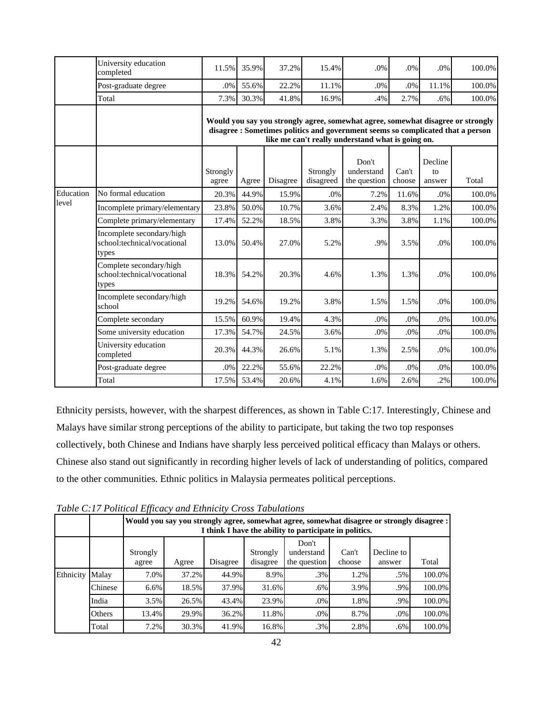|           | University education<br>completed                                 | 11.5%             | 35.9% | 37.2%    | 15.4%                 | .0%                                                                                                                                                                                                                     | .0%             | .0%                     | 100.0% |
|-----------|-------------------------------------------------------------------|-------------------|-------|----------|-----------------------|-------------------------------------------------------------------------------------------------------------------------------------------------------------------------------------------------------------------------|-----------------|-------------------------|--------|
|           | Post-graduate degree                                              | .0%               | 55.6% | 22.2%    | 11.1%                 | .0%                                                                                                                                                                                                                     | .0%             | 11.1%                   | 100.0% |
|           | Total                                                             | 7.3%              | 30.3% | 41.8%    | 16.9%                 | .4%                                                                                                                                                                                                                     | 2.7%            | .6%                     | 100.0% |
|           |                                                                   |                   |       |          |                       | Would you say you strongly agree, somewhat agree, somewhat disagree or strongly<br>disagree : Sometimes politics and government seems so complicated that a person<br>like me can't really understand what is going on. |                 |                         |        |
|           |                                                                   | Strongly<br>agree | Agree | Disagree | Strongly<br>disagreed | Don't<br>understand<br>the question                                                                                                                                                                                     | Can't<br>choose | Decline<br>to<br>answer | Total  |
| Education | No formal education                                               | 20.3%             | 44.9% | 15.9%    | .0%                   | 7.2%                                                                                                                                                                                                                    | 11.6%           | .0%                     | 100.0% |
| level     | Incomplete primary/elementary                                     | 23.8%             | 50.0% | 10.7%    | 3.6%                  | 2.4%                                                                                                                                                                                                                    | 8.3%            | 1.2%                    | 100.0% |
|           | Complete primary/elementary                                       | 17.4%             | 52.2% | 18.5%    | 3.8%                  | 3.3%                                                                                                                                                                                                                    | 3.8%            | 1.1%                    | 100.0% |
|           | Incomplete secondary/high<br>school:technical/vocational<br>types | 13.0%             | 50.4% | 27.0%    | 5.2%                  | .9%                                                                                                                                                                                                                     | 3.5%            | .0%                     | 100.0% |
|           | Complete secondary/high<br>school:technical/vocational<br>types   | 18.3%             | 54.2% | 20.3%    | 4.6%                  | 1.3%                                                                                                                                                                                                                    | 1.3%            | .0%                     | 100.0% |
|           | Incomplete secondary/high<br>school                               | 19.2%             | 54.6% | 19.2%    | 3.8%                  | 1.5%                                                                                                                                                                                                                    | 1.5%            | .0%                     | 100.0% |
|           | Complete secondary                                                | 15.5%             | 60.9% | 19.4%    | 4.3%                  | .0%                                                                                                                                                                                                                     | $.0\%$          | .0%                     | 100.0% |
|           | Some university education                                         | 17.3%             | 54.7% | 24.5%    | 3.6%                  | .0%                                                                                                                                                                                                                     | .0%             | .0%                     | 100.0% |
|           | University education<br>completed                                 | 20.3%             | 44.3% | 26.6%    | 5.1%                  | 1.3%                                                                                                                                                                                                                    | 2.5%            | .0%                     | 100.0% |
|           | Post-graduate degree                                              | .0%               | 22.2% | 55.6%    | 22.2%                 | .0%                                                                                                                                                                                                                     | .0%             | .0%                     | 100.0% |
|           | Total                                                             | 17.5%             | 53.4% | 20.6%    | 4.1%                  | 1.6%                                                                                                                                                                                                                    | 2.6%            | .2%                     | 100.0% |

Ethnicity persists, however, with the sharpest differences, as shown in Table C:17. Interestingly, Chinese and Malays have similar strong perceptions of the ability to participate, but taking the two top responses collectively, both Chinese and Indians have sharply less perceived political efficacy than Malays or others. Chinese also stand out significantly in recording higher levels of lack of understanding of politics, compared to the other communities. Ethnic politics in Malaysia permeates political perceptions.

|           |               | .,,               | Would you say you strongly agree, somewhat agree, somewhat disagree or strongly disagree :<br>I think I have the ability to participate in politics. |          |                      |                                     |                 |                      |        |  |  |  |  |  |  |
|-----------|---------------|-------------------|------------------------------------------------------------------------------------------------------------------------------------------------------|----------|----------------------|-------------------------------------|-----------------|----------------------|--------|--|--|--|--|--|--|
|           |               | Strongly<br>agree | Agree                                                                                                                                                | Disagree | Strongly<br>disagree | Don't<br>understand<br>the question | Can't<br>choose | Decline to<br>answer | Total  |  |  |  |  |  |  |
| Ethnicity | Malay         | 7.0%              | 37.2%                                                                                                                                                | 44.9%    | 8.9%                 | .3%                                 | 1.2%            | .5%                  | 100.0% |  |  |  |  |  |  |
|           | Chinese       | 6.6%              | 18.5%                                                                                                                                                | 37.9%    | 31.6%                | $.6\%$                              | 3.9%            | .9%                  | 100.0% |  |  |  |  |  |  |
|           | India         | 3.5%              | 26.5%                                                                                                                                                | 43.4%    | 23.9%                | .0%                                 | 1.8%            | .9%                  | 100.0% |  |  |  |  |  |  |
|           | <b>Others</b> | 13.4%             | 29.9%                                                                                                                                                | 36.2%    | 11.8%                | .0%                                 | 8.7%            | .0%                  | 100.0% |  |  |  |  |  |  |
|           | Total         | 7.2%              | 30.3%                                                                                                                                                | 41.9%    | 16.8%                | $.3\%$                              | 2.8%            | .6%                  | 100.0% |  |  |  |  |  |  |

*Table C:17 Political Efficacy and Ethnicity Cross Tabulations*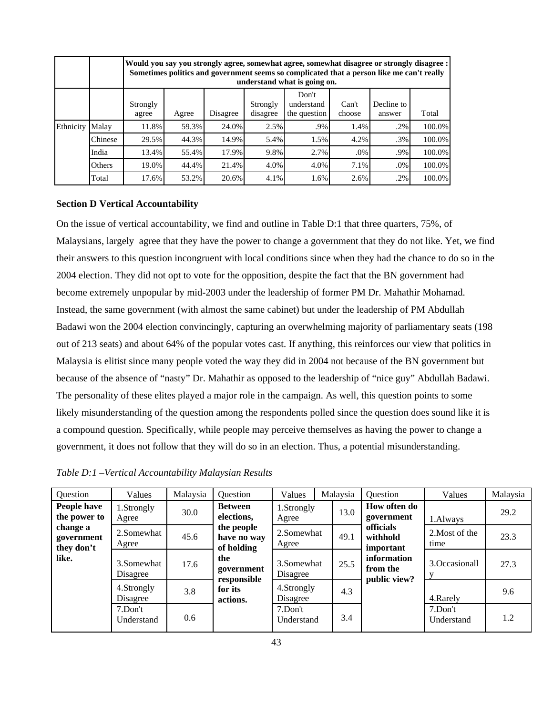|           |         |                   | Would you say you strongly agree, somewhat agree, somewhat disagree or strongly disagree :<br>Sometimes politics and government seems so complicated that a person like me can't really<br>understand what is going on. |       |      |      |      |        |        |  |  |  |  |  |
|-----------|---------|-------------------|-------------------------------------------------------------------------------------------------------------------------------------------------------------------------------------------------------------------------|-------|------|------|------|--------|--------|--|--|--|--|--|
|           |         | Strongly<br>agree | Don't<br>Decline to<br>Can't<br>Strongly<br>understand<br>Disagree<br>disagree<br>the question<br>Total<br>choose<br>Agree<br>answer                                                                                    |       |      |      |      |        |        |  |  |  |  |  |
| Ethnicity | Malay   | 11.8%             | 59.3%                                                                                                                                                                                                                   | 24.0% | 2.5% | .9%  | 1.4% | .2%    | 100.0% |  |  |  |  |  |
|           | Chinese | 29.5%             | 44.3%                                                                                                                                                                                                                   | 14.9% | 5.4% | 1.5% | 4.2% | $.3\%$ | 100.0% |  |  |  |  |  |
|           | India   | 13.4%             | 55.4%                                                                                                                                                                                                                   | 17.9% | 9.8% | 2.7% | .0%  | $.9\%$ | 100.0% |  |  |  |  |  |
|           | Others  | 19.0%             | 44.4%                                                                                                                                                                                                                   | 21.4% | 4.0% | 4.0% | 7.1% | .0%    | 100.0% |  |  |  |  |  |
|           | Total   | 17.6%             | 53.2%                                                                                                                                                                                                                   | 20.6% | 4.1% | 1.6% | 2.6% | $.2\%$ | 100.0% |  |  |  |  |  |

## **Section D Vertical Accountability**

On the issue of vertical accountability, we find and outline in Table D:1 that three quarters, 75%, of Malaysians, largely agree that they have the power to change a government that they do not like. Yet, we find their answers to this question incongruent with local conditions since when they had the chance to do so in the 2004 election. They did not opt to vote for the opposition, despite the fact that the BN government had become extremely unpopular by mid-2003 under the leadership of former PM Dr. Mahathir Mohamad. Instead, the same government (with almost the same cabinet) but under the leadership of PM Abdullah Badawi won the 2004 election convincingly, capturing an overwhelming majority of parliamentary seats (198 out of 213 seats) and about 64% of the popular votes cast. If anything, this reinforces our view that politics in Malaysia is elitist since many people voted the way they did in 2004 not because of the BN government but because of the absence of "nasty" Dr. Mahathir as opposed to the leadership of "nice guy" Abdullah Badawi. The personality of these elites played a major role in the campaign. As well, this question points to some likely misunderstanding of the question among the respondents polled since the question does sound like it is a compound question. Specifically, while people may perceive themselves as having the power to change a government, it does not follow that they will do so in an election. Thus, a potential misunderstanding.

| Question                             | Values                 | Malaysia | Question                                       | Values                 | Malaysia | Question                                  | Values                   | Malaysia |
|--------------------------------------|------------------------|----------|------------------------------------------------|------------------------|----------|-------------------------------------------|--------------------------|----------|
| People have<br>the power to          | I.Strongly<br>Agree    | 30.0     | <b>Between</b><br>elections,                   | 1.Strongly<br>Agree    | 13.0     | How often do<br>government                | 1.Always                 | 29.2     |
| change a<br>government<br>they don't | 2.Somewhat<br>Agree    | 45.6     | the people<br>have no way                      | 2.Somewhat<br>Agree    | 49.1     | <b>officials</b><br>withhold<br>important | 2. Most of the<br>time   | 23.3     |
| like.                                | 3.Somewhat<br>Disagree | 17.6     | of holding<br>the<br>government<br>responsible | 3.Somewhat<br>Disagree | 25.5     | information<br>from the<br>public view?   | 3. Occasionall           | 27.3     |
|                                      | 4.Strongly<br>Disagree | 3.8      | for its<br>actions.                            | 4.Strongly<br>Disagree | 4.3      |                                           | 4. Rarely                | 9.6      |
|                                      | 7.Don't<br>Understand  | 0.6      |                                                | 7.Don't<br>Understand  | 3.4      |                                           | $7.$ Don't<br>Understand | 1.2      |

*Table D:1 –Vertical Accountability Malaysian Results*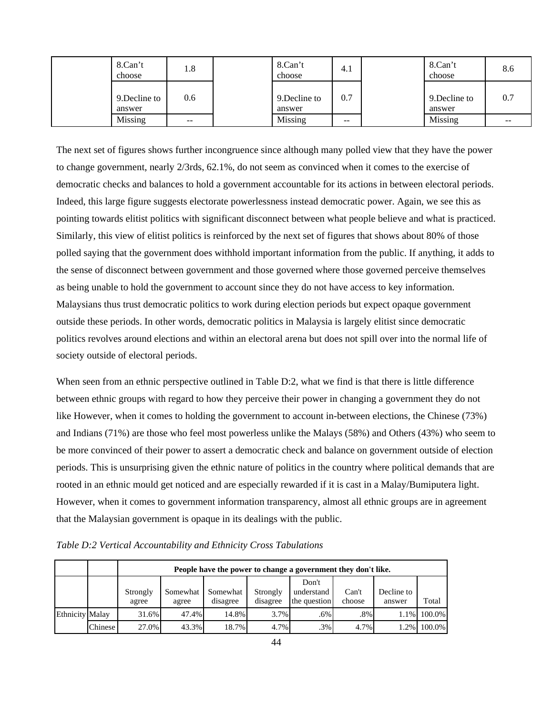| 8.Can't<br>choose       | 1.8   | 8.Can't<br>choose       | 4.1 | 8.Can't<br>choose       | 8.6 |
|-------------------------|-------|-------------------------|-----|-------------------------|-----|
| 9. Decline to<br>answer | 0.6   | 9. Decline to<br>answer | 0.7 | 9. Decline to<br>answer | 0.7 |
| Missing                 | $- -$ | Missing                 | --  | Missing                 | --  |

The next set of figures shows further incongruence since although many polled view that they have the power to change government, nearly 2/3rds, 62.1%, do not seem as convinced when it comes to the exercise of democratic checks and balances to hold a government accountable for its actions in between electoral periods. Indeed, this large figure suggests electorate powerlessness instead democratic power. Again, we see this as pointing towards elitist politics with significant disconnect between what people believe and what is practiced. Similarly, this view of elitist politics is reinforced by the next set of figures that shows about 80% of those polled saying that the government does withhold important information from the public. If anything, it adds to the sense of disconnect between government and those governed where those governed perceive themselves as being unable to hold the government to account since they do not have access to key information. Malaysians thus trust democratic politics to work during election periods but expect opaque government outside these periods. In other words, democratic politics in Malaysia is largely elitist since democratic politics revolves around elections and within an electoral arena but does not spill over into the normal life of society outside of electoral periods.

When seen from an ethnic perspective outlined in Table D:2, what we find is that there is little difference between ethnic groups with regard to how they perceive their power in changing a government they do not like However, when it comes to holding the government to account in-between elections, the Chinese (73%) and Indians (71%) are those who feel most powerless unlike the Malays (58%) and Others (43%) who seem to be more convinced of their power to assert a democratic check and balance on government outside of election periods. This is unsurprising given the ethnic nature of politics in the country where political demands that are rooted in an ethnic mould get noticed and are especially rewarded if it is cast in a Malay/Bumiputera light. However, when it comes to government information transparency, almost all ethnic groups are in agreement that the Malaysian government is opaque in its dealings with the public.

*Table D:2 Vertical Accountability and Ethnicity Cross Tabulations* 

|                        |         |                   | People have the power to change a government they don't like. |                      |                      |                                     |                 |                      |        |  |  |  |  |  |
|------------------------|---------|-------------------|---------------------------------------------------------------|----------------------|----------------------|-------------------------------------|-----------------|----------------------|--------|--|--|--|--|--|
|                        |         | Strongly<br>agree | Somewhat<br>agree                                             | Somewhat<br>disagree | Strongly<br>disagree | Don't<br>understand<br>the question | Can't<br>choose | Decline to<br>answer | Total  |  |  |  |  |  |
| <b>Ethnicity Malay</b> |         | 31.6%             | 47.4%                                                         | 14.8%                | 3.7%                 | .6%                                 | $.8\%$          | 1.1%                 | 100.0% |  |  |  |  |  |
|                        | Chinese | 27.0%             | 43.3%                                                         | 18.7%                | 4.7%                 | $.3\%$                              | 4.7%            | 1.2%                 | 100.0% |  |  |  |  |  |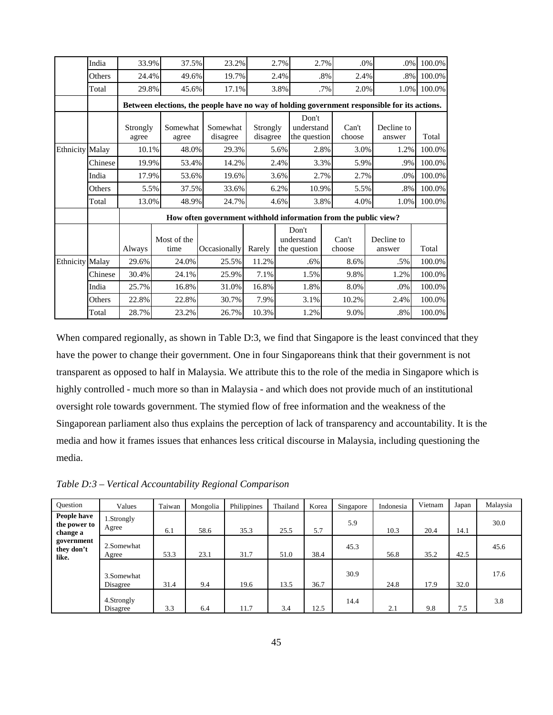|                        | India   | 33.9%    | 37.5%       | 23.2%                                                                                        |          | 2.7% |              | 2.7%   | .0%    | .0%        | 100.0%      |
|------------------------|---------|----------|-------------|----------------------------------------------------------------------------------------------|----------|------|--------------|--------|--------|------------|-------------|
|                        | Others  | 24.4%    | 49.6%       | 19.7%                                                                                        |          | 2.4% |              | .8%    | 2.4%   | $.8\%$     | 100.0%      |
|                        | Total   | 29.8%    | 45.6%       | 17.1%                                                                                        |          | 3.8% |              | $.7\%$ | 2.0%   |            | 1.0% 100.0% |
|                        |         |          |             | Between elections, the people have no way of holding government responsible for its actions. |          |      |              |        |        |            |             |
|                        |         |          |             |                                                                                              |          |      | Don't        |        |        |            |             |
|                        |         | Strongly | Somewhat    | Somewhat                                                                                     | Strongly |      | understand   |        | Can't  | Decline to |             |
|                        |         | agree    | agree       | disagree                                                                                     | disagree |      | the question |        | choose | answer     | Total       |
| <b>Ethnicity Malay</b> |         | 10.1%    | 48.0%       | 29.3%                                                                                        |          | 5.6% |              | 2.8%   | 3.0%   | 1.2%       | 100.0%      |
|                        | Chinese | 19.9%    | 53.4%       | 14.2%                                                                                        |          | 2.4% |              | 3.3%   | 5.9%   | .9%        | 100.0%      |
|                        | India   | 17.9%    | 53.6%       | 19.6%                                                                                        |          | 3.6% |              | 2.7%   | 2.7%   | .0%        | 100.0%      |
|                        | Others  | 5.5%     | 37.5%       | 33.6%                                                                                        |          | 6.2% | 10.9%        |        | 5.5%   | .8%        | 100.0%      |
|                        | Total   | 13.0%    | 48.9%       | 24.7%                                                                                        |          | 4.6% |              | 3.8%   | 4.0%   | 1.0%       | 100.0%      |
|                        |         |          |             | How often government withhold information from the public view?                              |          |      |              |        |        |            |             |
|                        |         |          |             |                                                                                              |          |      | Don't        |        |        |            |             |
|                        |         |          | Most of the |                                                                                              |          |      | understand   |        | Can't  | Decline to |             |
|                        |         | Always   | time        | Occasionally                                                                                 | Rarely   |      | the question |        | choose | answer     | Total       |
| <b>Ethnicity Malay</b> |         | 29.6%    | 24.0%       | 25.5%                                                                                        | 11.2%    |      | .6%          |        | 8.6%   | .5%        | 100.0%      |
|                        | Chinese | 30.4%    | 24.1%       | 25.9%                                                                                        | 7.1%     |      | 1.5%         |        | 9.8%   | 1.2%       | 100.0%      |
|                        | India   | 25.7%    | 16.8%       | 31.0%                                                                                        | 16.8%    |      | 1.8%         |        | 8.0%   | .0%        | 100.0%      |
|                        | Others  | 22.8%    | 22.8%       | 30.7%                                                                                        | 7.9%     |      | 3.1%         |        | 10.2%  | 2.4%       | 100.0%      |
|                        | Total   | 28.7%    | 23.2%       | 26.7%                                                                                        | 10.3%    |      | 1.2%         |        | 9.0%   | $.8\%$     | 100.0%      |

When compared regionally, as shown in Table D:3, we find that Singapore is the least convinced that they have the power to change their government. One in four Singaporeans think that their government is not transparent as opposed to half in Malaysia. We attribute this to the role of the media in Singapore which is highly controlled - much more so than in Malaysia - and which does not provide much of an institutional oversight role towards government. The stymied flow of free information and the weakness of the Singaporean parliament also thus explains the perception of lack of transparency and accountability. It is the media and how it frames issues that enhances less critical discourse in Malaysia, including questioning the media.

| Ouestion                                | Values                 | Taiwan | Mongolia | Philippines | Thailand | Korea | Singapore | Indonesia | Vietnam | Japan | Malaysia |
|-----------------------------------------|------------------------|--------|----------|-------------|----------|-------|-----------|-----------|---------|-------|----------|
| People have<br>the power to<br>change a | 1.Strongly<br>Agree    | 6.1    | 58.6     | 35.3        | 25.5     | 5.7   | 5.9       | 10.3      | 20.4    | 14.1  | 30.0     |
| government<br>they don't<br>like.       | 2.Somewhat<br>Agree    | 53.3   | 23.1     | 31.7        | 51.0     | 38.4  | 45.3      | 56.8      | 35.2    | 42.5  | 45.6     |
|                                         | 3.Somewhat<br>Disagree | 31.4   | 9.4      | 19.6        | 13.5     | 36.7  | 30.9      | 24.8      | 17.9    | 32.0  | 17.6     |
|                                         | 4.Strongly<br>Disagree | 3.3    | 6.4      | 11.7        | 3.4      | 12.5  | 14.4      | 2.1       | 9.8     | 7.5   | 3.8      |

*Table D:3 – Vertical Accountability Regional Comparison*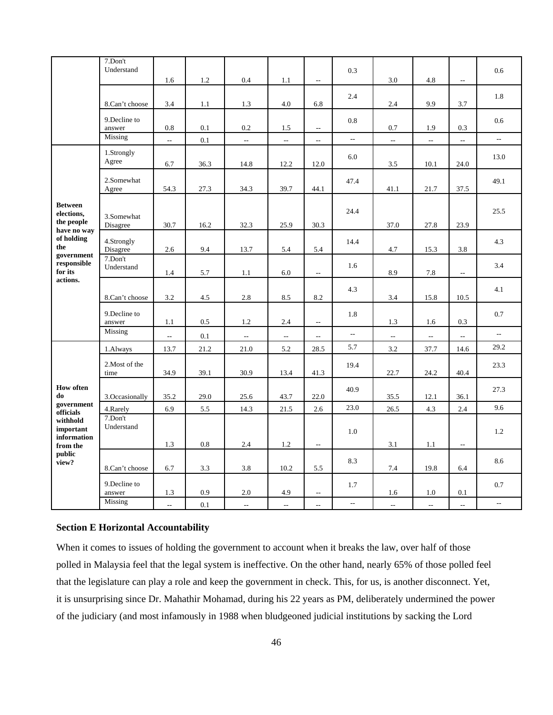|                                                | 7.Don't<br>Understand   | 1.6                      | 1.2  | 0.4  | 1.1                      | $\overline{a}$           | 0.3                      | 3.0            | 4.8            | $\overline{a}$            | 0.6                      |
|------------------------------------------------|-------------------------|--------------------------|------|------|--------------------------|--------------------------|--------------------------|----------------|----------------|---------------------------|--------------------------|
|                                                | 8.Can't choose          | 3.4                      | 1.1  | 1.3  | 4.0                      | 6.8                      | 2.4                      | 2.4            | 9.9            | 3.7                       | 1.8                      |
|                                                | 9.Decline to<br>answer  | 0.8                      | 0.1  | 0.2  | 1.5                      | $\overline{\phantom{m}}$ | 0.8                      | 0.7            | 1.9            | 0.3                       | 0.6                      |
|                                                | Missing                 | $\sim$                   | 0.1  | цц.  | $\overline{a}$           | $\overline{\phantom{m}}$ | $\overline{\phantom{a}}$ | $\overline{a}$ | $\overline{a}$ | $\overline{a}$            | $\mathbb{L}^2$           |
|                                                | 1.Strongly<br>Agree     | 6.7                      | 36.3 | 14.8 | 12.2                     | 12.0                     | 6.0                      | 3.5            | 10.1           | 24.0                      | 13.0                     |
|                                                | 2.Somewhat<br>Agree     | 54.3                     | 27.3 | 34.3 | 39.7                     | 44.1                     | 47.4                     | 41.1           | 21.7           | 37.5                      | 49.1                     |
| <b>Between</b><br>elections,<br>the people     | 3.Somewhat<br>Disagree  | 30.7                     | 16.2 | 32.3 | 25.9                     | 30.3                     | 24.4                     | 37.0           | 27.8           | 23.9                      | 25.5                     |
| have no way<br>of holding<br>the<br>government | 4.Strongly<br>Disagree  | 2.6                      | 9.4  | 13.7 | 5.4                      | 5.4                      | 14.4                     | 4.7            | 15.3           | 3.8                       | 4.3                      |
| responsible<br>for its                         | 7.Don't<br>Understand   | 1.4                      | 5.7  | 1.1  | 6.0                      | $\overline{\phantom{a}}$ | 1.6                      | 8.9            | 7.8            | $\overline{a}$            | 3.4                      |
| actions.                                       | 8.Can't choose          | 3.2                      | 4.5  | 2.8  | 8.5                      | 8.2                      | 4.3                      | 3.4            | 15.8           | 10.5                      | 4.1                      |
|                                                | 9. Decline to<br>answer | 1.1                      | 0.5  | 1.2  | 2.4                      | $\overline{a}$           | 1.8                      | 1.3            | 1.6            | 0.3                       | 0.7                      |
|                                                | Missing                 | 4                        | 0.1  | Ξ.   | $\overline{\phantom{a}}$ | $\overline{a}$           | $\overline{a}$           | --             | --             | $\overline{\phantom{a}}$  | $\overline{a}$           |
|                                                | 1.Always                | 13.7                     | 21.2 | 21.0 | 5.2                      | 28.5                     | 5.7                      | 3.2            | 37.7           | 14.6                      | 29.2                     |
|                                                | 2. Most of the<br>time  | 34.9                     | 39.1 | 30.9 | 13.4                     | 41.3                     | 19.4                     | 22.7           | 24.2           | 40.4                      | 23.3                     |
| <b>How often</b><br>do                         | 3.Occasionally          | 35.2                     | 29.0 | 25.6 | 43.7                     | 22.0                     | 40.9                     | 35.5           | 12.1           | 36.1                      | 27.3                     |
| government<br>officials                        | 4.Rarely                | 6.9                      | 5.5  | 14.3 | 21.5                     | 2.6                      | 23.0                     | 26.5           | 4.3            | 2.4                       | 9.6                      |
| withhold<br>important<br>information           | 7.Don't<br>Understand   | 1.3                      | 0.8  | 2.4  | 1.2                      | $\overline{\phantom{m}}$ | 1.0                      | 3.1            | 1.1            | $\overline{\phantom{a}}$  | 1.2                      |
| from the<br>public<br>view?                    | 8.Can't choose          | 6.7                      | 3.3  | 3.8  | 10.2                     | 5.5                      | 8.3                      | 7.4            | 19.8           | 6.4                       | 8.6                      |
|                                                | 9.Decline to<br>answer  | 1.3                      | 0.9  | 2.0  | 4.9                      | $\overline{a}$           | 1.7                      | 1.6            | 1.0            | 0.1                       | 0.7                      |
|                                                | Missing                 | $\overline{\phantom{a}}$ | 0.1  | цц.  | $\mathbb{L}$             | $\overline{a}$           | $\overline{\phantom{a}}$ | ÷.             | ÷.             | $\mathbb{L}^{\mathbb{L}}$ | $\overline{\phantom{a}}$ |

## **Section E Horizontal Accountability**

When it comes to issues of holding the government to account when it breaks the law, over half of those polled in Malaysia feel that the legal system is ineffective. On the other hand, nearly 65% of those polled feel that the legislature can play a role and keep the government in check. This, for us, is another disconnect. Yet, it is unsurprising since Dr. Mahathir Mohamad, during his 22 years as PM, deliberately undermined the power of the judiciary (and most infamously in 1988 when bludgeoned judicial institutions by sacking the Lord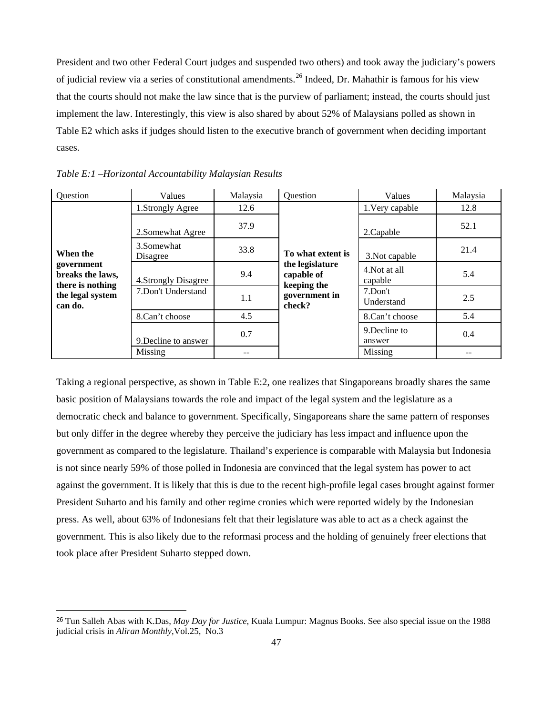President and two other Federal Court judges and suspended two others) and took away the judiciary's powers of judicial review via a series of constitutional amendments.[2](#page-47-0)6 Indeed, Dr. Mahathir is famous for his view that the courts should not make the law since that is the purview of parliament; instead, the courts should just implement the law. Interestingly, this view is also shared by about 52% of Malaysians polled as shown in Table E2 which asks if judges should listen to the executive branch of government when deciding important cases.

| Question                                           | Values                  | Malaysia | Question                                     | Values                   | Malaysia |
|----------------------------------------------------|-------------------------|----------|----------------------------------------------|--------------------------|----------|
|                                                    | 1.Strongly Agree        | 12.6     |                                              | 1. Very capable          | 12.8     |
|                                                    | 2. Somewhat Agree       | 37.9     |                                              | 2. Capable               | 52.1     |
| When the                                           | 3. Somewhat<br>Disagree | 33.8     | To what extent is                            | 3. Not capable           | 21.4     |
| government<br>breaks the laws,<br>there is nothing | 4. Strongly Disagree    | 9.4      | the legislature<br>capable of<br>keeping the | 4. Not at all<br>capable | 5.4      |
| the legal system<br>can do.                        | 7.Don't Understand      | 1.1      | government in<br>check?                      | 7.Don't<br>Understand    | 2.5      |
|                                                    | 8.Can't choose          | 4.5      |                                              | 8.Can't choose           | 5.4      |
|                                                    | 9. Decline to answer    | 0.7      |                                              | 9. Decline to<br>answer  | 0.4      |
|                                                    | Missing                 | --       |                                              | Missing                  | --       |

*Table E:1 –Horizontal Accountability Malaysian Results* 

Taking a regional perspective, as shown in Table E:2, one realizes that Singaporeans broadly shares the same basic position of Malaysians towards the role and impact of the legal system and the legislature as a democratic check and balance to government. Specifically, Singaporeans share the same pattern of responses but only differ in the degree whereby they perceive the judiciary has less impact and influence upon the government as compared to the legislature. Thailand's experience is comparable with Malaysia but Indonesia is not since nearly 59% of those polled in Indonesia are convinced that the legal system has power to act against the government. It is likely that this is due to the recent high-profile legal cases brought against former President Suharto and his family and other regime cronies which were reported widely by the Indonesian press. As well, about 63% of Indonesians felt that their legislature was able to act as a check against the government. This is also likely due to the reformasi process and the holding of genuinely freer elections that took place after President Suharto stepped down.

<span id="page-47-0"></span><sup>26</sup> Tun Salleh Abas with K.Das, *May Day for Justice*, Kuala Lumpur: Magnus Books. See also special issue on the 1988 judicial crisis in *Aliran Monthly*,Vol.25, No.3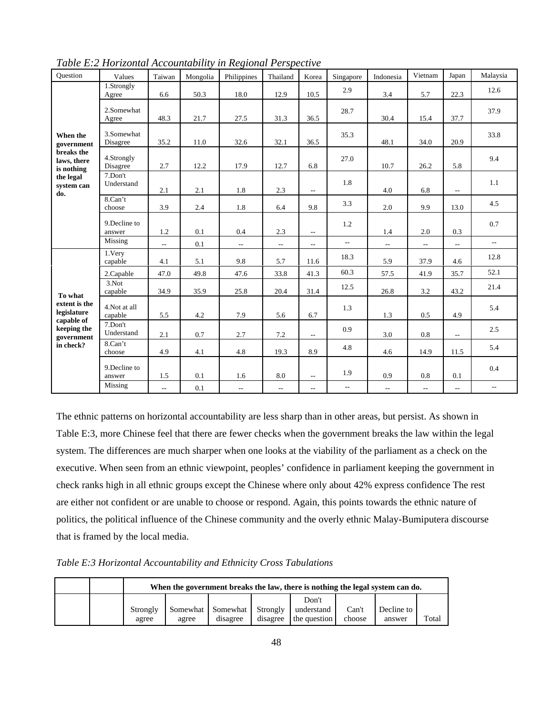| Ouestion                                   | Values                  | Taiwan         | Mongolia | Philippines              | Thailand                 | Korea                    | Singapore                | Indonesia                | Vietnam                  | Japan                    | Malaysia                 |
|--------------------------------------------|-------------------------|----------------|----------|--------------------------|--------------------------|--------------------------|--------------------------|--------------------------|--------------------------|--------------------------|--------------------------|
|                                            | 1.Strongly<br>Agree     | 6.6            | 50.3     | 18.0                     | 12.9                     | 10.5                     | 2.9                      | 3.4                      | 5.7                      | 22.3                     | 12.6                     |
|                                            | 2.Somewhat<br>Agree     | 48.3           | 21.7     | 27.5                     | 31.3                     | 36.5                     | 28.7                     | 30.4                     | 15.4                     | 37.7                     | 37.9                     |
| When the<br>government                     | 3.Somewhat<br>Disagree  | 35.2           | 11.0     | 32.6                     | 32.1                     | 36.5                     | 35.3                     | 48.1                     | 34.0                     | 20.9                     | 33.8                     |
| breaks the<br>laws, there<br>is nothing    | 4.Strongly<br>Disagree  | 2.7            | 12.2     | 17.9                     | 12.7                     | 6.8                      | 27.0                     | 10.7                     | 26.2                     | 5.8                      | 9.4                      |
| the legal<br>system can<br>do.             | 7.Don't<br>Understand   | 2.1            | 2.1      | 1.8                      | 2.3                      | $\overline{\phantom{a}}$ | 1.8                      | 4.0                      | 6.8                      | $\overline{a}$           | 1.1                      |
|                                            | 8.Can't<br>choose       | 3.9            | 2.4      | 1.8                      | 6.4                      | 9.8                      | 3.3                      | 2.0                      | 9.9                      | 13.0                     | 4.5                      |
|                                            | 9. Decline to<br>answer | 1.2            | 0.1      | 0.4                      | 2.3                      | $\overline{\phantom{a}}$ | 1.2                      | 1.4                      | 2.0                      | 0.3                      | 0.7                      |
|                                            | Missing                 | $\overline{a}$ | 0.1      | $\overline{\phantom{a}}$ | $\overline{\phantom{a}}$ | $\overline{\phantom{a}}$ | $\overline{\phantom{a}}$ | $\overline{\phantom{a}}$ | $\overline{\phantom{a}}$ | $\overline{a}$           | $\overline{\phantom{a}}$ |
|                                            | 1.Very<br>capable       | 4.1            | 5.1      | 9.8                      | 5.7                      | 11.6                     | 18.3                     | 5.9                      | 37.9                     | 4.6                      | 12.8                     |
|                                            | 2.Capable               | 47.0           | 49.8     | 47.6                     | 33.8                     | 41.3                     | 60.3                     | 57.5                     | 41.9                     | 35.7                     | 52.1                     |
| To what                                    | $3.$ Not<br>capable     | 34.9           | 35.9     | 25.8                     | 20.4                     | 31.4                     | 12.5                     | 26.8                     | 3.2                      | 43.2                     | 21.4                     |
| extent is the<br>legislature<br>capable of | 4.Not at all<br>capable | 5.5            | 4.2      | 7.9                      | 5.6                      | 6.7                      | 1.3                      | 1.3                      | 0.5                      | 4.9                      | 5.4                      |
| keeping the<br>government                  | 7.Don't<br>Understand   | 2.1            | 0.7      | 2.7                      | 7.2                      | $\overline{\phantom{a}}$ | 0.9                      | 3.0                      | 0.8                      | $\overline{a}$           | 2.5                      |
| in check?                                  | 8.Can't<br>choose       | 4.9            | 4.1      | 4.8                      | 19.3                     | 8.9                      | 4.8                      | 4.6                      | 14.9                     | 11.5                     | 5.4                      |
|                                            | 9. Decline to<br>answer | 1.5            | 0.1      | 1.6                      | $8.0\,$                  | $\overline{\phantom{a}}$ | 1.9                      | 0.9                      | 0.8                      | 0.1                      | 0.4                      |
|                                            | Missing                 | $- -$          | 0.1      | $\overline{\phantom{m}}$ | $\overline{\phantom{a}}$ | $\overline{\phantom{a}}$ | $\overline{\phantom{a}}$ | $\overline{a}$           | $\overline{\phantom{a}}$ | $\overline{\phantom{m}}$ | $\mathbf{u}$             |

*Table E:2 Horizontal Accountability in Regional Perspective* 

The ethnic patterns on horizontal accountability are less sharp than in other areas, but persist. As shown in Table E:3, more Chinese feel that there are fewer checks when the government breaks the law within the legal system. The differences are much sharper when one looks at the viability of the parliament as a check on the executive. When seen from an ethnic viewpoint, peoples' confidence in parliament keeping the government in check ranks high in all ethnic groups except the Chinese where only about 42% express confidence The rest are either not confident or are unable to choose or respond. Again, this points towards the ethnic nature of politics, the political influence of the Chinese community and the overly ethnic Malay-Bumiputera discourse that is framed by the local media.

*Table E:3 Horizontal Accountability and Ethnicity Cross Tabulations* 

|  |                   | When the government breaks the law, there is nothing the legal system can do. |                                        |          |                                     |                 |                      |       |  |  |  |  |
|--|-------------------|-------------------------------------------------------------------------------|----------------------------------------|----------|-------------------------------------|-----------------|----------------------|-------|--|--|--|--|
|  | Strongly<br>agree | agree                                                                         | Somewhat Somewhat Strongly<br>disagree | disagree | Don't<br>understand<br>the question | Can't<br>choose | Decline to<br>answer | Total |  |  |  |  |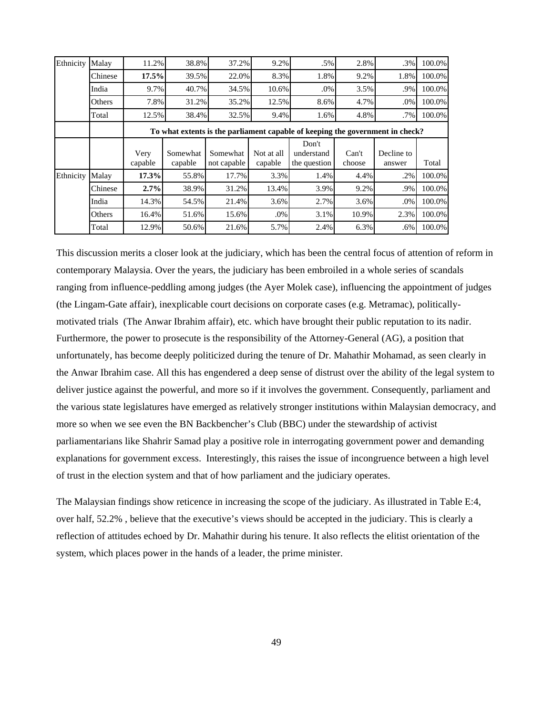| Ethnicity | Malay   | 11.2%           | 38.8%               | 37.2%                   | 9.2%                  | $.5\%$                                                                        | 2.8%            | .3%                  | 100.0% |
|-----------|---------|-----------------|---------------------|-------------------------|-----------------------|-------------------------------------------------------------------------------|-----------------|----------------------|--------|
|           | Chinese | 17.5%           | 39.5%               | 22.0%                   | 8.3%                  | 1.8%                                                                          | 9.2%            | 1.8%                 | 100.0% |
|           | India   | 9.7%            | 40.7%               | 34.5%                   | 10.6%                 | $.0\%$                                                                        | 3.5%            | .9%                  | 100.0% |
|           | Others  | 7.8%            | 31.2%               | 35.2%                   | 12.5%                 | 8.6%                                                                          | 4.7%            | .0%                  | 100.0% |
|           | Total   | 12.5%           | 38.4%               | 32.5%                   | 9.4%                  | 1.6%                                                                          | 4.8%            | $.7\%$               | 100.0% |
|           |         |                 |                     |                         |                       | To what extents is the parliament capable of keeping the government in check? |                 |                      |        |
|           |         | Very<br>capable | Somewhat<br>capable | Somewhat<br>not capable | Not at all<br>capable | Don't<br>understand<br>the question                                           | Can't<br>choose | Decline to<br>answer | Total  |
| Ethnicity | Malay   | 17.3%           | 55.8%               | 17.7%                   | 3.3%                  | 1.4%                                                                          | 4.4%            | .2%                  | 100.0% |
|           | Chinese | 2.7%            | 38.9%               | 31.2%                   | 13.4%                 | 3.9%                                                                          | 9.2%            | .9%                  | 100.0% |
|           | India   | 14.3%           | 54.5%               | 21.4%                   | 3.6%                  | 2.7%                                                                          | 3.6%            | .0%                  | 100.0% |
|           | Others  | 16.4%           | 51.6%               | 15.6%                   | .0%                   | 3.1%                                                                          | 10.9%           | 2.3%                 | 100.0% |
|           | Total   | 12.9%           | 50.6%               | 21.6%                   | 5.7%                  | 2.4%                                                                          | 6.3%            | .6%                  | 100.0% |

This discussion merits a closer look at the judiciary, which has been the central focus of attention of reform in contemporary Malaysia. Over the years, the judiciary has been embroiled in a whole series of scandals ranging from influence-peddling among judges (the Ayer Molek case), influencing the appointment of judges (the Lingam-Gate affair), inexplicable court decisions on corporate cases (e.g. Metramac), politicallymotivated trials (The Anwar Ibrahim affair), etc. which have brought their public reputation to its nadir. Furthermore, the power to prosecute is the responsibility of the Attorney-General (AG), a position that unfortunately, has become deeply politicized during the tenure of Dr. Mahathir Mohamad, as seen clearly in the Anwar Ibrahim case. All this has engendered a deep sense of distrust over the ability of the legal system to deliver justice against the powerful, and more so if it involves the government. Consequently, parliament and the various state legislatures have emerged as relatively stronger institutions within Malaysian democracy, and more so when we see even the BN Backbencher's Club (BBC) under the stewardship of activist parliamentarians like Shahrir Samad play a positive role in interrogating government power and demanding explanations for government excess. Interestingly, this raises the issue of incongruence between a high level of trust in the election system and that of how parliament and the judiciary operates.

The Malaysian findings show reticence in increasing the scope of the judiciary. As illustrated in Table E:4, over half, 52.2% , believe that the executive's views should be accepted in the judiciary. This is clearly a reflection of attitudes echoed by Dr. Mahathir during his tenure. It also reflects the elitist orientation of the system, which places power in the hands of a leader, the prime minister.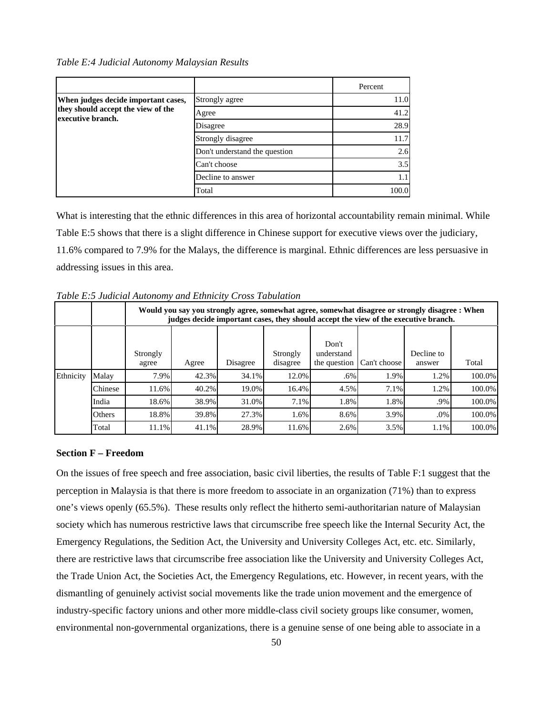*Table E:4 Judicial Autonomy Malaysian Results* 

|                                                          |                               | Percent |
|----------------------------------------------------------|-------------------------------|---------|
| When judges decide important cases,                      | Strongly agree                | 11.0    |
| they should accept the view of the<br>lexecutive branch. | Agree                         | 41.2    |
|                                                          | Disagree                      | 28.9    |
|                                                          | Strongly disagree             | 11.7    |
|                                                          | Don't understand the question | 2.6     |
|                                                          | Can't choose                  | 3.5     |
|                                                          | Decline to answer             | 1.1     |
|                                                          | Total                         | 100.0   |

What is interesting that the ethnic differences in this area of horizontal accountability remain minimal. While Table E:5 shows that there is a slight difference in Chinese support for executive views over the judiciary, 11.6% compared to 7.9% for the Malays, the difference is marginal. Ethnic differences are less persuasive in addressing issues in this area.

|           |         |                   | Would you say you strongly agree, somewhat agree, somewhat disagree or strongly disagree : When<br>judges decide important cases, they should accept the view of the executive branch. |          |                      |                                     |              |                      |        |  |  |  |  |  |  |
|-----------|---------|-------------------|----------------------------------------------------------------------------------------------------------------------------------------------------------------------------------------|----------|----------------------|-------------------------------------|--------------|----------------------|--------|--|--|--|--|--|--|
|           |         | Strongly<br>agree | Agree                                                                                                                                                                                  | Disagree | Strongly<br>disagree | Don't<br>understand<br>the question | Can't choose | Decline to<br>answer | Total  |  |  |  |  |  |  |
| Ethnicity | Malay   | 7.9%              | 42.3%                                                                                                                                                                                  | 34.1%    | 12.0%                | .6%                                 | 1.9%         | 1.2%                 | 100.0% |  |  |  |  |  |  |
|           | Chinese | 11.6%             | 40.2%                                                                                                                                                                                  | 19.0%    | 16.4%                | 4.5%                                | 7.1%         | 1.2%                 | 100.0% |  |  |  |  |  |  |
|           | India   | 18.6%             | 38.9%                                                                                                                                                                                  | 31.0%    | 7.1%                 | 1.8%                                | 1.8%         | .9%                  | 100.0% |  |  |  |  |  |  |
|           | Others  | 18.8%             | 39.8%                                                                                                                                                                                  | 27.3%    | 1.6%                 | 8.6%                                | 3.9%         | $.0\%$               | 100.0% |  |  |  |  |  |  |
|           | Total   | 11.1%             | 41.1%                                                                                                                                                                                  | 28.9%    | 11.6%                | 2.6%                                | 3.5%         | 1.1%                 | 100.0% |  |  |  |  |  |  |

*Table E:5 Judicial Autonomy and Ethnicity Cross Tabulation* 

#### **Section F – Freedom**

On the issues of free speech and free association, basic civil liberties, the results of Table F:1 suggest that the perception in Malaysia is that there is more freedom to associate in an organization (71%) than to express one's views openly (65.5%). These results only reflect the hitherto semi-authoritarian nature of Malaysian society which has numerous restrictive laws that circumscribe free speech like the Internal Security Act, the Emergency Regulations, the Sedition Act, the University and University Colleges Act, etc. etc. Similarly, there are restrictive laws that circumscribe free association like the University and University Colleges Act, the Trade Union Act, the Societies Act, the Emergency Regulations, etc. However, in recent years, with the dismantling of genuinely activist social movements like the trade union movement and the emergence of industry-specific factory unions and other more middle-class civil society groups like consumer, women, environmental non-governmental organizations, there is a genuine sense of one being able to associate in a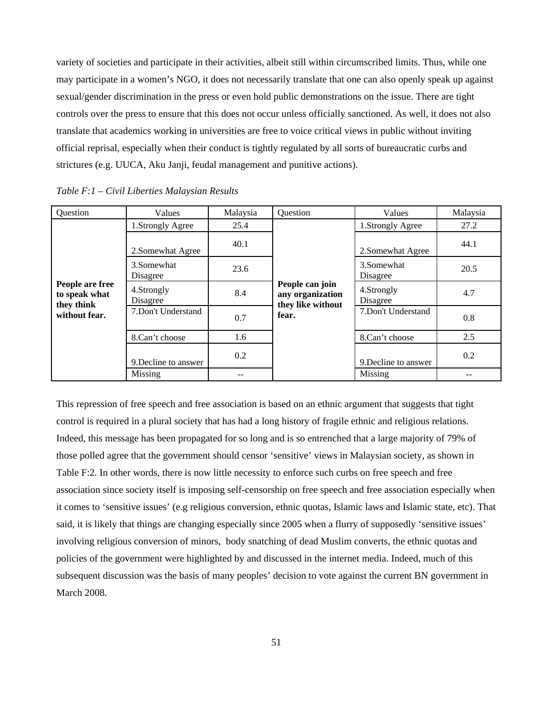variety of societies and participate in their activities, albeit still within circumscribed limits. Thus, while one may participate in a women's NGO, it does not necessarily translate that one can also openly speak up against sexual/gender discrimination in the press or even hold public demonstrations on the issue. There are tight controls over the press to ensure that this does not occur unless officially sanctioned. As well, it does not also translate that academics working in universities are free to voice critical views in public without inviting official reprisal, especially when their conduct is tightly regulated by all sorts of bureaucratic curbs and strictures (e.g. UUCA, Aku Janji, feudal management and punitive actions).

| Question                                       | Values                  | Malaysia | Question                                                 | Values                  | Malaysia |
|------------------------------------------------|-------------------------|----------|----------------------------------------------------------|-------------------------|----------|
|                                                | 1.Strongly Agree        | 25.4     |                                                          | 1.Strongly Agree        | 27.2     |
| People are free<br>to speak what<br>they think | 2. Somewhat Agree       | 40.1     |                                                          | 2. Somewhat Agree       | 44.1     |
|                                                | 3. Somewhat<br>Disagree | 23.6     |                                                          | 3. Somewhat<br>Disagree | 20.5     |
|                                                | 4.Strongly<br>Disagree  | 8.4      | People can join<br>any organization<br>they like without | 4.Strongly<br>Disagree  | 4.7      |
| without fear.                                  | 7.Don't Understand      | 0.7      | fear.                                                    | 7.Don't Understand      | 0.8      |
|                                                | 8.Can't choose          | 1.6      |                                                          | 8.Can't choose          | 2.5      |
|                                                | 9. Decline to answer    | 0.2      |                                                          | 9. Decline to answer    | 0.2      |
|                                                | Missing                 | --       |                                                          | Missing                 | --       |

*Table F:1 – Civil Liberties Malaysian Results* 

This repression of free speech and free association is based on an ethnic argument that suggests that tight control is required in a plural society that has had a long history of fragile ethnic and religious relations. Indeed, this message has been propagated for so long and is so entrenched that a large majority of 79% of those polled agree that the government should censor 'sensitive' views in Malaysian society, as shown in Table F:2. In other words, there is now little necessity to enforce such curbs on free speech and free association since society itself is imposing self-censorship on free speech and free association especially when it comes to 'sensitive issues' (e.g religious conversion, ethnic quotas, Islamic laws and Islamic state, etc). That said, it is likely that things are changing especially since 2005 when a flurry of supposedly 'sensitive issues' involving religious conversion of minors, body snatching of dead Muslim converts, the ethnic quotas and policies of the government were highlighted by and discussed in the internet media. Indeed, much of this subsequent discussion was the basis of many peoples' decision to vote against the current BN government in March 2008.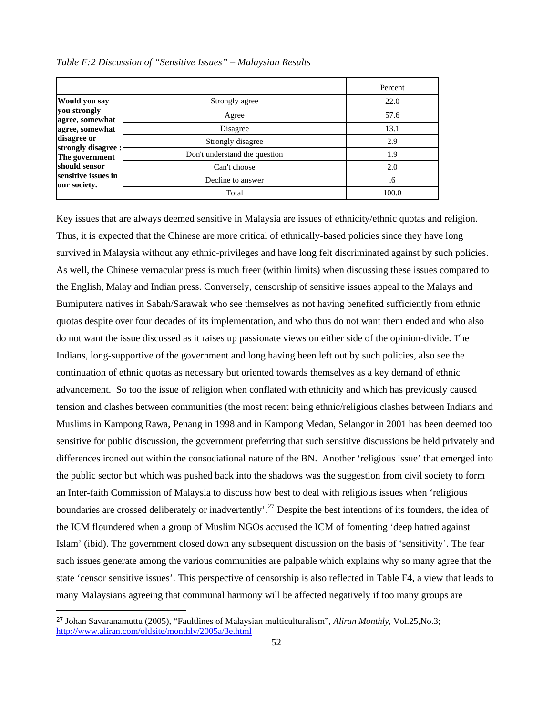|                                     |                               | Percent |
|-------------------------------------|-------------------------------|---------|
| <b>Would you say</b>                | Strongly agree                | 22.0    |
| you strongly<br>agree, somewhat     | Agree                         | 57.6    |
| agree, somewhat                     | Disagree                      | 13.1    |
| disagree or<br>strongly disagree :  | Strongly disagree             | 2.9     |
| The government                      | Don't understand the question | 1.9     |
| should sensor                       | Can't choose                  | 2.0     |
| sensitive issues in<br>our society. | Decline to answer             | .6      |
|                                     | Total                         | 100.0   |

*Table F:2 Discussion of "Sensitive Issues" – Malaysian Results* 

Key issues that are always deemed sensitive in Malaysia are issues of ethnicity/ethnic quotas and religion. Thus, it is expected that the Chinese are more critical of ethnically-based policies since they have long survived in Malaysia without any ethnic-privileges and have long felt discriminated against by such policies. As well, the Chinese vernacular press is much freer (within limits) when discussing these issues compared to the English, Malay and Indian press. Conversely, censorship of sensitive issues appeal to the Malays and Bumiputera natives in Sabah/Sarawak who see themselves as not having benefited sufficiently from ethnic quotas despite over four decades of its implementation, and who thus do not want them ended and who also do not want the issue discussed as it raises up passionate views on either side of the opinion-divide. The Indians, long-supportive of the government and long having been left out by such policies, also see the continuation of ethnic quotas as necessary but oriented towards themselves as a key demand of ethnic advancement. So too the issue of religion when conflated with ethnicity and which has previously caused tension and clashes between communities (the most recent being ethnic/religious clashes between Indians and Muslims in Kampong Rawa, Penang in 1998 and in Kampong Medan, Selangor in 2001 has been deemed too sensitive for public discussion, the government preferring that such sensitive discussions be held privately and differences ironed out within the consociational nature of the BN. Another 'religious issue' that emerged into the public sector but which was pushed back into the shadows was the suggestion from civil society to form an Inter-faith Commission of Malaysia to discuss how best to deal with religious issues when 'religious boundaries are crossed deliberately or inadvertently'.<sup>[2](#page-52-0)7</sup> Despite the best intentions of its founders, the idea of the ICM floundered when a group of Muslim NGOs accused the ICM of fomenting 'deep hatred against Islam' (ibid). The government closed down any subsequent discussion on the basis of 'sensitivity'. The fear such issues generate among the various communities are palpable which explains why so many agree that the state 'censor sensitive issues'. This perspective of censorship is also reflected in Table F4, a view that leads to many Malaysians agreeing that communal harmony will be affected negatively if too many groups are

<span id="page-52-0"></span><sup>27</sup> Johan Savaranamuttu (2005), "Faultlines of Malaysian multiculturalism", *Aliran Monthly*, Vol.25,No.3; http://www.aliran.com/oldsite/monthly/2005a/3e.html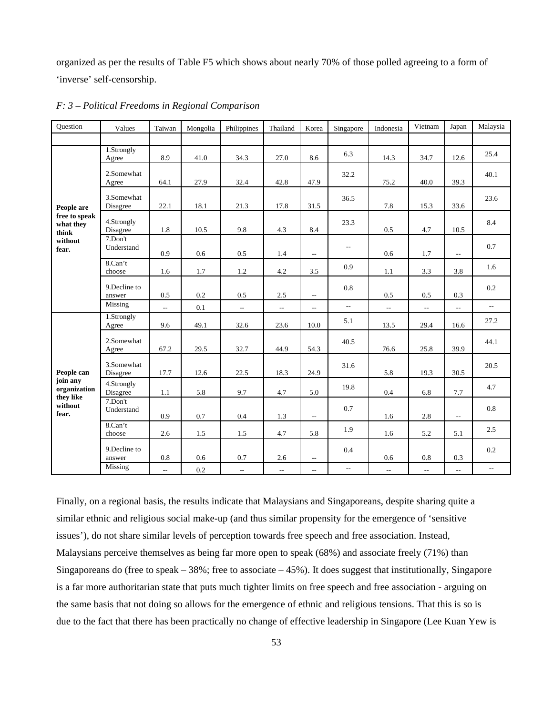organized as per the results of Table F5 which shows about nearly 70% of those polled agreeing to a form of 'inverse' self-censorship.

| Question                            | Values                  | Taiwan                   | Mongolia | Philippines    | Thailand                 | Korea                    | Singapore                | Indonesia                   | Vietnam        | Japan                    | Malaysia                 |
|-------------------------------------|-------------------------|--------------------------|----------|----------------|--------------------------|--------------------------|--------------------------|-----------------------------|----------------|--------------------------|--------------------------|
|                                     |                         |                          |          |                |                          |                          |                          |                             |                |                          |                          |
|                                     | 1.Strongly<br>Agree     | 8.9                      | 41.0     | 34.3           | 27.0                     | 8.6                      | 6.3                      | 14.3                        | 34.7           | 12.6                     | 25.4                     |
| People are                          | 2.Somewhat<br>Agree     | 64.1                     | 27.9     | 32.4           | 42.8                     | 47.9                     | 32.2                     | 75.2                        | 40.0           | 39.3                     | 40.1                     |
|                                     | 3.Somewhat<br>Disagree  | 22.1                     | 18.1     | 21.3           | 17.8                     | 31.5                     | 36.5                     | 7.8                         | 15.3           | 33.6                     | 23.6                     |
| free to speak<br>what they<br>think | 4.Strongly<br>Disagree  | 1.8                      | 10.5     | 9.8            | 4.3                      | 8.4                      | 23.3                     | 0.5                         | 4.7            | 10.5                     | 8.4                      |
| without<br>fear.                    | 7.Don't<br>Understand   | 0.9                      | 0.6      | 0.5            | 1.4                      | $\overline{a}$           | $\overline{\phantom{a}}$ | 0.6                         | 1.7            | $\overline{\phantom{m}}$ | 0.7                      |
|                                     | 8.Can't<br>choose       | 1.6                      | 1.7      | 1.2            | $4.2\,$                  | 3.5                      | 0.9                      | 1.1                         | 3.3            | 3.8                      | 1.6                      |
|                                     | 9. Decline to<br>answer | 0.5                      | $0.2\,$  | 0.5            | $2.5\,$                  | $\overline{a}$           | 0.8                      | 0.5                         | 0.5            | 0.3                      | 0.2                      |
|                                     | Missing                 | $\overline{\phantom{a}}$ | 0.1      | $\mathbb{Z}^2$ | $\overline{\phantom{a}}$ | $\overline{a}$           | $\overline{\phantom{a}}$ | $\bar{\mathbb{Z}}$          | ω.             | $\overline{\phantom{a}}$ | $\sim$                   |
|                                     | 1.Strongly<br>Agree     | 9.6                      | 49.1     | 32.6           | 23.6                     | 10.0                     | 5.1                      | 13.5                        | 29.4           | 16.6                     | 27.2                     |
|                                     | 2.Somewhat<br>Agree     | 67.2                     | 29.5     | 32.7           | 44.9                     | 54.3                     | 40.5                     | 76.6                        | 25.8           | 39.9                     | 44.1                     |
| People can                          | 3.Somewhat<br>Disagree  | 17.7                     | 12.6     | 22.5           | 18.3                     | 24.9                     | 31.6                     | 5.8                         | 19.3           | 30.5                     | 20.5                     |
| join any<br>organization            | 4.Strongly<br>Disagree  | 1.1                      | 5.8      | 9.7            | 4.7                      | 5.0                      | 19.8                     | 0.4                         | 6.8            | 7.7                      | 4.7                      |
| they like<br>without<br>fear.       | 7.Don't<br>Understand   | 0.9                      | 0.7      | 0.4            | 1.3                      | $\overline{\phantom{a}}$ | 0.7                      | 1.6                         | 2.8            | $\overline{\phantom{a}}$ | 0.8                      |
|                                     | 8.Can't<br>choose       | 2.6                      | 1.5      | 1.5            | 4.7                      | 5.8                      | 1.9                      | 1.6                         | 5.2            | 5.1                      | 2.5                      |
|                                     | 9. Decline to<br>answer | 0.8                      | 0.6      | 0.7            | 2.6                      | $\qquad \qquad -$        | 0.4                      | 0.6                         | 0.8            | 0.3                      | 0.2                      |
|                                     | Missing                 | $\overline{\phantom{a}}$ | 0.2      | $\overline{a}$ | $\overline{a}$           | $\mathbf{u}$             | $\overline{\phantom{a}}$ | $\mathcal{L}_{\mathcal{A}}$ | $\overline{a}$ | $\overline{\phantom{a}}$ | $\overline{\phantom{a}}$ |

*F: 3 – Political Freedoms in Regional Comparison* 

Finally, on a regional basis, the results indicate that Malaysians and Singaporeans, despite sharing quite a similar ethnic and religious social make-up (and thus similar propensity for the emergence of 'sensitive issues'), do not share similar levels of perception towards free speech and free association. Instead, Malaysians perceive themselves as being far more open to speak (68%) and associate freely (71%) than Singaporeans do (free to speak – 38%; free to associate – 45%). It does suggest that institutionally, Singapore is a far more authoritarian state that puts much tighter limits on free speech and free association - arguing on the same basis that not doing so allows for the emergence of ethnic and religious tensions. That this is so is due to the fact that there has been practically no change of effective leadership in Singapore (Lee Kuan Yew is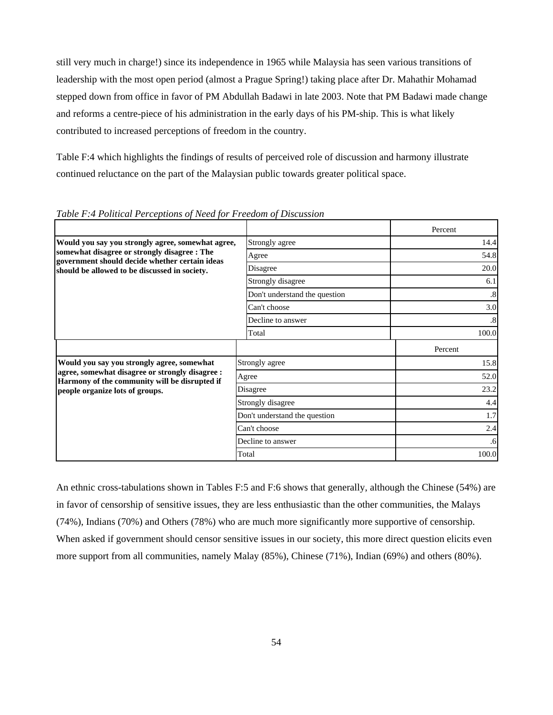still very much in charge!) since its independence in 1965 while Malaysia has seen various transitions of leadership with the most open period (almost a Prague Spring!) taking place after Dr. Mahathir Mohamad stepped down from office in favor of PM Abdullah Badawi in late 2003. Note that PM Badawi made change and reforms a centre-piece of his administration in the early days of his PM-ship. This is what likely contributed to increased perceptions of freedom in the country.

Table F:4 which highlights the findings of results of perceived role of discussion and harmony illustrate continued reluctance on the part of the Malaysian public towards greater political space.

|                                                                                                  |                               | Percent           |
|--------------------------------------------------------------------------------------------------|-------------------------------|-------------------|
| Would you say you strongly agree, somewhat agree,                                                | Strongly agree                | 14.4              |
| somewhat disagree or strongly disagree : The<br>government should decide whether certain ideas   | Agree                         | 54.8              |
| should be allowed to be discussed in society.                                                    | Disagree                      | 20.0              |
|                                                                                                  | Strongly disagree             | 6.1               |
|                                                                                                  | Don't understand the question | $\boldsymbol{.8}$ |
|                                                                                                  | Can't choose                  | 3.0               |
|                                                                                                  | Decline to answer             | $.8\,$            |
|                                                                                                  | Total                         | 100.0             |
|                                                                                                  |                               | Percent           |
| Would you say you strongly agree, somewhat                                                       | Strongly agree                | 15.8              |
| agree, somewhat disagree or strongly disagree :<br>Harmony of the community will be disrupted if | Agree                         | 52.0              |
| people organize lots of groups.                                                                  | Disagree                      | 23.2              |
|                                                                                                  | Strongly disagree             | 4.4               |
|                                                                                                  | Don't understand the question | 1.7               |
|                                                                                                  | Can't choose                  | 2.4               |
|                                                                                                  | Decline to answer             | .6                |
|                                                                                                  | Total                         | 100.0             |

*Table F:4 Political Perceptions of Need for Freedom of Discussion* 

An ethnic cross-tabulations shown in Tables F:5 and F:6 shows that generally, although the Chinese (54%) are in favor of censorship of sensitive issues, they are less enthusiastic than the other communities, the Malays (74%), Indians (70%) and Others (78%) who are much more significantly more supportive of censorship. When asked if government should censor sensitive issues in our society, this more direct question elicits even more support from all communities, namely Malay (85%), Chinese (71%), Indian (69%) and others (80%).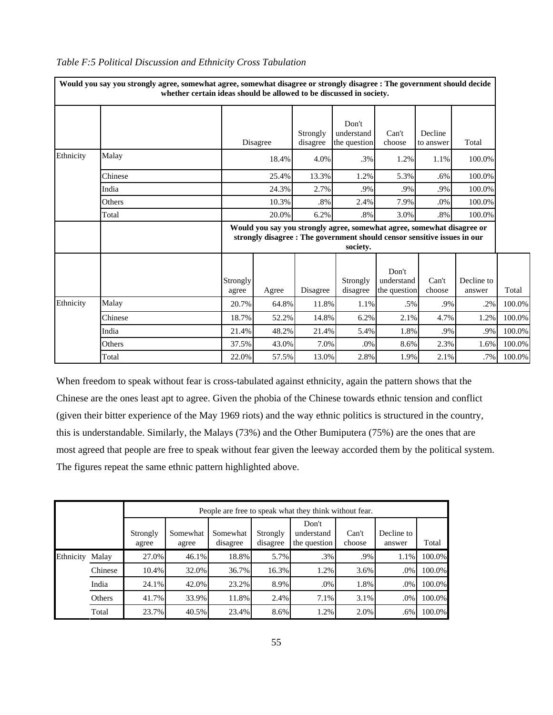|           | Would you say you strongly agree, somewhat agree, somewhat disagree or strongly disagree : The government should decide | whether certain ideas should be allowed to be discussed in society. |                                                                                                                                                                |                      |                                     |                                     |                      |                      |        |  |  |  |
|-----------|-------------------------------------------------------------------------------------------------------------------------|---------------------------------------------------------------------|----------------------------------------------------------------------------------------------------------------------------------------------------------------|----------------------|-------------------------------------|-------------------------------------|----------------------|----------------------|--------|--|--|--|
|           |                                                                                                                         |                                                                     | Disagree                                                                                                                                                       | Strongly<br>disagree | Don't<br>understand<br>the question | Can't<br>choose                     | Decline<br>to answer | Total                |        |  |  |  |
| Ethnicity | Malay                                                                                                                   |                                                                     | 18.4%                                                                                                                                                          | 4.0%                 | .3%                                 | 1.2%                                | 1.1%                 | 100.0%               |        |  |  |  |
|           | Chinese                                                                                                                 |                                                                     | 25.4%                                                                                                                                                          | 13.3%                | 1.2%                                | 5.3%                                | .6%                  | 100.0%               |        |  |  |  |
|           | India                                                                                                                   |                                                                     | 24.3%                                                                                                                                                          | 2.7%                 | .9%                                 | .9%                                 | .9%                  | 100.0%               |        |  |  |  |
|           | Others                                                                                                                  |                                                                     | 10.3%                                                                                                                                                          |                      | 2.4%                                | 7.9%                                | .0%                  | 100.0%               |        |  |  |  |
|           | Total                                                                                                                   |                                                                     | 20.0%                                                                                                                                                          |                      | .8%                                 | 3.0%                                | $.8\%$               | 100.0%               |        |  |  |  |
|           |                                                                                                                         |                                                                     | Would you say you strongly agree, somewhat agree, somewhat disagree or<br>strongly disagree : The government should censor sensitive issues in our<br>society. |                      |                                     |                                     |                      |                      |        |  |  |  |
|           |                                                                                                                         | Strongly<br>agree                                                   | Agree                                                                                                                                                          | Disagree             | Strongly<br>disagree                | Don't<br>understand<br>the question | Can't<br>choose      | Decline to<br>answer | Total  |  |  |  |
| Ethnicity | Malav                                                                                                                   | 20.7%                                                               | 64.8%                                                                                                                                                          | 11.8%                | 1.1%                                | .5%                                 | .9%                  | .2%                  | 100.0% |  |  |  |
|           | Chinese                                                                                                                 | 18.7%                                                               | 52.2%                                                                                                                                                          | 14.8%                | 6.2%                                | 2.1%                                | 4.7%                 | 1.2%                 | 100.0% |  |  |  |
|           | India                                                                                                                   | 21.4%                                                               | 48.2%                                                                                                                                                          | 21.4%                | 5.4%                                | 1.8%                                | .9%                  | .9%                  | 100.0% |  |  |  |
|           | Others                                                                                                                  | 37.5%                                                               | 43.0%                                                                                                                                                          | 7.0%                 | .0%                                 | 8.6%                                | 2.3%                 | 1.6%                 | 100.0% |  |  |  |
|           | Total                                                                                                                   | 22.0%                                                               | 57.5%                                                                                                                                                          | 13.0%                | 2.8%                                | 1.9%                                | 2.1%                 | .7%                  | 100.0% |  |  |  |

## *Table F:5 Political Discussion and Ethnicity Cross Tabulation*

When freedom to speak without fear is cross-tabulated against ethnicity, again the pattern shows that the Chinese are the ones least apt to agree. Given the phobia of the Chinese towards ethnic tension and conflict (given their bitter experience of the May 1969 riots) and the way ethnic politics is structured in the country, this is understandable. Similarly, the Malays (73%) and the Other Bumiputera (75%) are the ones that are most agreed that people are free to speak without fear given the leeway accorded them by the political system. The figures repeat the same ethnic pattern highlighted above.

|           |         |                   |                   |                      |                      | People are free to speak what they think without fear. |                 |                      |        |
|-----------|---------|-------------------|-------------------|----------------------|----------------------|--------------------------------------------------------|-----------------|----------------------|--------|
|           |         | Strongly<br>agree | Somewhat<br>agree | Somewhat<br>disagree | Strongly<br>disagree | Don't<br>understand<br>the question                    | Can't<br>choose | Decline to<br>answer | Total  |
| Ethnicity | Malay   | 27.0%             | 46.1%             | 18.8%                | 5.7%                 | $.3\%$                                                 | .9%             | 1.1%                 | 100.0% |
|           | Chinese | 10.4%             | 32.0%             | 36.7%                | 16.3%                | 1.2%                                                   | 3.6%            | .0%                  | 100.0% |
|           | India   | 24.1%             | 42.0%             | 23.2%                | 8.9%                 | .0%                                                    | 1.8%            | .0%                  | 100.0% |
|           | Others  | 41.7%             | 33.9%             | 11.8%                | 2.4%                 | 7.1%                                                   | 3.1%            | .0%                  | 100.0% |
|           | Total   | 23.7%             | 40.5%             | 23.4%                | 8.6%                 | 1.2%                                                   | 2.0%            | .6%                  | 100.0% |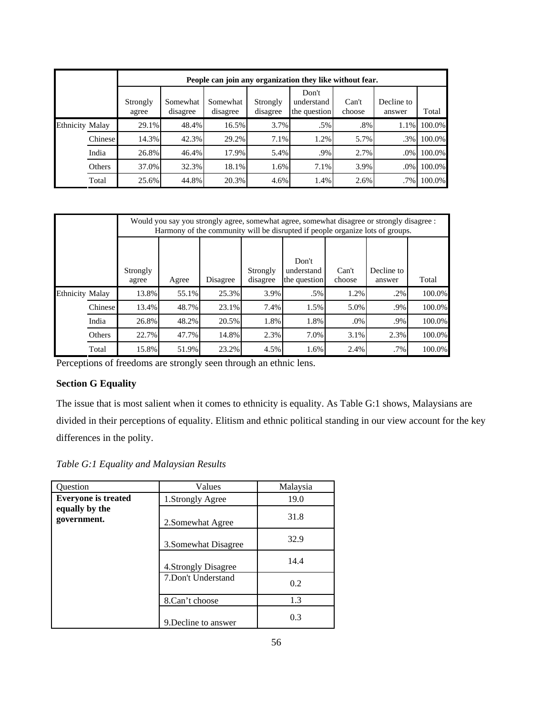|                        |          |                   |                      |                      |                      | People can join any organization they like without fear. |                 |                      |        |
|------------------------|----------|-------------------|----------------------|----------------------|----------------------|----------------------------------------------------------|-----------------|----------------------|--------|
|                        |          | Strongly<br>agree | Somewhat<br>disagree | Somewhat<br>disagree | Strongly<br>disagree | Don't<br>understand<br>the question                      | Can't<br>choose | Decline to<br>answer | Total  |
| <b>Ethnicity Malay</b> |          | 29.1%             | 48.4%                | 16.5%                | 3.7%                 | .5%                                                      | $.8\%$          | 1.1%                 | 100.0% |
|                        | Chinesel | 14.3%             | 42.3%                | 29.2%                | 7.1%                 | 1.2%                                                     | 5.7%            | $.3\%$               | 100.0% |
|                        | India    | 26.8%             | 46.4%                | 17.9%                | 5.4%                 | .9%                                                      | 2.7%            | .0%                  | 100.0% |
|                        | Others   | 37.0%             | 32.3%                | 18.1%                | 1.6%                 | 7.1%                                                     | 3.9%            | .0%                  | 100.0% |
|                        | Total    | 25.6%             | 44.8%                | 20.3%                | 4.6%                 | 1.4%                                                     | 2.6%            | $.7\%$               | 100.0% |

|                        |          |                   |       |          |                      | Would you say you strongly agree, somewhat agree, somewhat disagree or strongly disagree :<br>Harmony of the community will be disrupted if people organize lots of groups. |                 |                      |        |
|------------------------|----------|-------------------|-------|----------|----------------------|-----------------------------------------------------------------------------------------------------------------------------------------------------------------------------|-----------------|----------------------|--------|
|                        |          |                   |       |          |                      | Don't                                                                                                                                                                       |                 |                      |        |
|                        |          | Strongly<br>agree | Agree | Disagree | Strongly<br>disagree | understand<br>the question                                                                                                                                                  | Can't<br>choose | Decline to<br>answer | Total  |
|                        |          |                   |       |          |                      |                                                                                                                                                                             |                 |                      |        |
| <b>Ethnicity Malay</b> |          | 13.8%             | 55.1% | 25.3%    | 3.9%                 | .5%                                                                                                                                                                         | 1.2%            | $.2\%$               | 100.0% |
|                        | Chinesel | 13.4%             | 48.7% | 23.1%    | 7.4%                 | 1.5%                                                                                                                                                                        | 5.0%            | .9%                  | 100.0% |
|                        | India    | 26.8%             | 48.2% | 20.5%    | 1.8%                 | 1.8%                                                                                                                                                                        | .0%             | .9%                  | 100.0% |
|                        | Others   | 22.7%             | 47.7% | 14.8%    | 2.3%                 | 7.0%                                                                                                                                                                        | 3.1%            | 2.3%                 | 100.0% |
|                        | Total    | 15.8%             | 51.9% | 23.2%    | 4.5%                 | 1.6%                                                                                                                                                                        | 2.4%            | $.7\%$               | 100.0% |

Perceptions of freedoms are strongly seen through an ethnic lens.

# **Section G Equality**

The issue that is most salient when it comes to ethnicity is equality. As Table G:1 shows, Malaysians are divided in their perceptions of equality. Elitism and ethnic political standing in our view account for the key differences in the polity.

*Table G:1 Equality and Malaysian Results* 

| <b>Ouestion</b>               | Values               | Malaysia |
|-------------------------------|----------------------|----------|
| <b>Everyone is treated</b>    | 1.Strongly Agree     | 19.0     |
| equally by the<br>government. | 2. Somewhat Agree    | 31.8     |
|                               | 3. Somewhat Disagree | 32.9     |
|                               | 4. Strongly Disagree | 14.4     |
|                               | 7. Don't Understand  | 0.2      |
|                               | 8.Can't choose       | 1.3      |
|                               | 9. Decline to answer | 0.3      |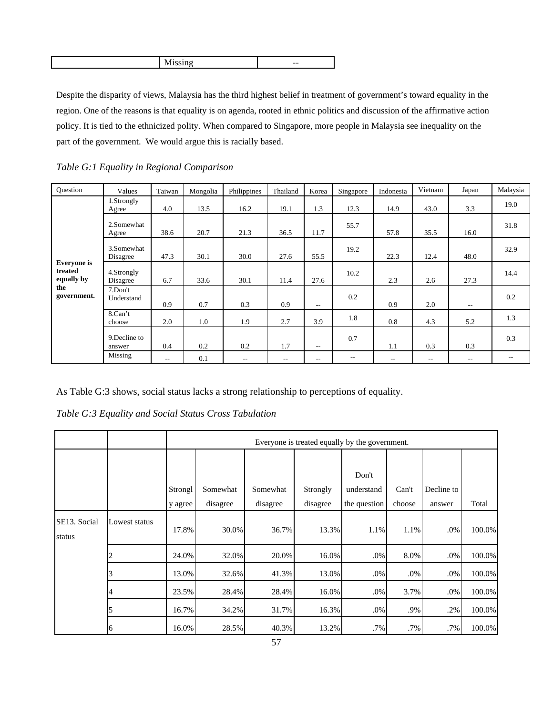| $- -$ |
|-------|

Despite the disparity of views, Malaysia has the third highest belief in treatment of government's toward equality in the region. One of the reasons is that equality is on agenda, rooted in ethnic politics and discussion of the affirmative action policy. It is tied to the ethnicized polity. When compared to Singapore, more people in Malaysia see inequality on the part of the government. We would argue this is racially based.

| <b>Ouestion</b>                             | Values                  | Taiwan | Mongolia | Philippines | Thailand | Korea                    | Singapore | Indonesia | Vietnam    | Japan | Malaysia |
|---------------------------------------------|-------------------------|--------|----------|-------------|----------|--------------------------|-----------|-----------|------------|-------|----------|
|                                             | 1.Strongly<br>Agree     | 4.0    | 13.5     | 16.2        | 19.1     | 1.3                      | 12.3      | 14.9      | 43.0       | 3.3   | 19.0     |
| <b>Everyone</b> is<br>treated<br>equally by | 2.Somewhat<br>Agree     | 38.6   | 20.7     | 21.3        | 36.5     | 11.7                     | 55.7      | 57.8      | 35.5       | 16.0  | 31.8     |
|                                             | 3.Somewhat<br>Disagree  | 47.3   | 30.1     | 30.0        | 27.6     | 55.5                     | 19.2      | 22.3      | 12.4       | 48.0  | 32.9     |
|                                             | 4.Strongly<br>Disagree  | 6.7    | 33.6     | 30.1        | 11.4     | 27.6                     | 10.2      | 2.3       | 2.6        | 27.3  | 14.4     |
| the<br>government.                          | 7.Don't<br>Understand   | 0.9    | 0.7      | 0.3         | 0.9      | $ -$                     | 0.2       | 0.9       | 2.0        | $-$   | 0.2      |
|                                             | 8.Can't<br>choose       | 2.0    | 1.0      | 1.9         | 2.7      | 3.9                      | 1.8       | 0.8       | 4.3        | 5.2   | 1.3      |
|                                             | 9. Decline to<br>answer | 0.4    | 0.2      | 0.2         | 1.7      | $\overline{\phantom{a}}$ | 0.7       | 1.1       | 0.3        | 0.3   | 0.3      |
|                                             | Missing                 | $- -$  | 0.1      | $- -$       | $-$      | $\qquad \qquad -$        | --        | $-$       | $\sim$ $-$ | $-$   | $- -$    |

*Table G:1 Equality in Regional Comparison* 

As Table G:3 shows, social status lacks a strong relationship to perceptions of equality.

*Table G:3 Equality and Social Status Cross Tabulation* 

|                        |               |                    |                      |                      | Everyone is treated equally by the government. |                                     |                 |                      |        |
|------------------------|---------------|--------------------|----------------------|----------------------|------------------------------------------------|-------------------------------------|-----------------|----------------------|--------|
|                        |               | Strongl<br>y agree | Somewhat<br>disagree | Somewhat<br>disagree | Strongly<br>disagree                           | Don't<br>understand<br>the question | Can't<br>choose | Decline to<br>answer | Total  |
| SE13. Social<br>status | Lowest status | 17.8%              | 30.0%                | 36.7%                | 13.3%                                          | 1.1%                                | 1.1%            | .0%                  | 100.0% |
|                        |               | 24.0%              | 32.0%                | 20.0%                | 16.0%                                          | $.0\%$                              | 8.0%            | .0%                  | 100.0% |
|                        |               | 13.0%              | 32.6%                | 41.3%                | 13.0%                                          | .0%                                 | $.0\%$          | .0%                  | 100.0% |
|                        |               | 23.5%              | 28.4%                | 28.4%                | 16.0%                                          | $.0\%$                              | 3.7%            | .0%                  | 100.0% |
|                        |               | 16.7%              | 34.2%                | 31.7%                | 16.3%                                          | .0%                                 | .9%             | .2%                  | 100.0% |
|                        | 6             | 16.0%              | 28.5%                | 40.3%                | 13.2%                                          | $.7\%$                              | .7%             | .7%                  | 100.0% |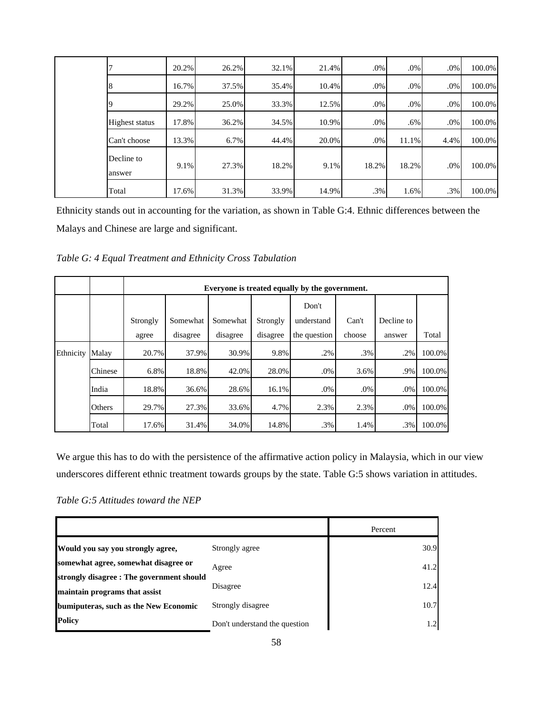|  |                       | 20.2% | 26.2% | 32.1% | 21.4% | .0%    | $.0\%$ | $.0\%$ | 100.0% |
|--|-----------------------|-------|-------|-------|-------|--------|--------|--------|--------|
|  | 8                     | 16.7% | 37.5% | 35.4% | 10.4% | .0%    | .0%    | $.0\%$ | 100.0% |
|  |                       | 29.2% | 25.0% | 33.3% | 12.5% | $.0\%$ | .0%    | $.0\%$ | 100.0% |
|  | <b>Highest status</b> | 17.8% | 36.2% | 34.5% | 10.9% | .0%    | .6%    | $.0\%$ | 100.0% |
|  | Can't choose          | 13.3% | 6.7%  | 44.4% | 20.0% | .0%    | 11.1%  | 4.4%   | 100.0% |
|  | Decline to<br>answer  | 9.1%  | 27.3% | 18.2% | 9.1%  | 18.2%  | 18.2%  | $.0\%$ | 100.0% |
|  | Total                 | 17.6% | 31.3% | 33.9% | 14.9% | .3%    | 1.6%   | .3%    | 100.0% |

Ethnicity stands out in accounting for the variation, as shown in Table G:4. Ethnic differences between the Malays and Chinese are large and significant.

*Table G: 4 Equal Treatment and Ethnicity Cross Tabulation* 

|           |         |          | Everyone is treated equally by the government. |          |          |              |        |            |        |  |  |  |  |
|-----------|---------|----------|------------------------------------------------|----------|----------|--------------|--------|------------|--------|--|--|--|--|
|           |         |          |                                                |          |          | Don't        |        |            |        |  |  |  |  |
|           |         | Strongly | Somewhat                                       | Somewhat | Strongly | understand   | Can't  | Decline to |        |  |  |  |  |
|           |         | agree    | disagree                                       | disagree | disagree | the question | choose | answer     | Total  |  |  |  |  |
| Ethnicity | Malay   | 20.7%    | 37.9%                                          | 30.9%    | 9.8%     | .2%          | .3%    | .2%        | 100.0% |  |  |  |  |
|           | Chinese | 6.8%     | 18.8%                                          | 42.0%    | 28.0%    | .0%          | 3.6%   | .9%        | 100.0% |  |  |  |  |
|           | India   | 18.8%    | 36.6%                                          | 28.6%    | 16.1%    | .0%          | .0%    | .0%        | 100.0% |  |  |  |  |
|           | Others  | 29.7%    | 27.3%                                          | 33.6%    | 4.7%     | 2.3%         | 2.3%   | .0%        | 100.0% |  |  |  |  |
|           | Total   | 17.6%    | 31.4%                                          | 34.0%    | 14.8%    | .3%          | 1.4%   | .3%        | 100.0% |  |  |  |  |

We argue this has to do with the persistence of the affirmative action policy in Malaysia, which in our view underscores different ethnic treatment towards groups by the state. Table G:5 shows variation in attitudes.

*Table G:5 Attitudes toward the NEP* 

|                                           |                               | Percent |
|-------------------------------------------|-------------------------------|---------|
| Would you say you strongly agree,         | Strongly agree                | 30.9    |
| somewhat agree, somewhat disagree or      | Agree                         | 41.2    |
| strongly disagree : The government should | Disagree                      | 12.4    |
| maintain programs that assist             |                               | 10.7    |
| bumiputeras, such as the New Economic     | Strongly disagree             |         |
| <b>Policy</b>                             | Don't understand the question | 1.2     |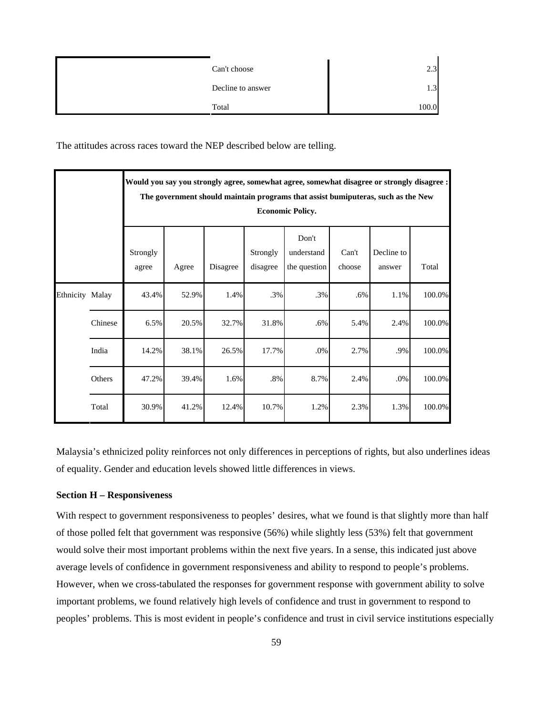| Can't choose      | $\sim$ $\sim$ |
|-------------------|---------------|
| Decline to answer | ر. 1          |
| Total             | 100.0         |

The attitudes across races toward the NEP described below are telling.

|                 |         |                   | Would you say you strongly agree, somewhat agree, somewhat disagree or strongly disagree :<br>The government should maintain programs that assist bumiputeras, such as the New<br><b>Economic Policy.</b> |          |                      |                                     |                 |                      |        |  |  |  |  |
|-----------------|---------|-------------------|-----------------------------------------------------------------------------------------------------------------------------------------------------------------------------------------------------------|----------|----------------------|-------------------------------------|-----------------|----------------------|--------|--|--|--|--|
|                 |         | Strongly<br>agree | Agree                                                                                                                                                                                                     | Disagree | Strongly<br>disagree | Don't<br>understand<br>the question | Can't<br>choose | Decline to<br>answer | Total  |  |  |  |  |
| Ethnicity Malay |         | 43.4%             | 52.9%                                                                                                                                                                                                     | 1.4%     | .3%                  | .3%                                 | $.6\%$          | 1.1%                 | 100.0% |  |  |  |  |
|                 | Chinese | 6.5%              | 20.5%                                                                                                                                                                                                     | 32.7%    | 31.8%                | .6%                                 | 5.4%            | 2.4%                 | 100.0% |  |  |  |  |
|                 | India   | 14.2%             | 38.1%                                                                                                                                                                                                     | 26.5%    | 17.7%                | $.0\%$                              | 2.7%            | .9%                  | 100.0% |  |  |  |  |
|                 | Others  | 47.2%             | 39.4%                                                                                                                                                                                                     | 1.6%     | .8%                  | 8.7%                                | 2.4%            | .0%                  | 100.0% |  |  |  |  |
|                 | Total   | 30.9%             | 41.2%                                                                                                                                                                                                     | 12.4%    | 10.7%                | 1.2%                                | 2.3%            | 1.3%                 | 100.0% |  |  |  |  |

Malaysia's ethnicized polity reinforces not only differences in perceptions of rights, but also underlines ideas of equality. Gender and education levels showed little differences in views.

#### **Section H – Responsiveness**

With respect to government responsiveness to peoples' desires, what we found is that slightly more than half of those polled felt that government was responsive (56%) while slightly less (53%) felt that government would solve their most important problems within the next five years. In a sense, this indicated just above average levels of confidence in government responsiveness and ability to respond to people's problems. However, when we cross-tabulated the responses for government response with government ability to solve important problems, we found relatively high levels of confidence and trust in government to respond to peoples' problems. This is most evident in people's confidence and trust in civil service institutions especially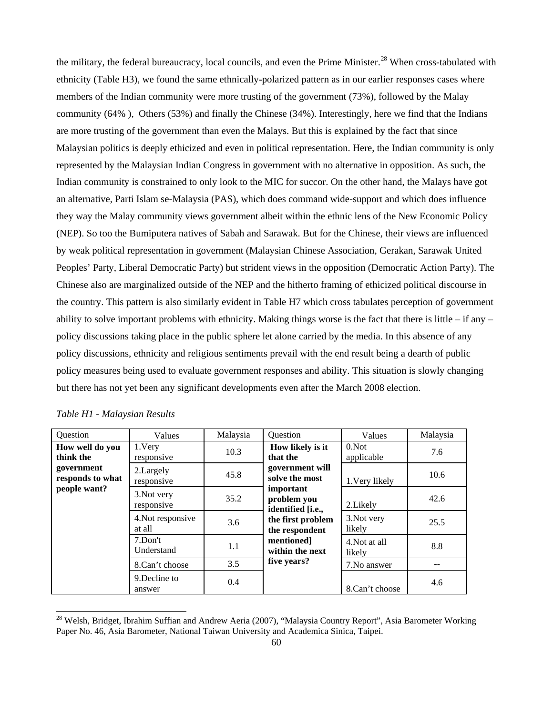the military, the federal bureaucracy, local councils, and even the Prime Minister.<sup>[2](#page-60-0)8</sup> When cross-tabulated with ethnicity (Table H3), we found the same ethnically-polarized pattern as in our earlier responses cases where members of the Indian community were more trusting of the government (73%), followed by the Malay community (64% ), Others (53%) and finally the Chinese (34%). Interestingly, here we find that the Indians are more trusting of the government than even the Malays. But this is explained by the fact that since Malaysian politics is deeply ethicized and even in political representation. Here, the Indian community is only represented by the Malaysian Indian Congress in government with no alternative in opposition. As such, the Indian community is constrained to only look to the MIC for succor. On the other hand, the Malays have got an alternative, Parti Islam se-Malaysia (PAS), which does command wide-support and which does influence they way the Malay community views government albeit within the ethnic lens of the New Economic Policy (NEP). So too the Bumiputera natives of Sabah and Sarawak. But for the Chinese, their views are influenced by weak political representation in government (Malaysian Chinese Association, Gerakan, Sarawak United Peoples' Party, Liberal Democratic Party) but strident views in the opposition (Democratic Action Party). The Chinese also are marginalized outside of the NEP and the hitherto framing of ethicized political discourse in the country. This pattern is also similarly evident in Table H7 which cross tabulates perception of government ability to solve important problems with ethnicity. Making things worse is the fact that there is little – if any – policy discussions taking place in the public sphere let alone carried by the media. In this absence of any policy discussions, ethnicity and religious sentiments prevail with the end result being a dearth of public policy measures being used to evaluate government responses and ability. This situation is slowly changing but there has not yet been any significant developments even after the March 2008 election.

| Question                                       | Values                      | Malaysia | Question                                      | Values                  | Malaysia |
|------------------------------------------------|-----------------------------|----------|-----------------------------------------------|-------------------------|----------|
| How well do you<br>think the                   | 1.Very<br>responsive        | 10.3     | How likely is it<br>that the                  | $0.$ Not<br>applicable  | 7.6      |
| government<br>responds to what<br>people want? | 2. Largely<br>responsive    | 45.8     | government will<br>solve the most             | 1. Very likely          | 10.6     |
|                                                | 3. Not very<br>responsive   | 35.2     | important<br>problem you<br>identified [i.e., | 2. Likely               | 42.6     |
|                                                | 4. Not responsive<br>at all | 3.6      | the first problem<br>the respondent           | 3. Not very<br>likely   | 25.5     |
|                                                | 7.Don't<br>Understand       | 1.1      | mentioned]<br>within the next                 | 4. Not at all<br>likely | 8.8      |
|                                                | 3.5<br>8.Can't choose       |          | five years?                                   | 7. No answer            |          |
|                                                | 9. Decline to<br>answer     | 0.4      |                                               | 8.Can't choose          | 4.6      |

<span id="page-60-0"></span><sup>&</sup>lt;sup>28</sup> Welsh, Bridget, Ibrahim Suffian and Andrew Aeria (2007), "Malaysia Country Report", Asia Barometer Working Paper No. 46, Asia Barometer, National Taiwan University and Academica Sinica, Taipei.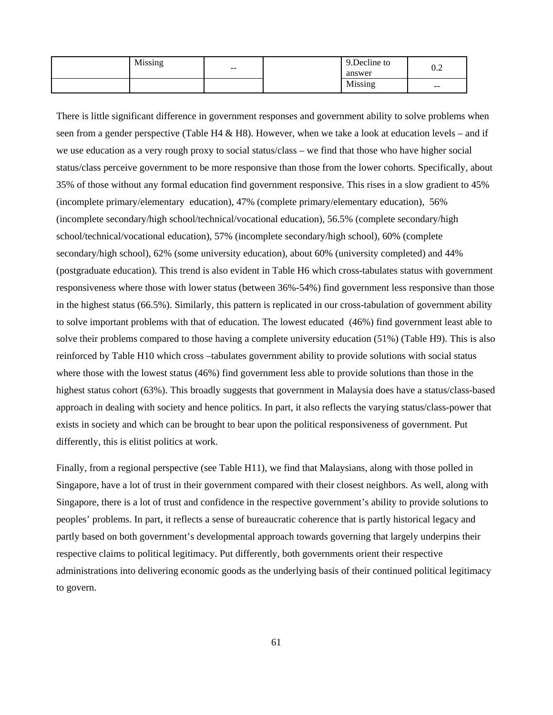| Missing |                          | 9. Decline to | ∩ ∩                                            |
|---------|--------------------------|---------------|------------------------------------------------|
|         | $\overline{\phantom{m}}$ | answer        | ∪.∠                                            |
|         |                          | Missing       | $\hspace{0.1mm}-\hspace{0.1mm}-\hspace{0.1mm}$ |

There is little significant difference in government responses and government ability to solve problems when seen from a gender perspective (Table H4  $\&$  H8). However, when we take a look at education levels – and if we use education as a very rough proxy to social status/class – we find that those who have higher social status/class perceive government to be more responsive than those from the lower cohorts. Specifically, about 35% of those without any formal education find government responsive. This rises in a slow gradient to 45% (incomplete primary/elementary education), 47% (complete primary/elementary education), 56% (incomplete secondary/high school/technical/vocational education), 56.5% (complete secondary/high school/technical/vocational education), 57% (incomplete secondary/high school), 60% (complete secondary/high school), 62% (some university education), about 60% (university completed) and 44% (postgraduate education). This trend is also evident in Table H6 which cross-tabulates status with government responsiveness where those with lower status (between 36%-54%) find government less responsive than those in the highest status (66.5%). Similarly, this pattern is replicated in our cross-tabulation of government ability to solve important problems with that of education. The lowest educated (46%) find government least able to solve their problems compared to those having a complete university education (51%) (Table H9). This is also reinforced by Table H10 which cross –tabulates government ability to provide solutions with social status where those with the lowest status (46%) find government less able to provide solutions than those in the highest status cohort (63%). This broadly suggests that government in Malaysia does have a status/class-based approach in dealing with society and hence politics. In part, it also reflects the varying status/class-power that exists in society and which can be brought to bear upon the political responsiveness of government. Put differently, this is elitist politics at work.

Finally, from a regional perspective (see Table H11), we find that Malaysians, along with those polled in Singapore, have a lot of trust in their government compared with their closest neighbors. As well, along with Singapore, there is a lot of trust and confidence in the respective government's ability to provide solutions to peoples' problems. In part, it reflects a sense of bureaucratic coherence that is partly historical legacy and partly based on both government's developmental approach towards governing that largely underpins their respective claims to political legitimacy. Put differently, both governments orient their respective administrations into delivering economic goods as the underlying basis of their continued political legitimacy to govern.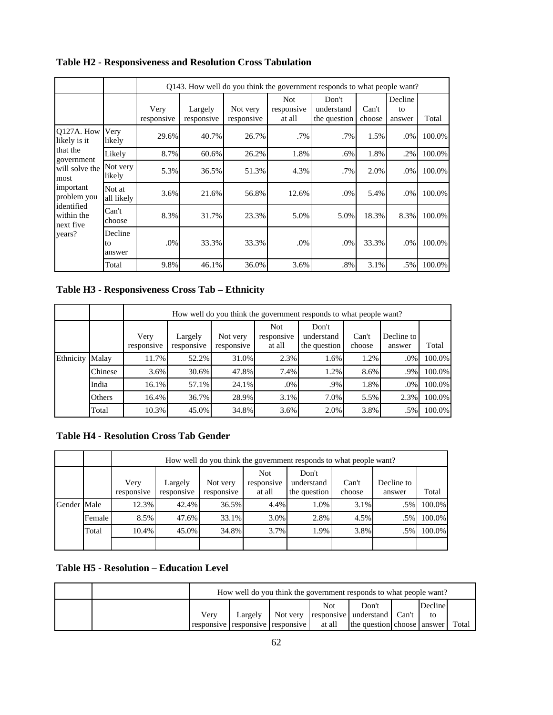|                                                  |                         |                    |                       |                        |                                    | O143. How well do you think the government responds to what people want? |                 |                         |        |
|--------------------------------------------------|-------------------------|--------------------|-----------------------|------------------------|------------------------------------|--------------------------------------------------------------------------|-----------------|-------------------------|--------|
|                                                  |                         | Very<br>responsive | Largely<br>responsive | Not very<br>responsive | <b>Not</b><br>responsive<br>at all | Don't<br>understand<br>the question                                      | Can't<br>choose | Decline<br>to<br>answer | Total  |
| O127A. How<br>likely is it                       | Very<br>likely          | 29.6%              | 40.7%                 | 26.7%                  | .7%                                | .7%                                                                      | 1.5%            | $.0\%$                  | 100.0% |
| that the<br>government                           | Likely                  | 8.7%               | 60.6%                 | 26.2%                  | 1.8%                               | .6%                                                                      | 1.8%            | .2%                     | 100.0% |
| will solve the<br>most                           | Not very<br>likely      | 5.3%               | 36.5%                 | 51.3%                  | 4.3%                               | .7%                                                                      | 2.0%            | .0%                     | 100.0% |
| important<br>problem you                         | Not at<br>all likely    | 3.6%               | 21.6%                 | 56.8%                  | 12.6%                              | .0%                                                                      | 5.4%            | $.0\%$                  | 100.0% |
| lidentified<br>within the<br>next five<br>years? | Can't<br>choose         | 8.3%               | 31.7%                 | 23.3%                  | 5.0%                               | 5.0%                                                                     | 18.3%           | 8.3%                    | 100.0% |
|                                                  | Decline<br>to<br>answer | .0%                | 33.3%                 | 33.3%                  | $.0\%$                             | .0%                                                                      | 33.3%           | $.0\%$                  | 100.0% |
|                                                  | Total                   | 9.8%               | 46.1%                 | 36.0%                  | 3.6%                               | .8%                                                                      | 3.1%            | .5%                     | 100.0% |

**Table H2 - Responsiveness and Resolution Cross Tabulation** 

**Table H3 - Responsiveness Cross Tab – Ethnicity** 

|           |         |                    | How well do you think the government responds to what people want? |                        |                                    |                                     |                 |                      |        |  |  |  |
|-----------|---------|--------------------|--------------------------------------------------------------------|------------------------|------------------------------------|-------------------------------------|-----------------|----------------------|--------|--|--|--|
|           |         | Very<br>responsive | Largely<br>responsive                                              | Not very<br>responsive | <b>Not</b><br>responsive<br>at all | Don't<br>understand<br>the question | Can't<br>choose | Decline to<br>answer | Total  |  |  |  |
| Ethnicity | Malay   | 11.7%              | 52.2%                                                              | 31.0%                  | 2.3%                               | 1.6%                                | 1.2%            | .0%                  | 100.0% |  |  |  |
|           | Chinese | 3.6%               | 30.6%                                                              | 47.8%                  | 7.4%                               | 1.2%                                | 8.6%            | .9%                  | 100.0% |  |  |  |
|           | India   | 16.1%              | 57.1%                                                              | $24.1\%$               | .0%                                | .9%                                 | 1.8%            | $.0\%$               | 100.0% |  |  |  |
|           | Others  | 16.4%              | 36.7%                                                              | 28.9%                  | 3.1%                               | 7.0%                                | 5.5%            | 2.3%                 | 100.0% |  |  |  |
|           | Total   | 10.3%              | 45.0%                                                              | 34.8%                  | 3.6%                               | 2.0%                                | 3.8%            | .5%                  | 100.0% |  |  |  |

# **Table H4 - Resolution Cross Tab Gender**

|             |        |                    | How well do you think the government responds to what people want? |                        |                                    |                                     |                 |                      |        |  |  |  |  |  |
|-------------|--------|--------------------|--------------------------------------------------------------------|------------------------|------------------------------------|-------------------------------------|-----------------|----------------------|--------|--|--|--|--|--|
|             |        | Very<br>responsive | Largely<br>responsive                                              | Not very<br>responsive | <b>Not</b><br>responsive<br>at all | Don't<br>understand<br>the question | Can't<br>choose | Decline to<br>answer | Total  |  |  |  |  |  |
| Gender Male |        | 12.3%              | 42.4%                                                              | 36.5%                  | 4.4%                               | 1.0%                                | 3.1%            | $.5\%$               | 100.0% |  |  |  |  |  |
|             | Female | 8.5%               | 47.6%                                                              | 33.1%                  | 3.0%                               | 2.8%                                | 4.5%            | .5%                  | 100.0% |  |  |  |  |  |
|             | Total  | 10.4%              | 45.0%                                                              | 34.8%                  | 3.7%                               | 1.9%                                | 3.8%            | .5%                  | 100.0% |  |  |  |  |  |
|             |        |                    |                                                                    |                        |                                    |                                     |                 |                      |        |  |  |  |  |  |

# **Table H5 - Resolution – Education Level**

 $\blacksquare$ 

- 1

|  | How well do you think the government responds to what people want? |         |                                  |            |                                               |  |         |       |  |
|--|--------------------------------------------------------------------|---------|----------------------------------|------------|-----------------------------------------------|--|---------|-------|--|
|  | Very                                                               | Largely |                                  | <b>Not</b> | Don't<br>Not very responsive understand Can't |  | Decline |       |  |
|  |                                                                    |         | responsive responsive responsive | at all     | the question choose answer                    |  |         | Total |  |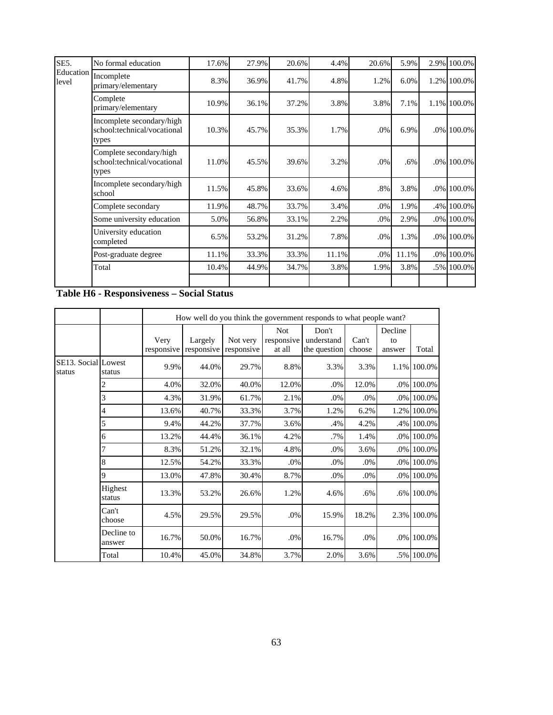| SE5.               | No formal education                                               | 17.6% | 27.9% | 20.6% | 4.4%  | 20.6%  | 5.9%  |     | 2.9% 100.0% |
|--------------------|-------------------------------------------------------------------|-------|-------|-------|-------|--------|-------|-----|-------------|
| Education<br>level | Incomplete<br>primary/elementary                                  | 8.3%  | 36.9% | 41.7% | 4.8%  | 1.2%   | 6.0%  |     | 1.2% 100.0% |
|                    | Complete<br>primary/elementary                                    | 10.9% | 36.1% | 37.2% | 3.8%  | 3.8%   | 7.1%  |     | 1.1% 100.0% |
|                    | Incomplete secondary/high<br>school:technical/vocational<br>types | 10.3% | 45.7% | 35.3% | 1.7%  | .0%    | 6.9%  |     | .0% 100.0%  |
|                    | Complete secondary/high<br>school:technical/vocational<br>types   | 11.0% | 45.5% | 39.6% | 3.2%  | .0%    | .6%   |     | .0% 100.0%  |
|                    | Incomplete secondary/high<br>school                               | 11.5% | 45.8% | 33.6% | 4.6%  | .8%    | 3.8%  |     | .0% 100.0%  |
|                    | Complete secondary                                                | 11.9% | 48.7% | 33.7% | 3.4%  | $.0\%$ | 1.9%  | .4% | 100.0%      |
|                    | Some university education                                         | 5.0%  | 56.8% | 33.1% | 2.2%  | .0%    | 2.9%  |     | .0% 100.0%  |
|                    | University education<br>completed                                 | 6.5%  | 53.2% | 31.2% | 7.8%  | .0%    | 1.3%  |     | .0% 100.0%  |
|                    | Post-graduate degree                                              | 11.1% | 33.3% | 33.3% | 11.1% | $.0\%$ | 11.1% |     | .0% 100.0%  |
|                    | Total                                                             | 10.4% | 44.9% | 34.7% | 3.8%  | 1.9%   | 3.8%  |     | .5% 100.0%  |
|                    |                                                                   |       |       |       |       |        |       |     |             |

**Table H6 - Responsiveness – Social Status** 

|                               |                      |                    | How well do you think the government responds to what people want? |                        |                                    |                                     |                 |                         |             |  |  |  |
|-------------------------------|----------------------|--------------------|--------------------------------------------------------------------|------------------------|------------------------------------|-------------------------------------|-----------------|-------------------------|-------------|--|--|--|
|                               |                      | Very<br>responsive | Largely<br>responsive                                              | Not very<br>responsive | <b>Not</b><br>responsive<br>at all | Don't<br>understand<br>the question | Can't<br>choose | Decline<br>to<br>answer | Total       |  |  |  |
| SE13. Social Lowest<br>status | status               | 9.9%               | 44.0%                                                              | 29.7%                  | 8.8%                               | 3.3%                                | 3.3%            |                         | 1.1% 100.0% |  |  |  |
|                               | 2                    | 4.0%               | 32.0%                                                              | 40.0%                  | 12.0%                              | .0%                                 | 12.0%           |                         | .0% 100.0%  |  |  |  |
|                               | 3                    | 4.3%               | 31.9%                                                              | 61.7%                  | 2.1%                               | .0%                                 | .0%             |                         | .0% 100.0%  |  |  |  |
|                               | 4                    | 13.6%              | 40.7%                                                              | 33.3%                  | 3.7%                               | 1.2%                                | 6.2%            |                         | 1.2% 100.0% |  |  |  |
|                               | 5                    | 9.4%               | 44.2%                                                              | 37.7%                  | 3.6%                               | .4%                                 | 4.2%            |                         | .4% 100.0%  |  |  |  |
|                               | 6                    | 13.2%              | 44.4%                                                              | 36.1%                  | 4.2%                               | .7%                                 | 1.4%            |                         | .0% 100.0%  |  |  |  |
|                               |                      | 8.3%               | 51.2%                                                              | 32.1%                  | 4.8%                               | .0%                                 | 3.6%            |                         | .0% 100.0%  |  |  |  |
|                               | 8                    | 12.5%              | 54.2%                                                              | 33.3%                  | .0%                                | .0%                                 | .0%             |                         | .0% 100.0%  |  |  |  |
|                               | 9                    | 13.0%              | 47.8%                                                              | 30.4%                  | 8.7%                               | .0%                                 | .0%             |                         | .0% 100.0%  |  |  |  |
|                               | Highest<br>status    | 13.3%              | 53.2%                                                              | 26.6%                  | 1.2%                               | 4.6%                                | .6%             |                         | .6% 100.0%  |  |  |  |
|                               | Can't<br>choose      | 4.5%               | 29.5%                                                              | 29.5%                  | .0%                                | 15.9%                               | 18.2%           |                         | 2.3% 100.0% |  |  |  |
|                               | Decline to<br>answer | 16.7%              | 50.0%                                                              | 16.7%                  | .0%                                | 16.7%                               | .0%             |                         | .0% 100.0%  |  |  |  |
|                               | Total                | 10.4%              | 45.0%                                                              | 34.8%                  | 3.7%                               | 2.0%                                | 3.6%            |                         | .5% 100.0%  |  |  |  |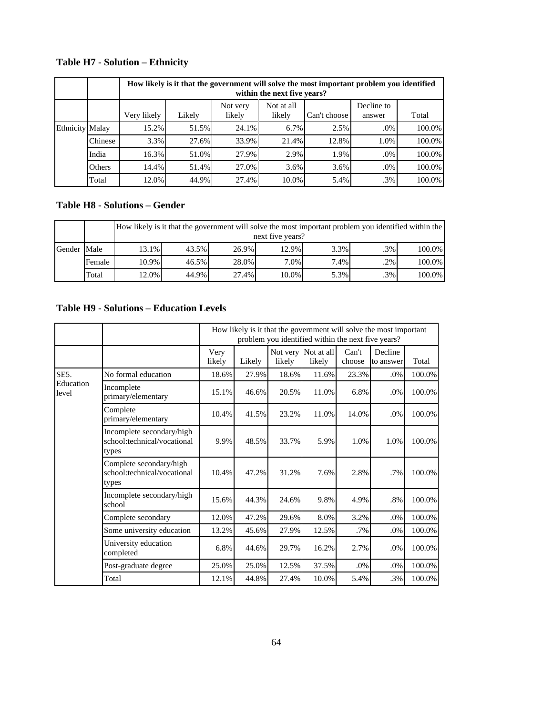|                        |         |             | How likely is it that the government will solve the most important problem you identified<br>within the next five years? |                    |                      |              |                      |        |  |  |  |  |  |  |
|------------------------|---------|-------------|--------------------------------------------------------------------------------------------------------------------------|--------------------|----------------------|--------------|----------------------|--------|--|--|--|--|--|--|
|                        |         | Very likely | Likely                                                                                                                   | Not very<br>likely | Not at all<br>likely | Can't choose | Decline to<br>answer | Total  |  |  |  |  |  |  |
| <b>Ethnicity Malay</b> |         | 15.2%       | 51.5%                                                                                                                    | 24.1%              | 6.7%                 | 2.5%         | $.0\%$               | 100.0% |  |  |  |  |  |  |
|                        | Chinese | 3.3%        | 27.6%                                                                                                                    | 33.9%              | 21.4%                | 12.8%        | 1.0%                 | 100.0% |  |  |  |  |  |  |
|                        | India   | 16.3%       | 51.0%                                                                                                                    | 27.9%              | 2.9%                 | 1.9%         | $.0\%$               | 100.0% |  |  |  |  |  |  |
|                        | Others  | 14.4%       | 51.4%                                                                                                                    | 27.0%              | 3.6%                 | 3.6%         | .0%                  | 100.0% |  |  |  |  |  |  |
|                        | Total   | 12.0%       | 44.9%                                                                                                                    | 27.4%              | 10.0%                | 5.4%         | $.3\%$               | 100.0% |  |  |  |  |  |  |

# **Table H7 - Solution – Ethnicity**

# **Table H8 - Solutions – Gender**

|             |        |       | How likely is it that the government will solve the most important problem you identified within the<br>next five years? |       |          |      |        |        |  |  |  |  |  |
|-------------|--------|-------|--------------------------------------------------------------------------------------------------------------------------|-------|----------|------|--------|--------|--|--|--|--|--|
| Gender Male |        | 13.1% | 43.5%                                                                                                                    | 26.9% | $12.9\%$ | 3.3% | $.3\%$ | 100.0% |  |  |  |  |  |
|             | Female | 10.9% | $46.5\%$                                                                                                                 | 28.0% | 7.0%     | 7.4% | $.2\%$ | 100.0% |  |  |  |  |  |
|             | Total  | 12.0% | 44.9%                                                                                                                    | 27.4% | $10.0\%$ | 5.3% | $.3\%$ | 100.0% |  |  |  |  |  |

# **Table H9 - Solutions – Education Levels**

|                    |                                                                   |                | How likely is it that the government will solve the most important<br>problem you identified within the next five years? |                    |                      |                 |                      |        |  |  |  |  |
|--------------------|-------------------------------------------------------------------|----------------|--------------------------------------------------------------------------------------------------------------------------|--------------------|----------------------|-----------------|----------------------|--------|--|--|--|--|
|                    |                                                                   | Very<br>likely | Likely                                                                                                                   | Not very<br>likely | Not at all<br>likely | Can't<br>choose | Decline<br>to answer | Total  |  |  |  |  |
| SE5.               | No formal education                                               | 18.6%          | 27.9%                                                                                                                    | 18.6%              | 11.6%                | 23.3%           | .0%                  | 100.0% |  |  |  |  |
| Education<br>level | Incomplete<br>primary/elementary                                  | 15.1%          | 46.6%                                                                                                                    | 20.5%              | 11.0%                | 6.8%            | $.0\%$               | 100.0% |  |  |  |  |
|                    | Complete<br>primary/elementary                                    | 10.4%          | 41.5%                                                                                                                    | 23.2%              | 11.0%                | 14.0%           | .0%                  | 100.0% |  |  |  |  |
|                    | Incomplete secondary/high<br>school:technical/vocational<br>types | 9.9%           | 48.5%                                                                                                                    | 33.7%              | 5.9%                 | 1.0%            | 1.0%                 | 100.0% |  |  |  |  |
|                    | Complete secondary/high<br>school:technical/vocational<br>types   | 10.4%          | 47.2%                                                                                                                    | 31.2%              | 7.6%                 | 2.8%            | $.7\%$               | 100.0% |  |  |  |  |
|                    | Incomplete secondary/high<br>school                               | 15.6%          | 44.3%                                                                                                                    | 24.6%              | 9.8%                 | 4.9%            | .8%                  | 100.0% |  |  |  |  |
|                    | Complete secondary                                                | 12.0%          | 47.2%                                                                                                                    | 29.6%              | 8.0%                 | 3.2%            | .0%                  | 100.0% |  |  |  |  |
|                    | Some university education                                         | 13.2%          | 45.6%                                                                                                                    | 27.9%              | 12.5%                | $.7\%$          | .0%                  | 100.0% |  |  |  |  |
|                    | University education<br>completed                                 | 6.8%           | 44.6%                                                                                                                    | 29.7%              | 16.2%                | 2.7%            | .0%                  | 100.0% |  |  |  |  |
|                    | Post-graduate degree                                              | 25.0%          | 25.0%                                                                                                                    | 12.5%              | 37.5%                | .0%             | .0%                  | 100.0% |  |  |  |  |
|                    | Total                                                             | 12.1%          | 44.8%                                                                                                                    | 27.4%              | 10.0%                | 5.4%            | .3%                  | 100.0% |  |  |  |  |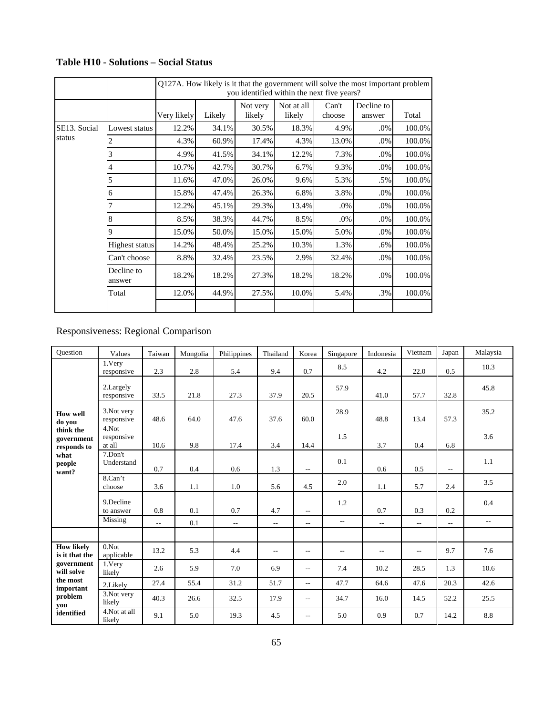|              |                      |             | Q127A. How likely is it that the government will solve the most important problem<br>you identified within the next five years? |                    |                      |                 |                      |        |  |  |  |  |
|--------------|----------------------|-------------|---------------------------------------------------------------------------------------------------------------------------------|--------------------|----------------------|-----------------|----------------------|--------|--|--|--|--|
|              |                      | Very likely | Likely                                                                                                                          | Not very<br>likely | Not at all<br>likely | Can't<br>choose | Decline to<br>answer | Total  |  |  |  |  |
| SE13. Social | Lowest status        | 12.2%       | 34.1%                                                                                                                           | 30.5%              | 18.3%                | 4.9%            | .0%                  | 100.0% |  |  |  |  |
| status       |                      | 4.3%        | 60.9%                                                                                                                           | 17.4%              | 4.3%                 | 13.0%           | .0%                  | 100.0% |  |  |  |  |
|              |                      | 4.9%        | 41.5%                                                                                                                           | 34.1%              | 12.2%                | 7.3%            | .0%                  | 100.0% |  |  |  |  |
|              |                      | 10.7%       | 42.7%                                                                                                                           | 30.7%              | 6.7%                 | 9.3%            | .0%                  | 100.0% |  |  |  |  |
|              |                      | 11.6%       | 47.0%                                                                                                                           | 26.0%              | 9.6%                 | 5.3%            | .5%                  | 100.0% |  |  |  |  |
|              | 6                    | 15.8%       | 47.4%                                                                                                                           | 26.3%              | 6.8%                 | 3.8%            | .0%                  | 100.0% |  |  |  |  |
|              |                      | 12.2%       | 45.1%                                                                                                                           | 29.3%              | 13.4%                | .0%             | .0%                  | 100.0% |  |  |  |  |
|              | 8                    | 8.5%        | 38.3%                                                                                                                           | 44.7%              | 8.5%                 | .0%             | .0%                  | 100.0% |  |  |  |  |
|              | 9                    | 15.0%       | 50.0%                                                                                                                           | 15.0%              | 15.0%                | 5.0%            | $.0\%$               | 100.0% |  |  |  |  |
|              | Highest status       | 14.2%       | 48.4%                                                                                                                           | 25.2%              | 10.3%                | 1.3%            | .6%                  | 100.0% |  |  |  |  |
|              | Can't choose         | 8.8%        | 32.4%                                                                                                                           | 23.5%              | 2.9%                 | 32.4%           | .0%                  | 100.0% |  |  |  |  |
|              | Decline to<br>answer | 18.2%       | 18.2%                                                                                                                           | 27.3%              | 18.2%                | 18.2%           | .0%                  | 100.0% |  |  |  |  |
|              | Total                | 12.0%       | 44.9%                                                                                                                           | 27.5%              | 10.0%                | 5.4%            | .3%                  | 100.0% |  |  |  |  |

# **Table H10 - Solutions – Social Status**

# Responsiveness: Regional Comparison

| Ouestion                                                            | Values                        | Taiwan                   | Mongolia | Philippines    | Thailand | Korea                    | Singapore      | Indonesia                | Vietnam                  | Japan                    | Malaysia     |
|---------------------------------------------------------------------|-------------------------------|--------------------------|----------|----------------|----------|--------------------------|----------------|--------------------------|--------------------------|--------------------------|--------------|
|                                                                     | 1.Very<br>responsive          | 2.3                      | 2.8      | 5.4            | 9.4      | 0.7                      | 8.5            | 4.2                      | 22.0                     | 0.5                      | 10.3         |
| <b>How well</b><br>do you<br>think the<br>government<br>responds to | 2.Largely<br>responsive       | 33.5                     | 21.8     | 27.3           | 37.9     | 20.5                     | 57.9           | 41.0                     | 57.7                     | 32.8                     | 45.8         |
|                                                                     | 3. Not very<br>responsive     | 48.6                     | 64.0     | 47.6           | 37.6     | 60.0                     | 28.9           | 48.8                     | 13.4                     | 57.3                     | 35.2         |
|                                                                     | 4.Not<br>responsive<br>at all | 10.6                     | 9.8      | 17.4           | 3.4      | 14.4                     | 1.5            | 3.7                      | 0.4                      | 6.8                      | 3.6          |
| what<br>people<br>want?                                             | 7.Don't<br>Understand         | 0.7                      | 0.4      | 0.6            | 1.3      | $\overline{\phantom{a}}$ | 0.1            | 0.6                      | 0.5                      | $\overline{\phantom{a}}$ | 1.1          |
|                                                                     | 8.Can't<br>choose             | 3.6                      | 1.1      | 1.0            | 5.6      | 4.5                      | 2.0            | 1.1                      | 5.7                      | 2.4                      | 3.5          |
|                                                                     | 9.Decline<br>to answer        | 0.8                      | 0.1      | 0.7            | 4.7      | $\overline{\phantom{a}}$ | 1.2            | 0.7                      | 0.3                      | 0.2                      | 0.4          |
|                                                                     | Missing                       | $\overline{\phantom{a}}$ | 0.1      | $\overline{a}$ | $- -$    | $\overline{\phantom{a}}$ | $\overline{a}$ | $\overline{\phantom{a}}$ | $\overline{\phantom{a}}$ | $\overline{\phantom{a}}$ | $\mathbf{u}$ |
|                                                                     |                               |                          |          |                |          |                          |                |                          |                          |                          |              |
| <b>How likely</b><br>is it that the                                 | $0.$ Not<br>applicable        | 13.2                     | 5.3      | 4.4            | $- -$    | $\overline{\phantom{a}}$ | $\sim$ $\sim$  | $\overline{\phantom{a}}$ | $\sim$ $\sim$            | 9.7                      | 7.6          |
| government<br>will solve                                            | 1.Very<br>likely              | 2.6                      | 5.9      | 7.0            | 6.9      | $\overline{\phantom{a}}$ | 7.4            | 10.2                     | 28.5                     | 1.3                      | 10.6         |
| the most<br>important                                               | 2.Likely                      | 27.4                     | 55.4     | 31.2           | 51.7     | $\overline{a}$           | 47.7           | 64.6                     | 47.6                     | 20.3                     | 42.6         |
| problem<br>you                                                      | 3. Not very<br>likely         | 40.3                     | 26.6     | 32.5           | 17.9     | $\overline{\phantom{a}}$ | 34.7           | 16.0                     | 14.5                     | 52.2                     | 25.5         |
| identified                                                          | 4. Not at all<br>likely       | 9.1                      | 5.0      | 19.3           | 4.5      | $- -$                    | 5.0            | 0.9                      | 0.7                      | 14.2                     | 8.8          |